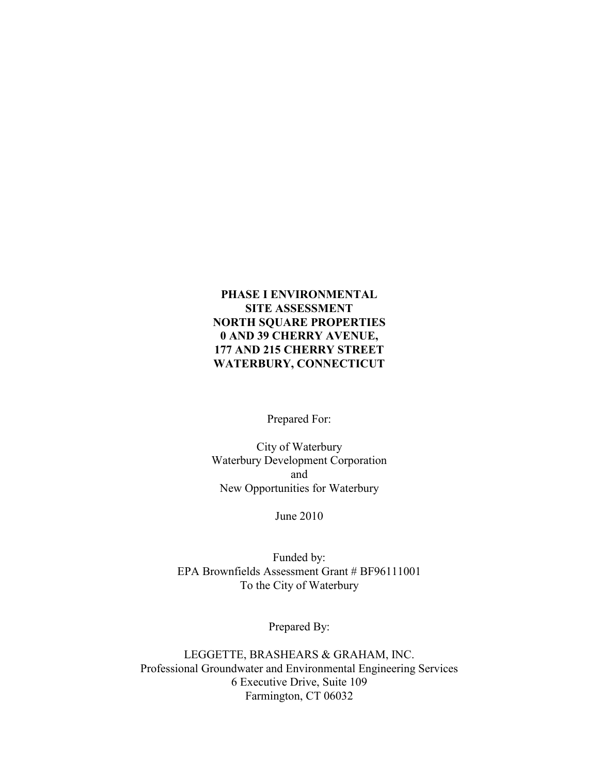### PHASE I ENVIRONMENTAL SITE ASSESSMENT NORTH SQUARE PROPERTIES 0 AND 39 CHERRY AVENUE, 177 AND 215 CHERRY STREET WATERBURY, CONNECTICUT

Prepared For:

City of Waterbury Waterbury Development Corporation and New Opportunities for Waterbury

June 2010

Funded by: EPA Brownfields Assessment Grant # BF96111001 To the City of Waterbury

Prepared By:

LEGGETTE, BRASHEARS & GRAHAM, INC. Professional Groundwater and Environmental Engineering Services 6 Executive Drive, Suite 109 Farmington, CT 06032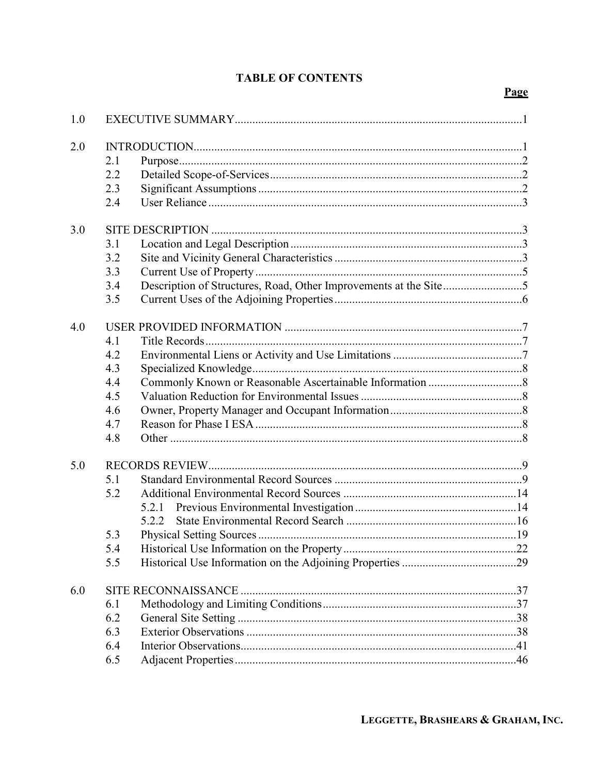# **TABLE OF CONTENTS**

|--|

| 1.0 |     |       |  |
|-----|-----|-------|--|
| 2.0 |     |       |  |
|     | 2.1 |       |  |
|     | 2.2 |       |  |
|     | 2.3 |       |  |
|     | 2.4 |       |  |
| 3.0 |     |       |  |
|     | 3.1 |       |  |
|     | 3.2 |       |  |
|     | 3.3 |       |  |
|     | 3.4 |       |  |
|     | 3.5 |       |  |
| 4.0 |     |       |  |
|     | 4.1 |       |  |
|     | 4.2 |       |  |
|     | 4.3 |       |  |
|     | 4.4 |       |  |
|     | 4.5 |       |  |
|     | 4.6 |       |  |
|     | 4.7 |       |  |
|     | 4.8 |       |  |
| 5.0 |     |       |  |
|     | 5.1 |       |  |
|     | 5.2 |       |  |
|     |     | 5.2.1 |  |
|     |     |       |  |
|     | 5.3 |       |  |
|     | 5.4 |       |  |
|     | 5.5 |       |  |
| 6.0 |     |       |  |
|     | 6.1 |       |  |
|     | 6.2 |       |  |
|     | 6.3 |       |  |
|     | 6.4 |       |  |
|     | 6.5 |       |  |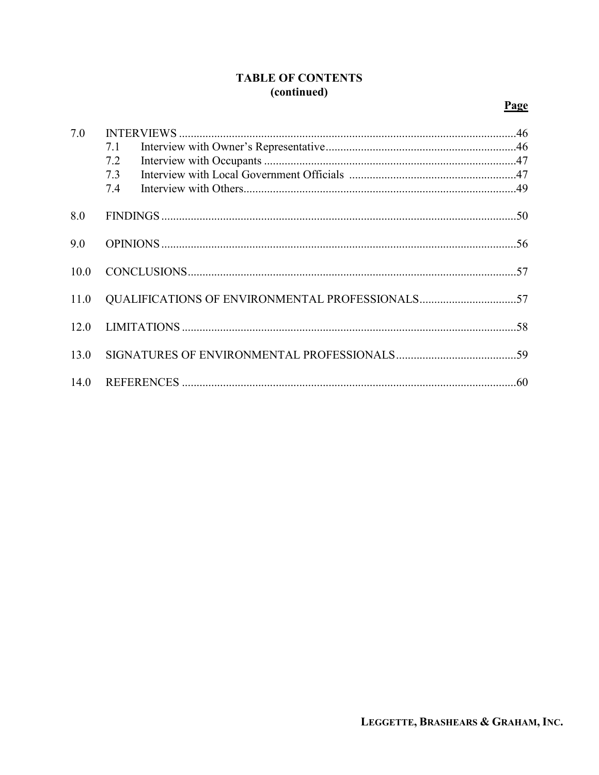## **TABLE OF CONTENTS** (continued)

# Page

| 7.0  |     |                                                 |  |
|------|-----|-------------------------------------------------|--|
|      | 7.1 |                                                 |  |
|      | 7.2 |                                                 |  |
|      | 7.3 |                                                 |  |
|      | 7.4 |                                                 |  |
| 8.0  |     |                                                 |  |
| 9.0  |     |                                                 |  |
| 10.0 |     |                                                 |  |
| 11.0 |     | QUALIFICATIONS OF ENVIRONMENTAL PROFESSIONALS57 |  |
| 12.0 |     |                                                 |  |
| 13.0 |     |                                                 |  |
| 14.0 |     |                                                 |  |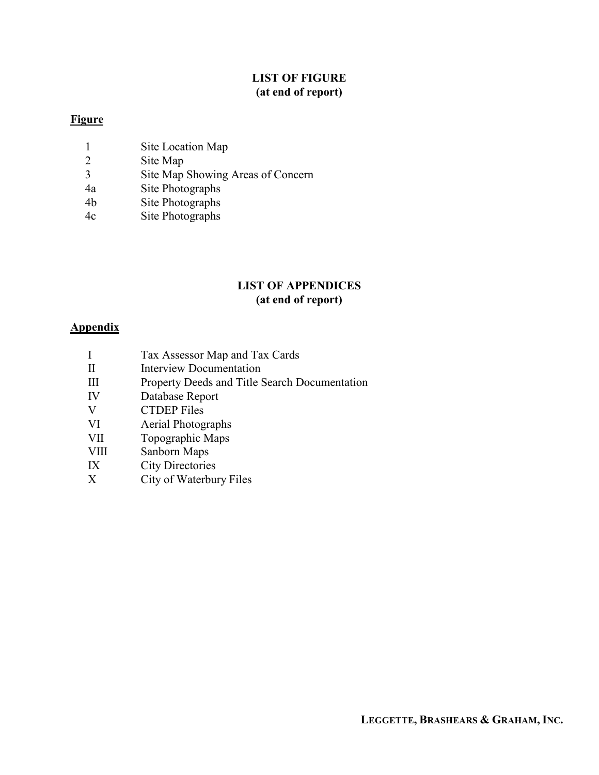## LIST OF FIGURE (at end of report)

## **Figure**

- 1 Site Location Map<br>2 Site Map
- Site Map
- 3 Site Map Showing Areas of Concern
- 4a Site Photographs
- 4b Site Photographs
- 4c Site Photographs

## LIST OF APPENDICES (at end of report)

# **Appendix**

- I Tax Assessor Map and Tax Cards
- II Interview Documentation
- III Property Deeds and Title Search Documentation
- IV Database Report<br>V CTDEP Files
- **CTDEP Files**
- VI Aerial Photographs
- VII Topographic Maps
- VIII Sanborn Maps
- IX City Directories
- X City of Waterbury Files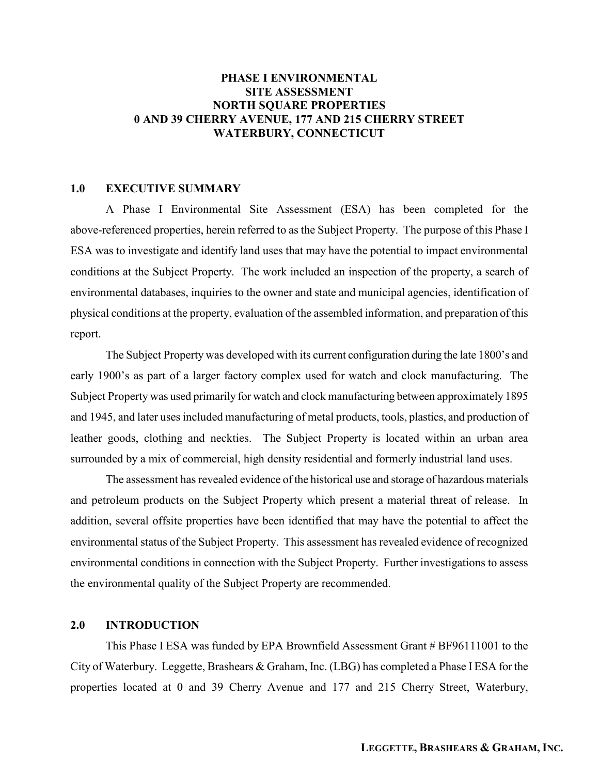### PHASE I ENVIRONMENTAL SITE ASSESSMENT **NORTH SOUARE PROPERTIES** 0 AND 39 CHERRY AVENUE, 177 AND 215 CHERRY STREET WATERBURY, CONNECTICUT

### 1.0 EXECUTIVE SUMMARY

A Phase I Environmental Site Assessment (ESA) has been completed for the above-referenced properties, herein referred to as the Subject Property. The purpose of this Phase I ESA was to investigate and identify land uses that may have the potential to impact environmental conditions at the Subject Property. The work included an inspection of the property, a search of environmental databases, inquiries to the owner and state and municipal agencies, identification of physical conditions at the property, evaluation of the assembled information, and preparation of this report.

The Subject Property was developed with its current configuration during the late 1800's and early 1900's as part of a larger factory complex used for watch and clock manufacturing. The Subject Property was used primarily for watch and clock manufacturing between approximately 1895 and 1945, and later uses included manufacturing of metal products, tools, plastics, and production of leather goods, clothing and neckties. The Subject Property is located within an urban area surrounded by a mix of commercial, high density residential and formerly industrial land uses.

The assessment has revealed evidence of the historical use and storage of hazardous materials and petroleum products on the Subject Property which present a material threat of release. In addition, several offsite properties have been identified that may have the potential to affect the environmental status of the Subject Property. This assessment has revealed evidence of recognized environmental conditions in connection with the Subject Property. Further investigations to assess the environmental quality of the Subject Property are recommended.

### 2.0 INTRODUCTION

 This Phase I ESA was funded by EPA Brownfield Assessment Grant # BF96111001 to the City of Waterbury. Leggette, Brashears & Graham, Inc. (LBG) has completed a Phase I ESA for the properties located at 0 and 39 Cherry Avenue and 177 and 215 Cherry Street, Waterbury,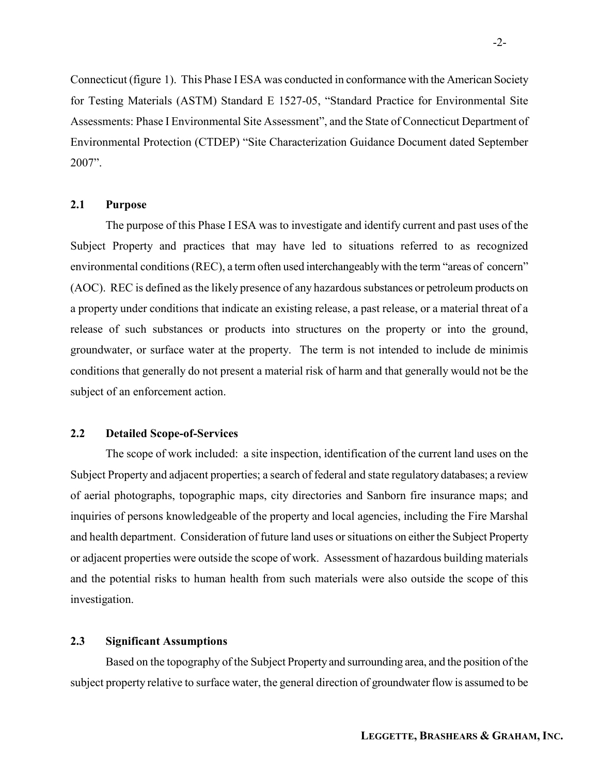Connecticut (figure 1). This Phase I ESA was conducted in conformance with the American Society for Testing Materials (ASTM) Standard E 1527-05, "Standard Practice for Environmental Site Assessments: Phase I Environmental Site Assessment", and the State of Connecticut Department of Environmental Protection (CTDEP) "Site Characterization Guidance Document dated September 2007".

### 2.1 Purpose

 The purpose of this Phase I ESA was to investigate and identify current and past uses of the Subject Property and practices that may have led to situations referred to as recognized environmental conditions (REC), a term often used interchangeably with the term "areas of concern" (AOC). REC is defined as the likely presence of any hazardous substances or petroleum products on a property under conditions that indicate an existing release, a past release, or a material threat of a release of such substances or products into structures on the property or into the ground, groundwater, or surface water at the property. The term is not intended to include de minimis conditions that generally do not present a material risk of harm and that generally would not be the subject of an enforcement action.

### 2.2 Detailed Scope-of-Services

The scope of work included: a site inspection, identification of the current land uses on the Subject Property and adjacent properties; a search of federal and state regulatory databases; a review of aerial photographs, topographic maps, city directories and Sanborn fire insurance maps; and inquiries of persons knowledgeable of the property and local agencies, including the Fire Marshal and health department. Consideration of future land uses or situations on either the Subject Property or adjacent properties were outside the scope of work. Assessment of hazardous building materials and the potential risks to human health from such materials were also outside the scope of this investigation.

### 2.3 Significant Assumptions

 Based on the topography of the Subject Property and surrounding area, and the position of the subject property relative to surface water, the general direction of groundwater flow is assumed to be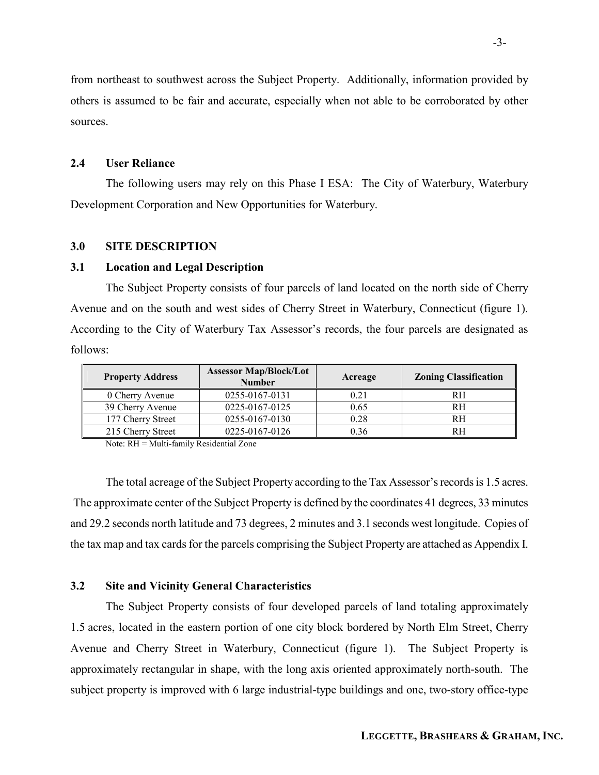from northeast to southwest across the Subject Property. Additionally, information provided by others is assumed to be fair and accurate, especially when not able to be corroborated by other sources.

### 2.4 User Reliance

The following users may rely on this Phase I ESA: The City of Waterbury, Waterbury Development Corporation and New Opportunities for Waterbury.

#### 3.0 SITE DESCRIPTION

#### 3.1 Location and Legal Description

 The Subject Property consists of four parcels of land located on the north side of Cherry Avenue and on the south and west sides of Cherry Street in Waterbury, Connecticut (figure 1). According to the City of Waterbury Tax Assessor's records, the four parcels are designated as follows:

| <b>Property Address</b> | <b>Assessor Map/Block/Lot</b><br><b>Number</b> | Acreage | <b>Zoning Classification</b> |
|-------------------------|------------------------------------------------|---------|------------------------------|
| 0 Cherry Avenue         | 0255-0167-0131                                 | 0.21    | RH                           |
| 39 Cherry Avenue        | 0225-0167-0125                                 | 0.65    | RH                           |
| 177 Cherry Street       | 0255-0167-0130                                 | 0.28    | RH                           |
| 215 Cherry Street       | 0225-0167-0126                                 | 0.36    | RН                           |

Note: RH = Multi-family Residential Zone

 The total acreage of the Subject Property according to the Tax Assessor's records is 1.5 acres. The approximate center of the Subject Property is defined by the coordinates 41 degrees, 33 minutes and 29.2 seconds north latitude and 73 degrees, 2 minutes and 3.1 seconds west longitude. Copies of the tax map and tax cards for the parcels comprising the Subject Property are attached as Appendix I.

#### 3.2 Site and Vicinity General Characteristics

The Subject Property consists of four developed parcels of land totaling approximately 1.5 acres, located in the eastern portion of one city block bordered by North Elm Street, Cherry Avenue and Cherry Street in Waterbury, Connecticut (figure 1). The Subject Property is approximately rectangular in shape, with the long axis oriented approximately north-south. The subject property is improved with 6 large industrial-type buildings and one, two-story office-type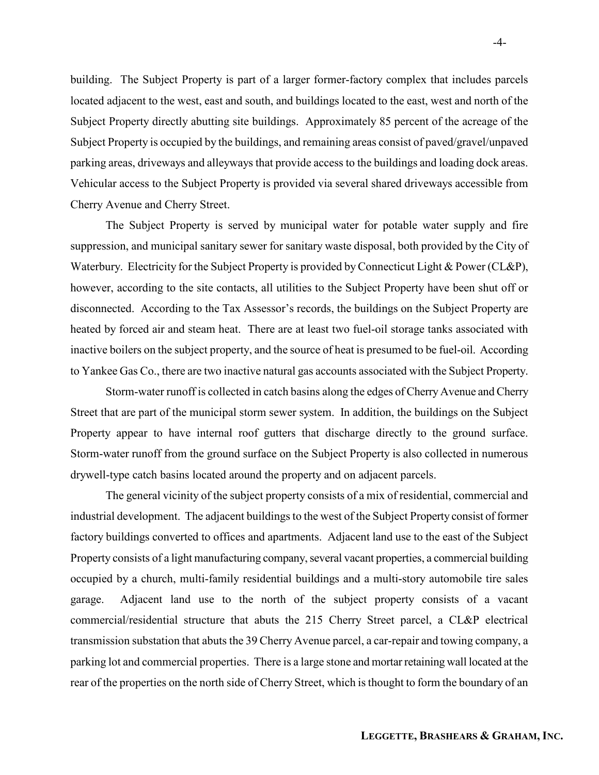building. The Subject Property is part of a larger former-factory complex that includes parcels located adjacent to the west, east and south, and buildings located to the east, west and north of the Subject Property directly abutting site buildings. Approximately 85 percent of the acreage of the Subject Property is occupied by the buildings, and remaining areas consist of paved/gravel/unpaved parking areas, driveways and alleyways that provide access to the buildings and loading dock areas. Vehicular access to the Subject Property is provided via several shared driveways accessible from Cherry Avenue and Cherry Street.

 The Subject Property is served by municipal water for potable water supply and fire suppression, and municipal sanitary sewer for sanitary waste disposal, both provided by the City of Waterbury. Electricity for the Subject Property is provided by Connecticut Light & Power (CL&P), however, according to the site contacts, all utilities to the Subject Property have been shut off or disconnected. According to the Tax Assessor's records, the buildings on the Subject Property are heated by forced air and steam heat. There are at least two fuel-oil storage tanks associated with inactive boilers on the subject property, and the source of heat is presumed to be fuel-oil. According to Yankee Gas Co., there are two inactive natural gas accounts associated with the Subject Property.

Storm-water runoff is collected in catch basins along the edges of Cherry Avenue and Cherry Street that are part of the municipal storm sewer system. In addition, the buildings on the Subject Property appear to have internal roof gutters that discharge directly to the ground surface. Storm-water runoff from the ground surface on the Subject Property is also collected in numerous drywell-type catch basins located around the property and on adjacent parcels.

 The general vicinity of the subject property consists of a mix of residential, commercial and industrial development. The adjacent buildings to the west of the Subject Property consist of former factory buildings converted to offices and apartments. Adjacent land use to the east of the Subject Property consists of a light manufacturing company, several vacant properties, a commercial building occupied by a church, multi-family residential buildings and a multi-story automobile tire sales garage. Adjacent land use to the north of the subject property consists of a vacant commercial/residential structure that abuts the 215 Cherry Street parcel, a CL&P electrical transmission substation that abuts the 39 Cherry Avenue parcel, a car-repair and towing company, a parking lot and commercial properties. There is a large stone and mortar retaining wall located at the rear of the properties on the north side of Cherry Street, which is thought to form the boundary of an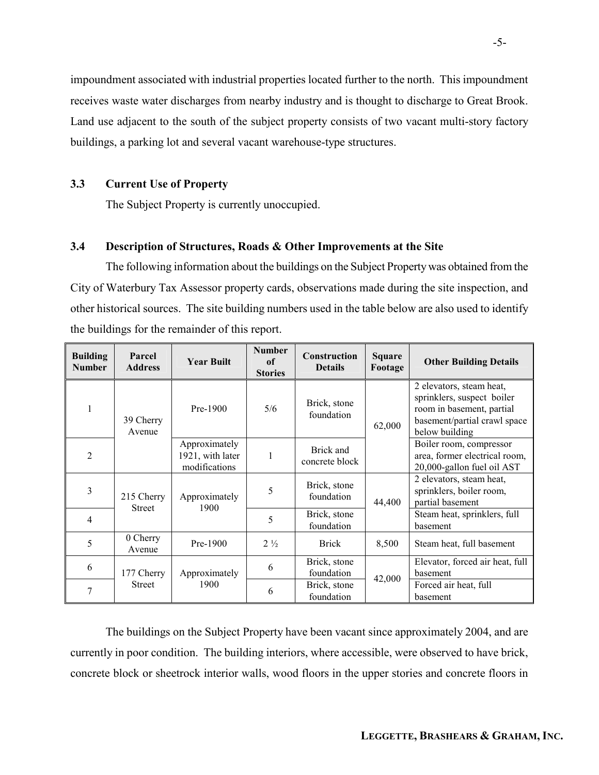impoundment associated with industrial properties located further to the north. This impoundment receives waste water discharges from nearby industry and is thought to discharge to Great Brook. Land use adjacent to the south of the subject property consists of two vacant multi-story factory buildings, a parking lot and several vacant warehouse-type structures.

### 3.3 Current Use of Property

The Subject Property is currently unoccupied.

#### 3.4 Description of Structures, Roads & Other Improvements at the Site

The following information about the buildings on the Subject Property was obtained from the City of Waterbury Tax Assessor property cards, observations made during the site inspection, and other historical sources. The site building numbers used in the table below are also used to identify the buildings for the remainder of this report.

| <b>Building</b><br><b>Number</b> | Parcel<br><b>Address</b>    | <b>Year Built</b>                                  | <b>Number</b><br>of<br><b>Stories</b> | <b>Construction</b><br><b>Details</b> | <b>Square</b><br>Footage | <b>Other Building Details</b>                                                                                                         |
|----------------------------------|-----------------------------|----------------------------------------------------|---------------------------------------|---------------------------------------|--------------------------|---------------------------------------------------------------------------------------------------------------------------------------|
|                                  | 39 Cherry<br>Avenue         | Pre-1900                                           | 5/6                                   | Brick, stone<br>foundation            | 62,000                   | 2 elevators, steam heat,<br>sprinklers, suspect boiler<br>room in basement, partial<br>basement/partial crawl space<br>below building |
| $\overline{2}$                   |                             | Approximately<br>1921, with later<br>modifications |                                       | Brick and<br>concrete block           |                          | Boiler room, compressor<br>area, former electrical room,<br>20,000-gallon fuel oil AST                                                |
| 3                                | 215 Cherry<br><b>Street</b> | Approximately<br>1900                              | 5                                     | Brick, stone<br>foundation            | 44,400                   | 2 elevators, steam heat,<br>sprinklers, boiler room,<br>partial basement                                                              |
| 4                                |                             |                                                    | 5                                     | Brick, stone<br>foundation            |                          | Steam heat, sprinklers, full<br>basement                                                                                              |
| 5                                | 0 Cherry<br>Avenue          | Pre-1900                                           | $2\frac{1}{2}$                        | <b>Brick</b>                          | 8,500                    | Steam heat, full basement                                                                                                             |
| 6                                | 177 Cherry                  | Approximately                                      | 6                                     | Brick, stone<br>foundation            | 42,000                   | Elevator, forced air heat, full<br>basement                                                                                           |
| 7                                | <b>Street</b>               | 1900                                               | 6                                     | Brick, stone<br>foundation            |                          | Forced air heat, full<br>basement                                                                                                     |

 The buildings on the Subject Property have been vacant since approximately 2004, and are currently in poor condition. The building interiors, where accessible, were observed to have brick, concrete block or sheetrock interior walls, wood floors in the upper stories and concrete floors in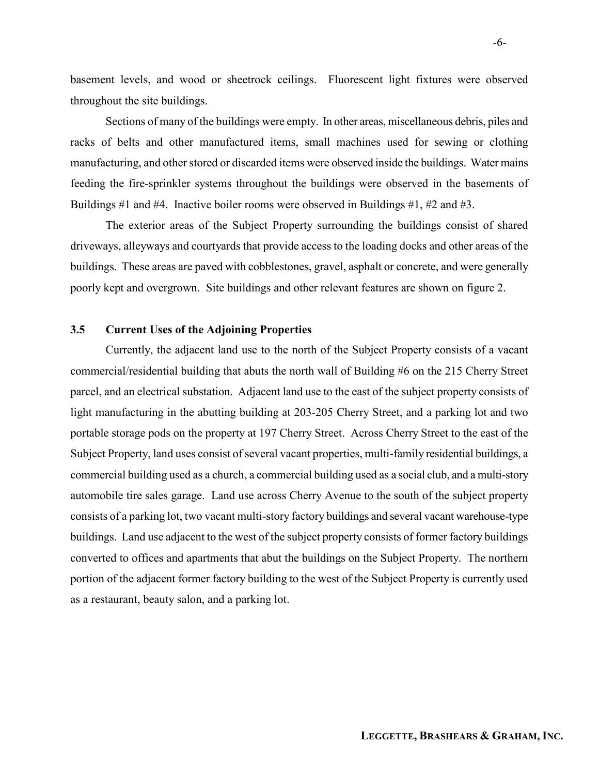basement levels, and wood or sheetrock ceilings. Fluorescent light fixtures were observed throughout the site buildings.

 Sections of many of the buildings were empty. In other areas, miscellaneous debris, piles and racks of belts and other manufactured items, small machines used for sewing or clothing manufacturing, and other stored or discarded items were observed inside the buildings. Water mains feeding the fire-sprinkler systems throughout the buildings were observed in the basements of Buildings #1 and #4. Inactive boiler rooms were observed in Buildings #1, #2 and #3.

 The exterior areas of the Subject Property surrounding the buildings consist of shared driveways, alleyways and courtyards that provide access to the loading docks and other areas of the buildings. These areas are paved with cobblestones, gravel, asphalt or concrete, and were generally poorly kept and overgrown. Site buildings and other relevant features are shown on figure 2.

### 3.5 Current Uses of the Adjoining Properties

Currently, the adjacent land use to the north of the Subject Property consists of a vacant commercial/residential building that abuts the north wall of Building #6 on the 215 Cherry Street parcel, and an electrical substation. Adjacent land use to the east of the subject property consists of light manufacturing in the abutting building at 203-205 Cherry Street, and a parking lot and two portable storage pods on the property at 197 Cherry Street. Across Cherry Street to the east of the Subject Property, land uses consist of several vacant properties, multi-family residential buildings, a commercial building used as a church, a commercial building used as a social club, and a multi-story automobile tire sales garage. Land use across Cherry Avenue to the south of the subject property consists of a parking lot, two vacant multi-story factory buildings and several vacant warehouse-type buildings. Land use adjacent to the west of the subject property consists of former factory buildings converted to offices and apartments that abut the buildings on the Subject Property. The northern portion of the adjacent former factory building to the west of the Subject Property is currently used as a restaurant, beauty salon, and a parking lot.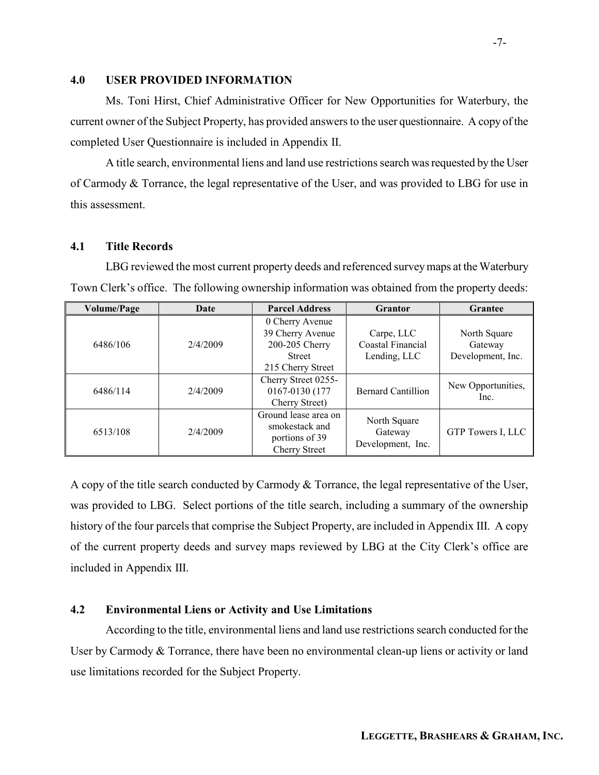#### 4.0 USER PROVIDED INFORMATION

Ms. Toni Hirst, Chief Administrative Officer for New Opportunities for Waterbury, the current owner of the Subject Property, has provided answers to the user questionnaire. A copy of the completed User Questionnaire is included in Appendix II.

A title search, environmental liens and land use restrictions search was requested by the User of Carmody & Torrance, the legal representative of the User, and was provided to LBG for use in this assessment.

#### 4.1 Title Records

LBG reviewed the most current property deeds and referenced survey maps at the Waterbury Town Clerk's office. The following ownership information was obtained from the property deeds:

| <b>Volume/Page</b> | Date     | <b>Parcel Address</b> | <b>Grantor</b>            | Grantee            |
|--------------------|----------|-----------------------|---------------------------|--------------------|
|                    |          | 0 Cherry Avenue       |                           |                    |
|                    |          | 39 Cherry Avenue      | Carpe, LLC                | North Square       |
| 6486/106           | 2/4/2009 | 200-205 Cherry        | Coastal Financial         | Gateway            |
|                    |          | <b>Street</b>         | Lending, LLC              | Development, Inc.  |
|                    |          | 215 Cherry Street     |                           |                    |
|                    |          | Cherry Street 0255-   |                           |                    |
| 6486/114           | 2/4/2009 | 0167-0130 (177        | <b>Bernard Cantillion</b> | New Opportunities, |
|                    |          | Cherry Street)        |                           | Inc.               |
|                    |          | Ground lease area on  |                           |                    |
| 6513/108           | 2/4/2009 | smokestack and        | North Square              |                    |
|                    |          | portions of 39        | Gateway                   | GTP Towers I, LLC  |
|                    |          | <b>Cherry Street</b>  | Development, Inc.         |                    |

A copy of the title search conducted by Carmody & Torrance, the legal representative of the User, was provided to LBG. Select portions of the title search, including a summary of the ownership history of the four parcels that comprise the Subject Property, are included in Appendix III. A copy of the current property deeds and survey maps reviewed by LBG at the City Clerk's office are included in Appendix III.

### 4.2 Environmental Liens or Activity and Use Limitations

 According to the title, environmental liens and land use restrictions search conducted for the User by Carmody & Torrance, there have been no environmental clean-up liens or activity or land use limitations recorded for the Subject Property.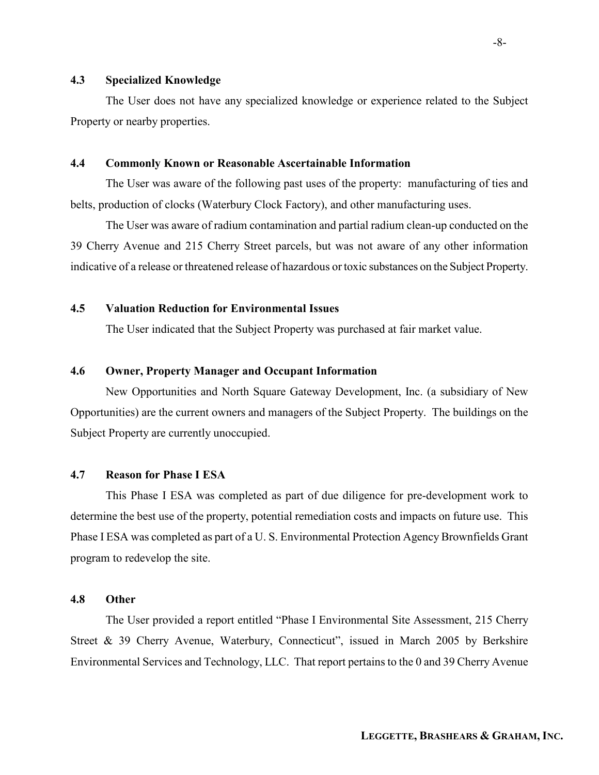#### 4.3 Specialized Knowledge

The User does not have any specialized knowledge or experience related to the Subject Property or nearby properties.

#### 4.4 Commonly Known or Reasonable Ascertainable Information

The User was aware of the following past uses of the property: manufacturing of ties and belts, production of clocks (Waterbury Clock Factory), and other manufacturing uses.

The User was aware of radium contamination and partial radium clean-up conducted on the 39 Cherry Avenue and 215 Cherry Street parcels, but was not aware of any other information indicative of a release or threatened release of hazardous or toxic substances on the Subject Property.

### 4.5 Valuation Reduction for Environmental Issues

The User indicated that the Subject Property was purchased at fair market value.

### 4.6 Owner, Property Manager and Occupant Information

New Opportunities and North Square Gateway Development, Inc. (a subsidiary of New Opportunities) are the current owners and managers of the Subject Property. The buildings on the Subject Property are currently unoccupied.

#### 4.7 Reason for Phase I ESA

This Phase I ESA was completed as part of due diligence for pre-development work to determine the best use of the property, potential remediation costs and impacts on future use. This Phase I ESA was completed as part of a U. S. Environmental Protection Agency Brownfields Grant program to redevelop the site.

#### 4.8 Other

The User provided a report entitled "Phase I Environmental Site Assessment, 215 Cherry Street & 39 Cherry Avenue, Waterbury, Connecticut", issued in March 2005 by Berkshire Environmental Services and Technology, LLC. That report pertains to the 0 and 39 Cherry Avenue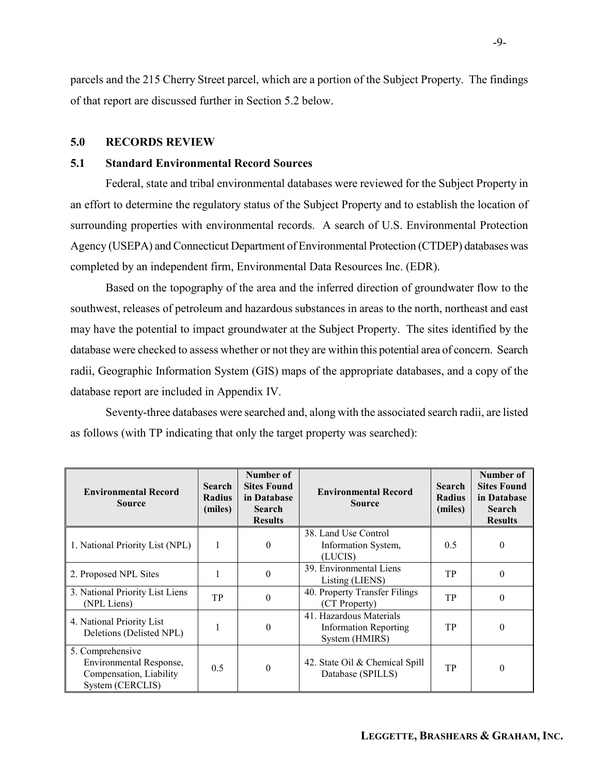parcels and the 215 Cherry Street parcel, which are a portion of the Subject Property. The findings of that report are discussed further in Section 5.2 below.

#### 5.0 RECORDS REVIEW

### 5.1 Standard Environmental Record Sources

Federal, state and tribal environmental databases were reviewed for the Subject Property in an effort to determine the regulatory status of the Subject Property and to establish the location of surrounding properties with environmental records. A search of U.S. Environmental Protection Agency (USEPA) and Connecticut Department of Environmental Protection (CTDEP) databases was completed by an independent firm, Environmental Data Resources Inc. (EDR).

Based on the topography of the area and the inferred direction of groundwater flow to the southwest, releases of petroleum and hazardous substances in areas to the north, northeast and east may have the potential to impact groundwater at the Subject Property. The sites identified by the database were checked to assess whether or not they are within this potential area of concern. Search radii, Geographic Information System (GIS) maps of the appropriate databases, and a copy of the database report are included in Appendix IV.

Seventy-three databases were searched and, along with the associated search radii, are listed as follows (with TP indicating that only the target property was searched):

| <b>Environmental Record</b><br><b>Source</b>                                               | <b>Search</b><br><b>Radius</b><br>(miles) | Number of<br><b>Sites Found</b><br>in Database<br><b>Search</b><br><b>Results</b> | <b>Environmental Record</b><br><b>Source</b>                              | <b>Search</b><br><b>Radius</b><br>(miles) | Number of<br><b>Sites Found</b><br>in Database<br><b>Search</b><br><b>Results</b> |
|--------------------------------------------------------------------------------------------|-------------------------------------------|-----------------------------------------------------------------------------------|---------------------------------------------------------------------------|-------------------------------------------|-----------------------------------------------------------------------------------|
| 1. National Priority List (NPL)                                                            | ш                                         | $\theta$                                                                          | 38. Land Use Control<br>Information System,<br>(LUCIS)                    | 0.5                                       | $\Omega$                                                                          |
| 2. Proposed NPL Sites                                                                      |                                           | $\theta$                                                                          | 39. Environmental Liens<br>Listing (LIENS)                                | TP                                        | $\Omega$                                                                          |
| 3. National Priority List Liens<br>(NPL Liens)                                             | TP                                        | $\theta$                                                                          | 40. Property Transfer Filings<br>(CT Property)                            | TP                                        | $\Omega$                                                                          |
| 4. National Priority List<br>Deletions (Delisted NPL)                                      |                                           | $\overline{0}$                                                                    | 41. Hazardous Materials<br><b>Information Reporting</b><br>System (HMIRS) | TP                                        | $\theta$                                                                          |
| 5. Comprehensive<br>Environmental Response,<br>Compensation, Liability<br>System (CERCLIS) | 0.5                                       | $\theta$                                                                          | 42. State Oil & Chemical Spill<br>Database (SPILLS)                       | TP                                        | $\Omega$                                                                          |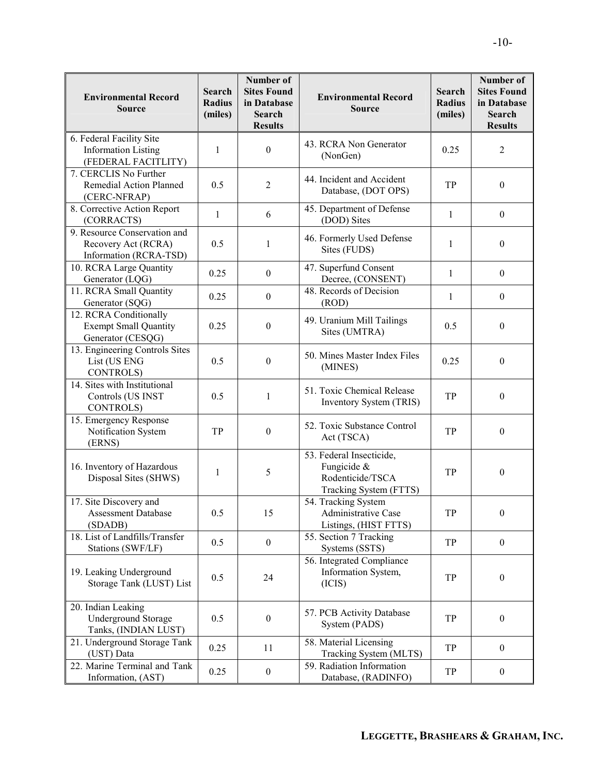| <b>Environmental Record</b><br><b>Source</b>                                  | <b>Search</b><br><b>Radius</b><br>(miles) | Number of<br><b>Sites Found</b><br>in Database<br>Search<br><b>Results</b> | <b>Environmental Record</b><br><b>Source</b>                                          | <b>Search</b><br><b>Radius</b><br>(miles) | Number of<br><b>Sites Found</b><br>in Database<br>Search<br><b>Results</b> |
|-------------------------------------------------------------------------------|-------------------------------------------|----------------------------------------------------------------------------|---------------------------------------------------------------------------------------|-------------------------------------------|----------------------------------------------------------------------------|
| 6. Federal Facility Site<br><b>Information Listing</b><br>(FEDERAL FACITLITY) | 1                                         | $\boldsymbol{0}$                                                           | 43. RCRA Non Generator<br>(NonGen)                                                    | 0.25                                      | $\overline{2}$                                                             |
| 7. CERCLIS No Further<br>Remedial Action Planned<br>(CERC-NFRAP)              | 0.5                                       | $\overline{2}$                                                             | 44. Incident and Accident<br>Database, (DOT OPS)                                      | TP                                        | $\boldsymbol{0}$                                                           |
| 8. Corrective Action Report<br>(CORRACTS)                                     | 1                                         | 6                                                                          | 45. Department of Defense<br>(DOD) Sites                                              | 1                                         | $\boldsymbol{0}$                                                           |
| 9. Resource Conservation and<br>Recovery Act (RCRA)<br>Information (RCRA-TSD) | 0.5                                       | 1                                                                          | 46. Formerly Used Defense<br>Sites (FUDS)                                             | 1                                         | $\boldsymbol{0}$                                                           |
| 10. RCRA Large Quantity<br>Generator (LQG)                                    | 0.25                                      | $\boldsymbol{0}$                                                           | 47. Superfund Consent<br>Decree, (CONSENT)                                            | 1                                         | $\boldsymbol{0}$                                                           |
| 11. RCRA Small Quantity<br>Generator (SQG)                                    | 0.25                                      | $\boldsymbol{0}$                                                           | 48. Records of Decision<br>(ROD)                                                      | 1                                         | $\boldsymbol{0}$                                                           |
| 12. RCRA Conditionally<br><b>Exempt Small Quantity</b><br>Generator (CESQG)   | 0.25                                      | $\boldsymbol{0}$                                                           | 49. Uranium Mill Tailings<br>Sites (UMTRA)                                            | 0.5                                       | $\boldsymbol{0}$                                                           |
| 13. Engineering Controls Sites<br>List (US ENG<br><b>CONTROLS</b> )           | 0.5                                       | $\boldsymbol{0}$                                                           | 50. Mines Master Index Files<br>(MINES)                                               | 0.25                                      | $\boldsymbol{0}$                                                           |
| 14. Sites with Institutional<br>Controls (US INST<br><b>CONTROLS</b> )        | 0.5                                       | 1                                                                          | 51. Toxic Chemical Release<br>Inventory System (TRIS)                                 | TP                                        | $\theta$                                                                   |
| 15. Emergency Response<br>Notification System<br>(ERNS)                       | TP                                        | $\boldsymbol{0}$                                                           | 52. Toxic Substance Control<br>Act (TSCA)                                             | TP                                        | $\boldsymbol{0}$                                                           |
| 16. Inventory of Hazardous<br>Disposal Sites (SHWS)                           | 1                                         | 5                                                                          | 53. Federal Insecticide,<br>Fungicide &<br>Rodenticide/TSCA<br>Tracking System (FTTS) | TP                                        | $\boldsymbol{0}$                                                           |
| 17. Site Discovery and<br>Assessment Database<br>(SDADB)                      | 0.5                                       | 15                                                                         | 54. Tracking System<br>Administrative Case<br>Listings, (HIST FTTS)                   | TP                                        | $\mathbf{0}$                                                               |
| 18. List of Landfills/Transfer<br>Stations (SWF/LF)                           | 0.5                                       | $\boldsymbol{0}$                                                           | 55. Section 7 Tracking<br>Systems (SSTS)                                              | TP                                        | $\boldsymbol{0}$                                                           |
| 19. Leaking Underground<br>Storage Tank (LUST) List                           | 0.5                                       | 24                                                                         | 56. Integrated Compliance<br>Information System,<br>(ICIS)                            | TP                                        | $\boldsymbol{0}$                                                           |
| 20. Indian Leaking<br><b>Underground Storage</b><br>Tanks, (INDIAN LUST)      | 0.5                                       | $\boldsymbol{0}$                                                           | 57. PCB Activity Database<br>System (PADS)                                            | TP                                        | $\boldsymbol{0}$                                                           |
| 21. Underground Storage Tank<br>(UST) Data                                    | 0.25                                      | 11                                                                         | 58. Material Licensing<br>Tracking System (MLTS)                                      | TP                                        | $\boldsymbol{0}$                                                           |
| 22. Marine Terminal and Tank<br>Information, (AST)                            | 0.25                                      | $\boldsymbol{0}$                                                           | 59. Radiation Information<br>Database, (RADINFO)                                      | TP                                        | $\bf{0}$                                                                   |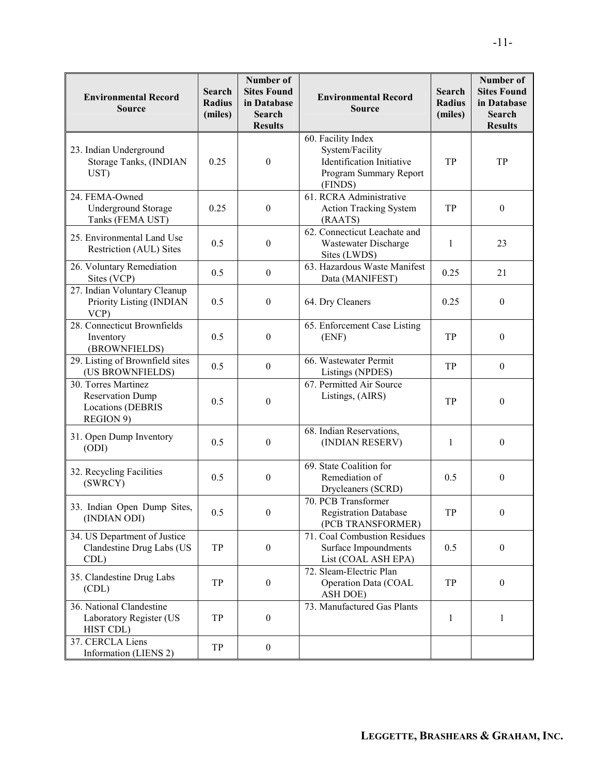| <b>Environmental Record</b><br><b>Source</b>                                            | <b>Search</b><br><b>Radius</b><br>(miles) | Number of<br><b>Sites Found</b><br>in Database<br><b>Search</b><br><b>Results</b> | <b>Environmental Record</b><br><b>Source</b>                                                            | <b>Search</b><br><b>Radius</b><br>(miles) | Number of<br><b>Sites Found</b><br>in Database<br><b>Search</b><br><b>Results</b> |
|-----------------------------------------------------------------------------------------|-------------------------------------------|-----------------------------------------------------------------------------------|---------------------------------------------------------------------------------------------------------|-------------------------------------------|-----------------------------------------------------------------------------------|
| 23. Indian Underground<br>Storage Tanks, (INDIAN<br>UST)                                | 0.25                                      | $\boldsymbol{0}$                                                                  | 60. Facility Index<br>System/Facility<br>Identification Initiative<br>Program Summary Report<br>(FINDS) | TP                                        | TP                                                                                |
| 24. FEMA-Owned<br><b>Underground Storage</b><br>Tanks (FEMA UST)                        | 0.25                                      | $\boldsymbol{0}$                                                                  | 61. RCRA Administrative<br><b>Action Tracking System</b><br>(RAATS)                                     | TP                                        | $\mathbf{0}$                                                                      |
| 25. Environmental Land Use<br>Restriction (AUL) Sites                                   | 0.5                                       | $\boldsymbol{0}$                                                                  | 62. Connecticut Leachate and<br>Wastewater Discharge<br>Sites (LWDS)                                    | 1                                         | 23                                                                                |
| 26. Voluntary Remediation<br>Sites (VCP)                                                | 0.5                                       | $\boldsymbol{0}$                                                                  | 63. Hazardous Waste Manifest<br>Data (MANIFEST)                                                         | 0.25                                      | 21                                                                                |
| 27. Indian Voluntary Cleanup<br>Priority Listing (INDIAN<br>VCP                         | 0.5                                       | $\mathbf{0}$                                                                      | 64. Dry Cleaners                                                                                        | 0.25                                      | $\boldsymbol{0}$                                                                  |
| 28. Connecticut Brownfields<br>Inventory<br>(BROWNFIELDS)                               | 0.5                                       | $\boldsymbol{0}$                                                                  | 65. Enforcement Case Listing<br>(ENF)                                                                   | TP                                        | $\boldsymbol{0}$                                                                  |
| 29. Listing of Brownfield sites<br>(US BROWNFIELDS)                                     | 0.5                                       | $\boldsymbol{0}$                                                                  | 66. Wastewater Permit<br>Listings (NPDES)                                                               | TP                                        | $\mathbf{0}$                                                                      |
| 30. Torres Martinez<br><b>Reservation Dump</b><br><b>Locations (DEBRIS</b><br>REGION 9) | 0.5                                       | $\theta$                                                                          | 67. Permitted Air Source<br>Listings, (AIRS)                                                            | TP                                        | $\boldsymbol{0}$                                                                  |
| 31. Open Dump Inventory<br>(ODI)                                                        | 0.5                                       | $\boldsymbol{0}$                                                                  | 68. Indian Reservations,<br>(INDIAN RESERV)                                                             | $\mathbf{1}$                              | $\boldsymbol{0}$                                                                  |
| 32. Recycling Facilities<br>(SWRCY)                                                     | 0.5                                       | $\boldsymbol{0}$                                                                  | 69. State Coalition for<br>Remediation of<br>Drycleaners (SCRD)                                         | 0.5                                       | $\boldsymbol{0}$                                                                  |
| 33. Indian Open Dump Sites,<br>(INDIAN ODI)                                             | 0.5                                       | $\mathbf{0}$                                                                      | 70. PCB Transformer<br><b>Registration Database</b><br>(PCB TRANSFORMER)                                | ${\rm TP}$                                | $\boldsymbol{0}$                                                                  |
| 34. US Department of Justice<br>Clandestine Drug Labs (US<br>CDL)                       | TP                                        | $\boldsymbol{0}$                                                                  | 71. Coal Combustion Residues<br>Surface Impoundments<br>List (COAL ASH EPA)                             | 0.5                                       | $\mathbf{0}$                                                                      |
| 35. Clandestine Drug Labs<br>(CDL)                                                      | TP                                        | $\boldsymbol{0}$                                                                  | 72. Sleam-Electric Plan<br>Operation Data (COAL<br>ASH DOE)                                             | TP                                        | $\boldsymbol{0}$                                                                  |
| 36. National Clandestine<br>Laboratory Register (US<br>HIST CDL)                        | TP                                        | $\boldsymbol{0}$                                                                  | 73. Manufactured Gas Plants                                                                             | 1                                         | 1                                                                                 |
| 37. CERCLA Liens<br>Information (LIENS 2)                                               | TP                                        | $\boldsymbol{0}$                                                                  |                                                                                                         |                                           |                                                                                   |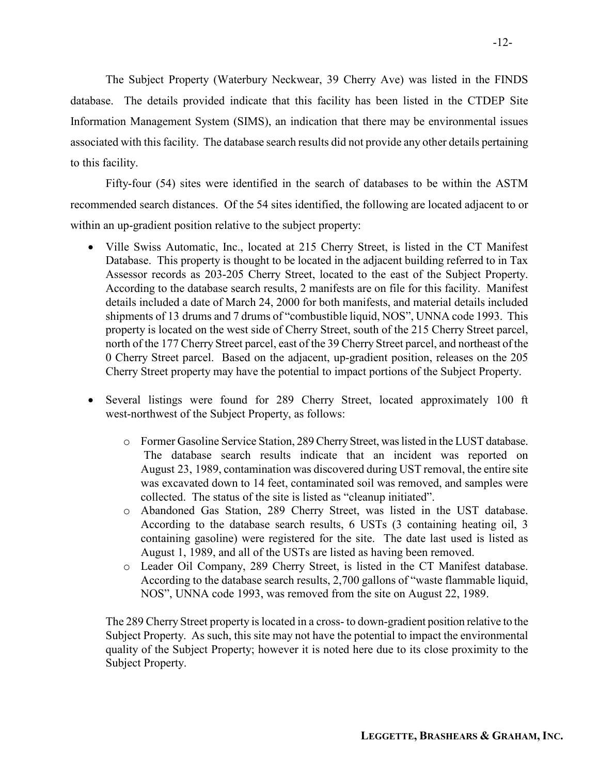The Subject Property (Waterbury Neckwear, 39 Cherry Ave) was listed in the FINDS database. The details provided indicate that this facility has been listed in the CTDEP Site Information Management System (SIMS), an indication that there may be environmental issues associated with this facility. The database search results did not provide any other details pertaining to this facility.

Fifty-four (54) sites were identified in the search of databases to be within the ASTM recommended search distances. Of the 54 sites identified, the following are located adjacent to or within an up-gradient position relative to the subject property:

- Ville Swiss Automatic, Inc., located at 215 Cherry Street, is listed in the CT Manifest Database. This property is thought to be located in the adjacent building referred to in Tax Assessor records as 203-205 Cherry Street, located to the east of the Subject Property. According to the database search results, 2 manifests are on file for this facility. Manifest details included a date of March 24, 2000 for both manifests, and material details included shipments of 13 drums and 7 drums of "combustible liquid, NOS", UNNA code 1993. This property is located on the west side of Cherry Street, south of the 215 Cherry Street parcel, north of the 177 Cherry Street parcel, east of the 39 Cherry Street parcel, and northeast of the 0 Cherry Street parcel. Based on the adjacent, up-gradient position, releases on the 205 Cherry Street property may have the potential to impact portions of the Subject Property.
- Several listings were found for 289 Cherry Street, located approximately 100 ft west-northwest of the Subject Property, as follows:
	- o Former Gasoline Service Station, 289 Cherry Street, was listed in the LUST database. The database search results indicate that an incident was reported on August 23, 1989, contamination was discovered during UST removal, the entire site was excavated down to 14 feet, contaminated soil was removed, and samples were collected. The status of the site is listed as "cleanup initiated".
	- o Abandoned Gas Station, 289 Cherry Street, was listed in the UST database. According to the database search results, 6 USTs (3 containing heating oil, 3 containing gasoline) were registered for the site. The date last used is listed as August 1, 1989, and all of the USTs are listed as having been removed.
	- o Leader Oil Company, 289 Cherry Street, is listed in the CT Manifest database. According to the database search results, 2,700 gallons of "waste flammable liquid, NOS", UNNA code 1993, was removed from the site on August 22, 1989.

The 289 Cherry Street property is located in a cross- to down-gradient position relative to the Subject Property. As such, this site may not have the potential to impact the environmental quality of the Subject Property; however it is noted here due to its close proximity to the Subject Property.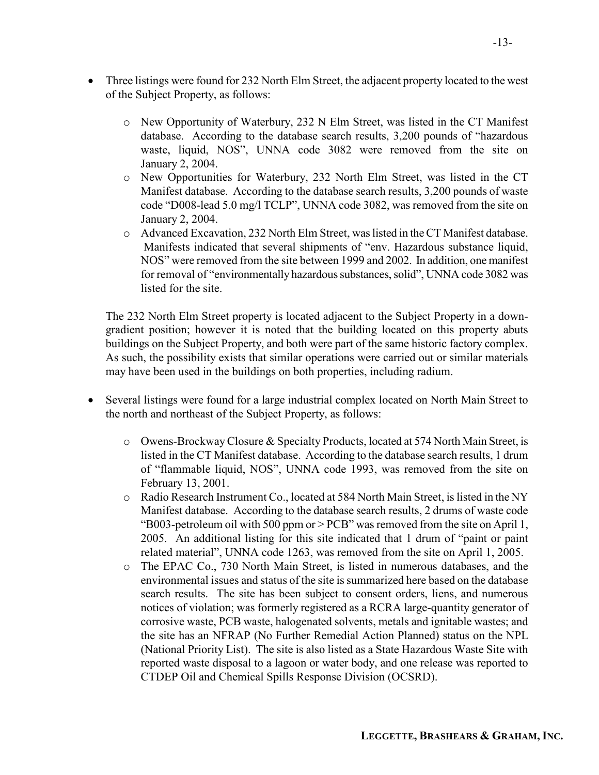- o New Opportunity of Waterbury, 232 N Elm Street, was listed in the CT Manifest database. According to the database search results, 3,200 pounds of "hazardous waste, liquid, NOS", UNNA code 3082 were removed from the site on January 2, 2004.
- o New Opportunities for Waterbury, 232 North Elm Street, was listed in the CT Manifest database. According to the database search results, 3,200 pounds of waste code "D008-lead 5.0 mg/l TCLP", UNNA code 3082, was removed from the site on January 2, 2004.
- o Advanced Excavation, 232 North Elm Street, was listed in the CT Manifest database. Manifests indicated that several shipments of "env. Hazardous substance liquid, NOS" were removed from the site between 1999 and 2002. In addition, one manifest for removal of "environmentally hazardous substances, solid", UNNA code 3082 was listed for the site.

The 232 North Elm Street property is located adjacent to the Subject Property in a downgradient position; however it is noted that the building located on this property abuts buildings on the Subject Property, and both were part of the same historic factory complex. As such, the possibility exists that similar operations were carried out or similar materials may have been used in the buildings on both properties, including radium.

- Several listings were found for a large industrial complex located on North Main Street to the north and northeast of the Subject Property, as follows:
	- o Owens-Brockway Closure & Specialty Products, located at 574 North Main Street, is listed in the CT Manifest database. According to the database search results, 1 drum of "flammable liquid, NOS", UNNA code 1993, was removed from the site on February 13, 2001.
	- o Radio Research Instrument Co., located at 584 North Main Street, is listed in the NY Manifest database. According to the database search results, 2 drums of waste code "B003-petroleum oil with 500 ppm or > PCB" was removed from the site on April 1, 2005. An additional listing for this site indicated that 1 drum of "paint or paint related material", UNNA code 1263, was removed from the site on April 1, 2005.
	- o The EPAC Co., 730 North Main Street, is listed in numerous databases, and the environmental issues and status of the site is summarized here based on the database search results. The site has been subject to consent orders, liens, and numerous notices of violation; was formerly registered as a RCRA large-quantity generator of corrosive waste, PCB waste, halogenated solvents, metals and ignitable wastes; and the site has an NFRAP (No Further Remedial Action Planned) status on the NPL (National Priority List). The site is also listed as a State Hazardous Waste Site with reported waste disposal to a lagoon or water body, and one release was reported to CTDEP Oil and Chemical Spills Response Division (OCSRD).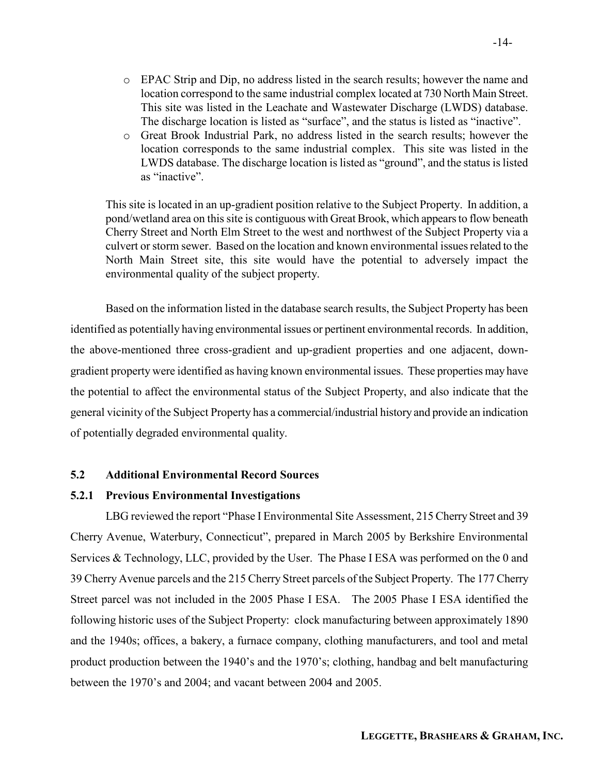- o EPAC Strip and Dip, no address listed in the search results; however the name and location correspond to the same industrial complex located at 730 North Main Street. This site was listed in the Leachate and Wastewater Discharge (LWDS) database. The discharge location is listed as "surface", and the status is listed as "inactive".
- o Great Brook Industrial Park, no address listed in the search results; however the location corresponds to the same industrial complex. This site was listed in the LWDS database. The discharge location is listed as "ground", and the status is listed as "inactive".

This site is located in an up-gradient position relative to the Subject Property. In addition, a pond/wetland area on this site is contiguous with Great Brook, which appears to flow beneath Cherry Street and North Elm Street to the west and northwest of the Subject Property via a culvert or storm sewer. Based on the location and known environmental issues related to the North Main Street site, this site would have the potential to adversely impact the environmental quality of the subject property.

 Based on the information listed in the database search results, the Subject Property has been identified as potentially having environmental issues or pertinent environmental records. In addition, the above-mentioned three cross-gradient and up-gradient properties and one adjacent, downgradient property were identified as having known environmental issues. These properties may have the potential to affect the environmental status of the Subject Property, and also indicate that the general vicinity of the Subject Property has a commercial/industrial history and provide an indication of potentially degraded environmental quality.

### 5.2 Additional Environmental Record Sources

### 5.2.1 Previous Environmental Investigations

LBG reviewed the report "Phase I Environmental Site Assessment, 215 Cherry Street and 39 Cherry Avenue, Waterbury, Connecticut", prepared in March 2005 by Berkshire Environmental Services & Technology, LLC, provided by the User. The Phase I ESA was performed on the 0 and 39 Cherry Avenue parcels and the 215 Cherry Street parcels of the Subject Property. The 177 Cherry Street parcel was not included in the 2005 Phase I ESA. The 2005 Phase I ESA identified the following historic uses of the Subject Property: clock manufacturing between approximately 1890 and the 1940s; offices, a bakery, a furnace company, clothing manufacturers, and tool and metal product production between the 1940's and the 1970's; clothing, handbag and belt manufacturing between the 1970's and 2004; and vacant between 2004 and 2005.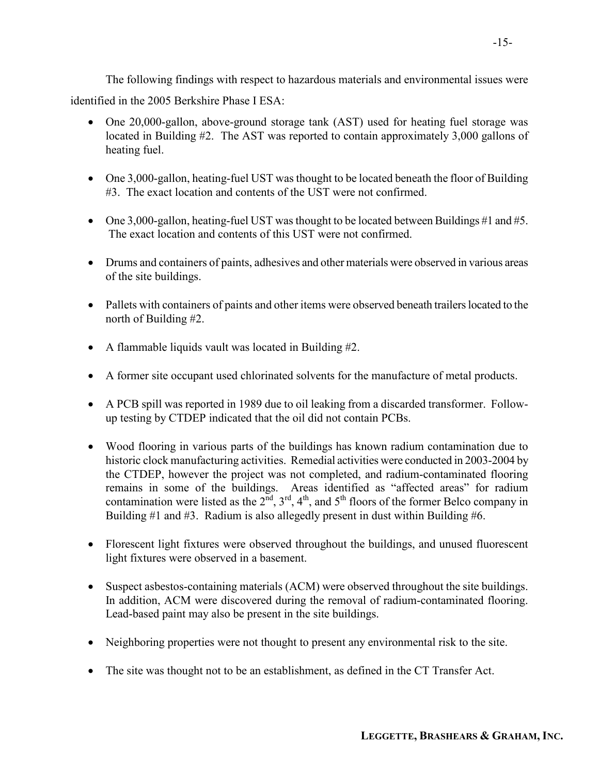The following findings with respect to hazardous materials and environmental issues were identified in the 2005 Berkshire Phase I ESA:

- One 20,000-gallon, above-ground storage tank (AST) used for heating fuel storage was located in Building #2. The AST was reported to contain approximately 3,000 gallons of heating fuel.
- One 3,000-gallon, heating-fuel UST was thought to be located beneath the floor of Building #3. The exact location and contents of the UST were not confirmed.
- One 3,000-gallon, heating-fuel UST was thought to be located between Buildings #1 and #5. The exact location and contents of this UST were not confirmed.
- Drums and containers of paints, adhesives and other materials were observed in various areas of the site buildings.
- Pallets with containers of paints and other items were observed beneath trailers located to the north of Building #2.
- A flammable liquids vault was located in Building #2.
- A former site occupant used chlorinated solvents for the manufacture of metal products.
- A PCB spill was reported in 1989 due to oil leaking from a discarded transformer. Followup testing by CTDEP indicated that the oil did not contain PCBs.
- Wood flooring in various parts of the buildings has known radium contamination due to historic clock manufacturing activities. Remedial activities were conducted in 2003-2004 by the CTDEP, however the project was not completed, and radium-contaminated flooring remains in some of the buildings. Areas identified as "affected areas" for radium contamination were listed as the  $2<sup>nd</sup>$ ,  $3<sup>rd</sup>$ ,  $4<sup>th</sup>$ , and  $5<sup>th</sup>$  floors of the former Belco company in Building #1 and #3. Radium is also allegedly present in dust within Building #6.
- Florescent light fixtures were observed throughout the buildings, and unused fluorescent light fixtures were observed in a basement.
- Suspect asbestos-containing materials (ACM) were observed throughout the site buildings. In addition, ACM were discovered during the removal of radium-contaminated flooring. Lead-based paint may also be present in the site buildings.
- Neighboring properties were not thought to present any environmental risk to the site.
- The site was thought not to be an establishment, as defined in the CT Transfer Act.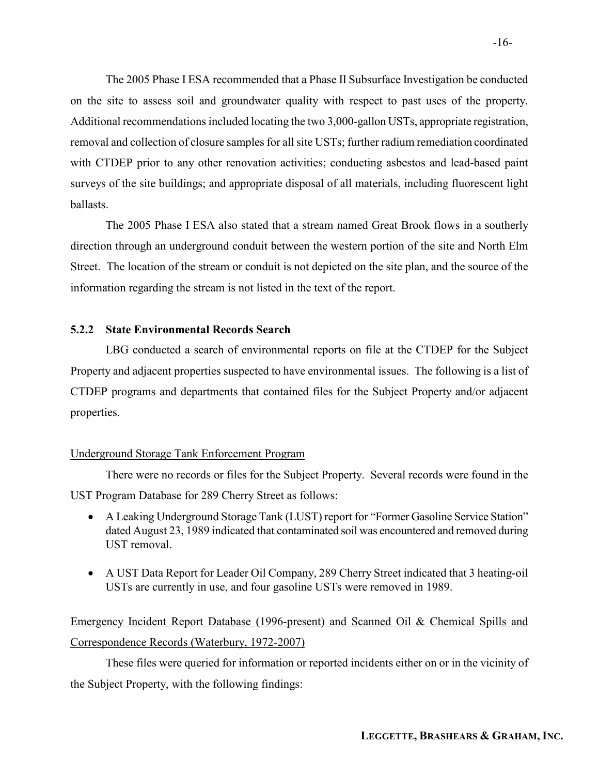The 2005 Phase I ESA recommended that a Phase II Subsurface Investigation be conducted on the site to assess soil and groundwater quality with respect to past uses of the property. Additional recommendations included locating the two 3,000-gallon USTs, appropriate registration, removal and collection of closure samples for all site USTs; further radium remediation coordinated with CTDEP prior to any other renovation activities; conducting asbestos and lead-based paint surveys of the site buildings; and appropriate disposal of all materials, including fluorescent light ballasts.

The 2005 Phase I ESA also stated that a stream named Great Brook flows in a southerly direction through an underground conduit between the western portion of the site and North Elm Street. The location of the stream or conduit is not depicted on the site plan, and the source of the information regarding the stream is not listed in the text of the report.

#### 5.2.2 State Environmental Records Search

 LBG conducted a search of environmental reports on file at the CTDEP for the Subject Property and adjacent properties suspected to have environmental issues. The following is a list of CTDEP programs and departments that contained files for the Subject Property and/or adjacent properties.

#### Underground Storage Tank Enforcement Program

 There were no records or files for the Subject Property. Several records were found in the UST Program Database for 289 Cherry Street as follows:

- A Leaking Underground Storage Tank (LUST) report for "Former Gasoline Service Station" dated August 23, 1989 indicated that contaminated soil was encountered and removed during UST removal.
- A UST Data Report for Leader Oil Company, 289 Cherry Street indicated that 3 heating-oil USTs are currently in use, and four gasoline USTs were removed in 1989.

# Emergency Incident Report Database (1996-present) and Scanned Oil & Chemical Spills and Correspondence Records (Waterbury, 1972-2007)

 These files were queried for information or reported incidents either on or in the vicinity of the Subject Property, with the following findings: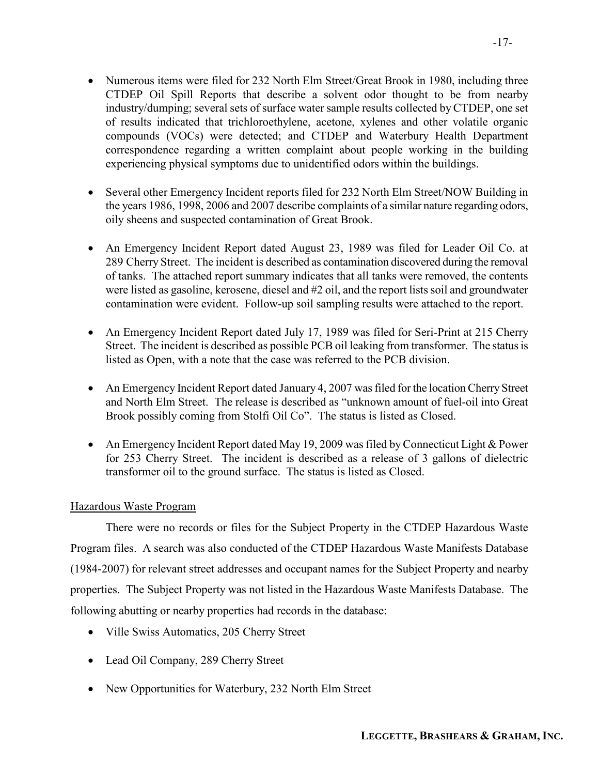- Numerous items were filed for 232 North Elm Street/Great Brook in 1980, including three CTDEP Oil Spill Reports that describe a solvent odor thought to be from nearby industry/dumping; several sets of surface water sample results collected by CTDEP, one set of results indicated that trichloroethylene, acetone, xylenes and other volatile organic compounds (VOCs) were detected; and CTDEP and Waterbury Health Department correspondence regarding a written complaint about people working in the building experiencing physical symptoms due to unidentified odors within the buildings.
- Several other Emergency Incident reports filed for 232 North Elm Street/NOW Building in the years 1986, 1998, 2006 and 2007 describe complaints of a similar nature regarding odors, oily sheens and suspected contamination of Great Brook.
- An Emergency Incident Report dated August 23, 1989 was filed for Leader Oil Co. at 289 Cherry Street. The incident is described as contamination discovered during the removal of tanks. The attached report summary indicates that all tanks were removed, the contents were listed as gasoline, kerosene, diesel and #2 oil, and the report lists soil and groundwater contamination were evident. Follow-up soil sampling results were attached to the report.
- An Emergency Incident Report dated July 17, 1989 was filed for Seri-Print at 215 Cherry Street. The incident is described as possible PCB oil leaking from transformer. The status is listed as Open, with a note that the case was referred to the PCB division.
- An Emergency Incident Report dated January 4, 2007 was filed for the location Cherry Street and North Elm Street. The release is described as "unknown amount of fuel-oil into Great Brook possibly coming from Stolfi Oil Co". The status is listed as Closed.
- An Emergency Incident Report dated May 19, 2009 was filed by Connecticut Light & Power for 253 Cherry Street. The incident is described as a release of 3 gallons of dielectric transformer oil to the ground surface. The status is listed as Closed.

### Hazardous Waste Program

 There were no records or files for the Subject Property in the CTDEP Hazardous Waste Program files. A search was also conducted of the CTDEP Hazardous Waste Manifests Database (1984-2007) for relevant street addresses and occupant names for the Subject Property and nearby properties. The Subject Property was not listed in the Hazardous Waste Manifests Database. The following abutting or nearby properties had records in the database:

- Ville Swiss Automatics, 205 Cherry Street
- Lead Oil Company, 289 Cherry Street
- New Opportunities for Waterbury, 232 North Elm Street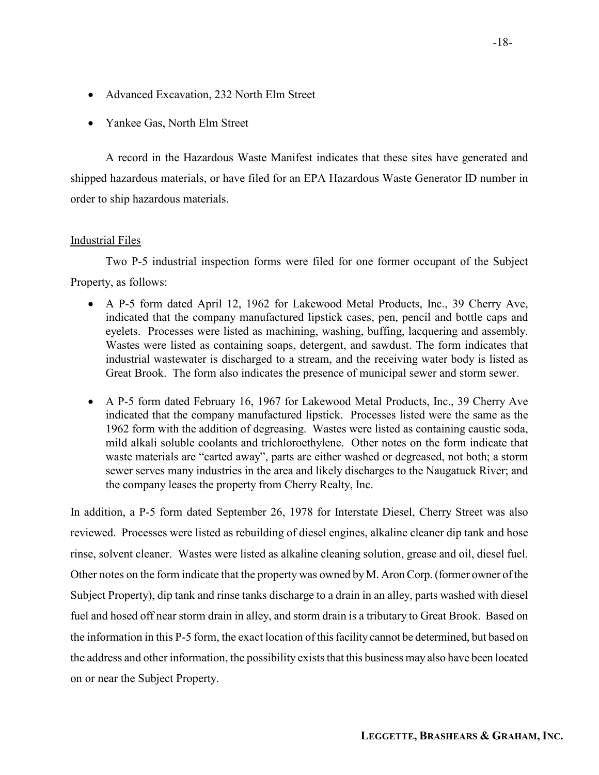- Advanced Excavation, 232 North Elm Street
- Yankee Gas, North Elm Street

A record in the Hazardous Waste Manifest indicates that these sites have generated and shipped hazardous materials, or have filed for an EPA Hazardous Waste Generator ID number in order to ship hazardous materials.

#### Industrial Files

 Two P-5 industrial inspection forms were filed for one former occupant of the Subject Property, as follows:

- A P-5 form dated April 12, 1962 for Lakewood Metal Products, Inc., 39 Cherry Ave, indicated that the company manufactured lipstick cases, pen, pencil and bottle caps and eyelets. Processes were listed as machining, washing, buffing, lacquering and assembly. Wastes were listed as containing soaps, detergent, and sawdust. The form indicates that industrial wastewater is discharged to a stream, and the receiving water body is listed as Great Brook. The form also indicates the presence of municipal sewer and storm sewer.
- A P-5 form dated February 16, 1967 for Lakewood Metal Products, Inc., 39 Cherry Ave indicated that the company manufactured lipstick. Processes listed were the same as the 1962 form with the addition of degreasing. Wastes were listed as containing caustic soda, mild alkali soluble coolants and trichloroethylene. Other notes on the form indicate that waste materials are "carted away", parts are either washed or degreased, not both; a storm sewer serves many industries in the area and likely discharges to the Naugatuck River; and the company leases the property from Cherry Realty, Inc.

In addition, a P-5 form dated September 26, 1978 for Interstate Diesel, Cherry Street was also reviewed. Processes were listed as rebuilding of diesel engines, alkaline cleaner dip tank and hose rinse, solvent cleaner. Wastes were listed as alkaline cleaning solution, grease and oil, diesel fuel. Other notes on the form indicate that the property was owned by M. Aron Corp. (former owner of the Subject Property), dip tank and rinse tanks discharge to a drain in an alley, parts washed with diesel fuel and hosed off near storm drain in alley, and storm drain is a tributary to Great Brook. Based on the information in this P-5 form, the exact location of this facility cannot be determined, but based on the address and other information, the possibility exists that this business may also have been located on or near the Subject Property.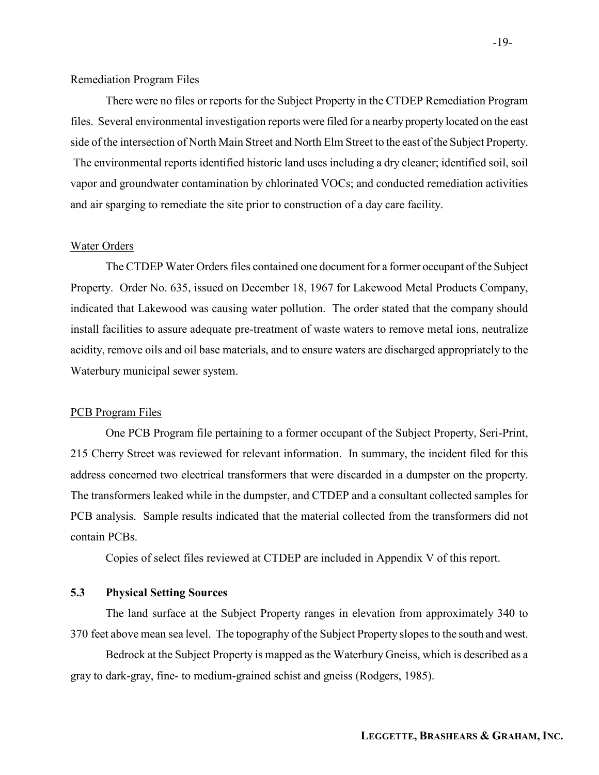#### Remediation Program Files

 There were no files or reports for the Subject Property in the CTDEP Remediation Program files. Several environmental investigation reports were filed for a nearby property located on the east side of the intersection of North Main Street and North Elm Street to the east of the Subject Property. The environmental reports identified historic land uses including a dry cleaner; identified soil, soil vapor and groundwater contamination by chlorinated VOCs; and conducted remediation activities and air sparging to remediate the site prior to construction of a day care facility.

#### Water Orders

 The CTDEP Water Orders files contained one document for a former occupant of the Subject Property. Order No. 635, issued on December 18, 1967 for Lakewood Metal Products Company, indicated that Lakewood was causing water pollution. The order stated that the company should install facilities to assure adequate pre-treatment of waste waters to remove metal ions, neutralize acidity, remove oils and oil base materials, and to ensure waters are discharged appropriately to the Waterbury municipal sewer system.

#### PCB Program Files

 One PCB Program file pertaining to a former occupant of the Subject Property, Seri-Print, 215 Cherry Street was reviewed for relevant information. In summary, the incident filed for this address concerned two electrical transformers that were discarded in a dumpster on the property. The transformers leaked while in the dumpster, and CTDEP and a consultant collected samples for PCB analysis. Sample results indicated that the material collected from the transformers did not contain PCBs.

Copies of select files reviewed at CTDEP are included in Appendix V of this report.

### 5.3 Physical Setting Sources

The land surface at the Subject Property ranges in elevation from approximately 340 to 370 feet above mean sea level. The topography of the Subject Property slopes to the south and west.

Bedrock at the Subject Property is mapped as the Waterbury Gneiss, which is described as a gray to dark-gray, fine- to medium-grained schist and gneiss (Rodgers, 1985).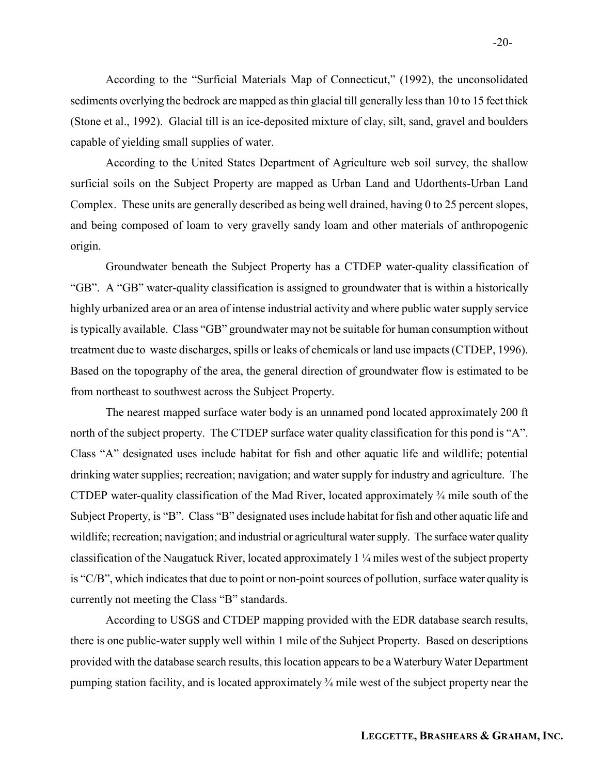According to the "Surficial Materials Map of Connecticut," (1992), the unconsolidated sediments overlying the bedrock are mapped as thin glacial till generally less than 10 to 15 feet thick (Stone et al., 1992). Glacial till is an ice-deposited mixture of clay, silt, sand, gravel and boulders capable of yielding small supplies of water.

 According to the United States Department of Agriculture web soil survey, the shallow surficial soils on the Subject Property are mapped as Urban Land and Udorthents-Urban Land Complex. These units are generally described as being well drained, having 0 to 25 percent slopes, and being composed of loam to very gravelly sandy loam and other materials of anthropogenic origin.

 Groundwater beneath the Subject Property has a CTDEP water-quality classification of "GB". A "GB" water-quality classification is assigned to groundwater that is within a historically highly urbanized area or an area of intense industrial activity and where public water supply service is typically available. Class "GB" groundwater may not be suitable for human consumption without treatment due to waste discharges, spills or leaks of chemicals or land use impacts (CTDEP, 1996). Based on the topography of the area, the general direction of groundwater flow is estimated to be from northeast to southwest across the Subject Property.

The nearest mapped surface water body is an unnamed pond located approximately 200 ft north of the subject property. The CTDEP surface water quality classification for this pond is "A". Class "A" designated uses include habitat for fish and other aquatic life and wildlife; potential drinking water supplies; recreation; navigation; and water supply for industry and agriculture. The CTDEP water-quality classification of the Mad River, located approximately ¾ mile south of the Subject Property, is "B". Class "B" designated uses include habitat for fish and other aquatic life and wildlife; recreation; navigation; and industrial or agricultural water supply. The surface water quality classification of the Naugatuck River, located approximately 1 ¼ miles west of the subject property is "C/B", which indicates that due to point or non-point sources of pollution, surface water quality is currently not meeting the Class "B" standards.

 According to USGS and CTDEP mapping provided with the EDR database search results, there is one public-water supply well within 1 mile of the Subject Property. Based on descriptions provided with the database search results, this location appears to be a Waterbury Water Department pumping station facility, and is located approximately ¾ mile west of the subject property near the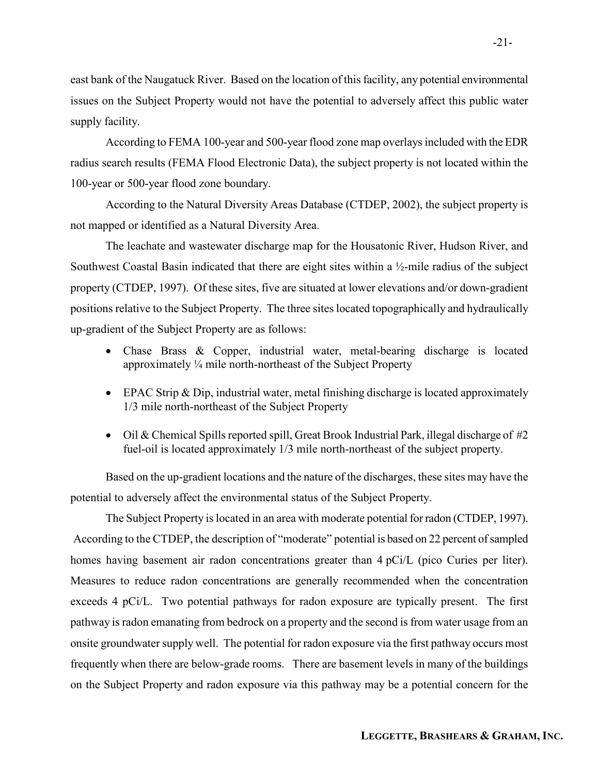east bank of the Naugatuck River. Based on the location of this facility, any potential environmental issues on the Subject Property would not have the potential to adversely affect this public water supply facility.

 According to FEMA 100-year and 500-year flood zone map overlays included with the EDR radius search results (FEMA Flood Electronic Data), the subject property is not located within the 100-year or 500-year flood zone boundary.

According to the Natural Diversity Areas Database (CTDEP, 2002), the subject property is not mapped or identified as a Natural Diversity Area.

The leachate and wastewater discharge map for the Housatonic River, Hudson River, and Southwest Coastal Basin indicated that there are eight sites within a ½-mile radius of the subject property (CTDEP, 1997). Of these sites, five are situated at lower elevations and/or down-gradient positions relative to the Subject Property. The three sites located topographically and hydraulically up-gradient of the Subject Property are as follows:

- Chase Brass & Copper, industrial water, metal-bearing discharge is located approximately ¼ mile north-northeast of the Subject Property
- EPAC Strip & Dip, industrial water, metal finishing discharge is located approximately 1/3 mile north-northeast of the Subject Property
- Oil & Chemical Spills reported spill, Great Brook Industrial Park, illegal discharge of #2 fuel-oil is located approximately 1/3 mile north-northeast of the subject property.

Based on the up-gradient locations and the nature of the discharges, these sites may have the potential to adversely affect the environmental status of the Subject Property.

The Subject Property is located in an area with moderate potential for radon (CTDEP, 1997). According to the CTDEP, the description of "moderate" potential is based on 22 percent of sampled homes having basement air radon concentrations greater than 4 pCi/L (pico Curies per liter). Measures to reduce radon concentrations are generally recommended when the concentration exceeds 4 pCi/L. Two potential pathways for radon exposure are typically present. The first pathway is radon emanating from bedrock on a property and the second is from water usage from an onsite groundwater supply well. The potential for radon exposure via the first pathway occurs most frequently when there are below-grade rooms. There are basement levels in many of the buildings on the Subject Property and radon exposure via this pathway may be a potential concern for the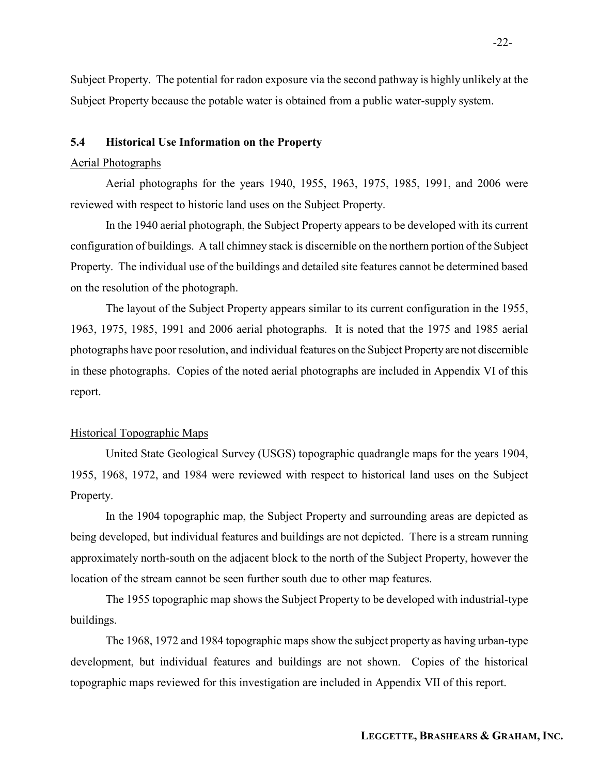Subject Property. The potential for radon exposure via the second pathway is highly unlikely at the Subject Property because the potable water is obtained from a public water-supply system.

### 5.4 Historical Use Information on the Property

#### Aerial Photographs

Aerial photographs for the years 1940, 1955, 1963, 1975, 1985, 1991, and 2006 were reviewed with respect to historic land uses on the Subject Property.

In the 1940 aerial photograph, the Subject Property appears to be developed with its current configuration of buildings. A tall chimney stack is discernible on the northern portion of the Subject Property. The individual use of the buildings and detailed site features cannot be determined based on the resolution of the photograph.

The layout of the Subject Property appears similar to its current configuration in the 1955, 1963, 1975, 1985, 1991 and 2006 aerial photographs. It is noted that the 1975 and 1985 aerial photographs have poor resolution, and individual features on the Subject Property are not discernible in these photographs. Copies of the noted aerial photographs are included in Appendix VI of this report.

#### Historical Topographic Maps

 United State Geological Survey (USGS) topographic quadrangle maps for the years 1904, 1955, 1968, 1972, and 1984 were reviewed with respect to historical land uses on the Subject Property.

 In the 1904 topographic map, the Subject Property and surrounding areas are depicted as being developed, but individual features and buildings are not depicted. There is a stream running approximately north-south on the adjacent block to the north of the Subject Property, however the location of the stream cannot be seen further south due to other map features.

 The 1955 topographic map shows the Subject Property to be developed with industrial-type buildings.

The 1968, 1972 and 1984 topographic maps show the subject property as having urban-type development, but individual features and buildings are not shown. Copies of the historical topographic maps reviewed for this investigation are included in Appendix VII of this report.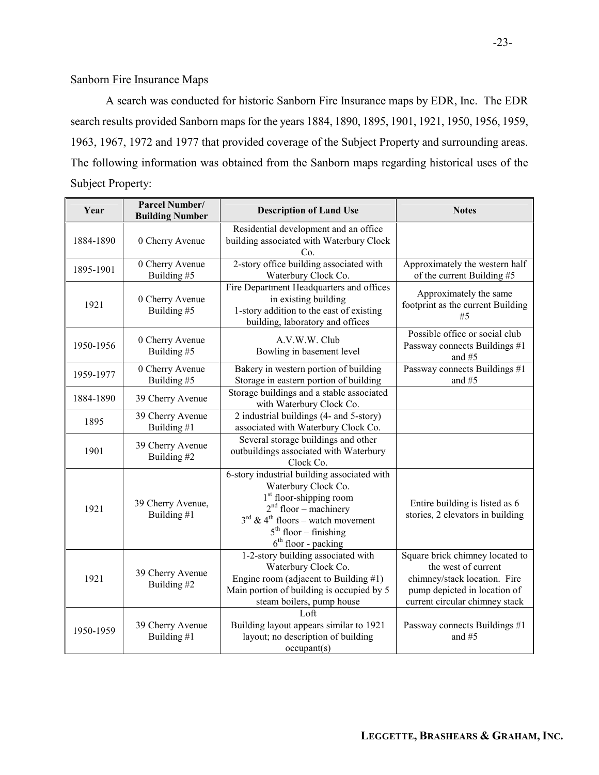#### Sanborn Fire Insurance Maps

A search was conducted for historic Sanborn Fire Insurance maps by EDR, Inc. The EDR search results provided Sanborn maps for the years 1884, 1890, 1895, 1901, 1921, 1950, 1956, 1959, 1963, 1967, 1972 and 1977 that provided coverage of the Subject Property and surrounding areas. The following information was obtained from the Sanborn maps regarding historical uses of the Subject Property:

| Year      | <b>Parcel Number/</b><br><b>Building Number</b> | <b>Description of Land Use</b>                                                                                                                                                                                                                        | <b>Notes</b>                                                                                                                                             |
|-----------|-------------------------------------------------|-------------------------------------------------------------------------------------------------------------------------------------------------------------------------------------------------------------------------------------------------------|----------------------------------------------------------------------------------------------------------------------------------------------------------|
| 1884-1890 | 0 Cherry Avenue                                 | Residential development and an office<br>building associated with Waterbury Clock<br>Cο.                                                                                                                                                              |                                                                                                                                                          |
| 1895-1901 | 0 Cherry Avenue<br>Building #5                  | 2-story office building associated with<br>Waterbury Clock Co.                                                                                                                                                                                        | Approximately the western half<br>of the current Building #5                                                                                             |
| 1921      | 0 Cherry Avenue<br>Building #5                  | Fire Department Headquarters and offices<br>in existing building<br>1-story addition to the east of existing<br>building, laboratory and offices                                                                                                      | Approximately the same<br>footprint as the current Building<br>#5                                                                                        |
| 1950-1956 | 0 Cherry Avenue<br>Building #5                  | A.V.W.W. Club<br>Bowling in basement level                                                                                                                                                                                                            | Possible office or social club<br>Passway connects Buildings #1<br>and $#5$                                                                              |
| 1959-1977 | 0 Cherry Avenue<br>Building #5                  | Bakery in western portion of building<br>Storage in eastern portion of building                                                                                                                                                                       | Passway connects Buildings #1<br>and #5                                                                                                                  |
| 1884-1890 | 39 Cherry Avenue                                | Storage buildings and a stable associated<br>with Waterbury Clock Co.                                                                                                                                                                                 |                                                                                                                                                          |
| 1895      | 39 Cherry Avenue<br>Building #1                 | 2 industrial buildings (4- and 5-story)<br>associated with Waterbury Clock Co.                                                                                                                                                                        |                                                                                                                                                          |
| 1901      | 39 Cherry Avenue<br>Building #2                 | Several storage buildings and other<br>outbuildings associated with Waterbury<br>Clock Co.                                                                                                                                                            |                                                                                                                                                          |
| 1921      | 39 Cherry Avenue,<br>Building #1                | 6-story industrial building associated with<br>Waterbury Clock Co.<br>1 <sup>st</sup> floor-shipping room<br>$2nd$ floor – machinery<br>$3^{\text{rd}}$ & 4 <sup>th</sup> floors – watch movement<br>$5th$ floor – finishing<br>$6th$ floor - packing | Entire building is listed as 6<br>stories, 2 elevators in building                                                                                       |
| 1921      | 39 Cherry Avenue<br>Building #2                 | 1-2-story building associated with<br>Waterbury Clock Co.<br>Engine room (adjacent to Building $#1$ )<br>Main portion of building is occupied by 5<br>steam boilers, pump house                                                                       | Square brick chimney located to<br>the west of current<br>chimney/stack location. Fire<br>pump depicted in location of<br>current circular chimney stack |
| 1950-1959 | 39 Cherry Avenue<br>Building #1                 | Loft<br>Building layout appears similar to 1921<br>layout; no description of building<br>occupant(s)                                                                                                                                                  | Passway connects Buildings #1<br>and #5                                                                                                                  |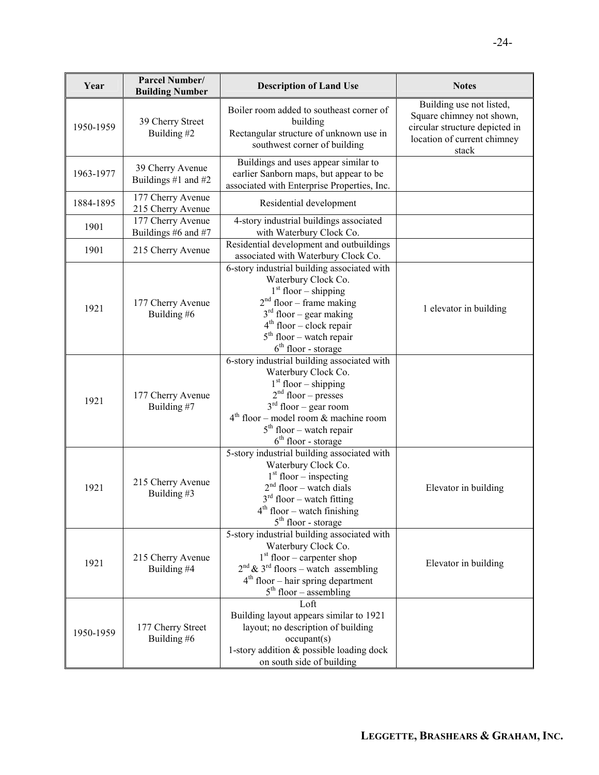| Year      | Parcel Number/<br><b>Building Number</b> | <b>Description of Land Use</b>                                                                                                                                                                                                                     | <b>Notes</b>                                                                                                                    |
|-----------|------------------------------------------|----------------------------------------------------------------------------------------------------------------------------------------------------------------------------------------------------------------------------------------------------|---------------------------------------------------------------------------------------------------------------------------------|
| 1950-1959 | 39 Cherry Street<br>Building #2          | Boiler room added to southeast corner of<br>building<br>Rectangular structure of unknown use in<br>southwest corner of building                                                                                                                    | Building use not listed,<br>Square chimney not shown,<br>circular structure depicted in<br>location of current chimney<br>stack |
| 1963-1977 | 39 Cherry Avenue<br>Buildings #1 and #2  | Buildings and uses appear similar to<br>earlier Sanborn maps, but appear to be<br>associated with Enterprise Properties, Inc.                                                                                                                      |                                                                                                                                 |
| 1884-1895 | 177 Cherry Avenue<br>215 Cherry Avenue   | Residential development                                                                                                                                                                                                                            |                                                                                                                                 |
| 1901      | 177 Cherry Avenue<br>Buildings #6 and #7 | 4-story industrial buildings associated<br>with Waterbury Clock Co.                                                                                                                                                                                |                                                                                                                                 |
| 1901      | 215 Cherry Avenue                        | Residential development and outbuildings<br>associated with Waterbury Clock Co.                                                                                                                                                                    |                                                                                                                                 |
| 1921      | 177 Cherry Avenue<br>Building #6         | 6-story industrial building associated with<br>Waterbury Clock Co.<br>$1st$ floor – shipping<br>$2nd$ floor – frame making<br>$3rd$ floor – gear making<br>$4th$ floor – clock repair<br>$5th$ floor – watch repair<br>$6th$ floor - storage       | 1 elevator in building                                                                                                          |
| 1921      | 177 Cherry Avenue<br>Building #7         | 6-story industrial building associated with<br>Waterbury Clock Co.<br>$1st$ floor – shipping<br>$2nd$ floor – presses<br>$3rd$ floor – gear room<br>$4th$ floor – model room & machine room<br>$5th$ floor – watch repair<br>$6th$ floor - storage |                                                                                                                                 |
| 1921      | 215 Cherry Avenue<br>Building #3         | 5-story industrial building associated with<br>Waterbury Clock Co.<br>$1st$ floor – inspecting<br>$2nd$ floor – watch dials<br>$3rd$ floor – watch fitting<br>$4th$ floor – watch finishing<br>$5th$ floor - storage                               | Elevator in building                                                                                                            |
| 1921      | 215 Cherry Avenue<br>Building #4         | 5-story industrial building associated with<br>Waterbury Clock Co.<br>$1st$ floor – carpenter shop<br>$2nd$ & 3 <sup>rd</sup> floors – watch assembling<br>$4th$ floor – hair spring department<br>$5th$ floor – assembling                        | Elevator in building                                                                                                            |
| 1950-1959 | 177 Cherry Street<br>Building #6         | Loft<br>Building layout appears similar to 1921<br>layout; no description of building<br>occupant(s)<br>1-story addition & possible loading dock<br>on south side of building                                                                      |                                                                                                                                 |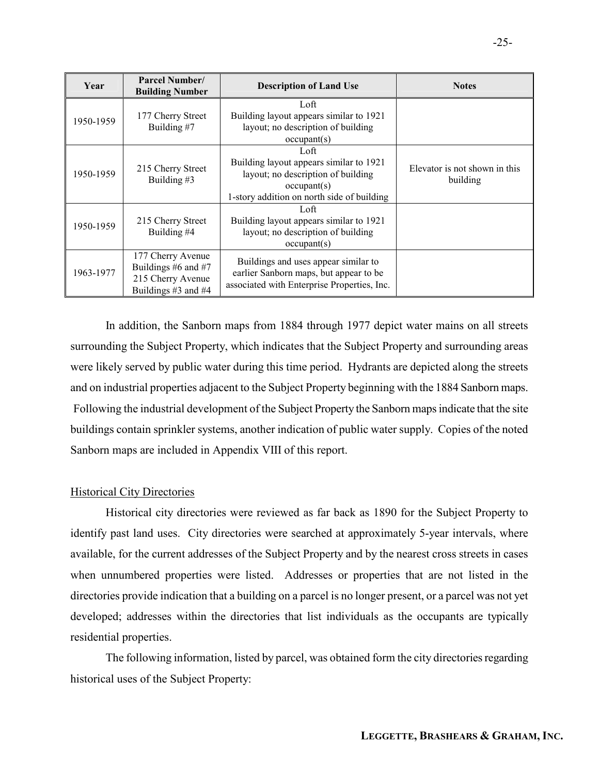| Year      | <b>Parcel Number/</b><br><b>Building Number</b>                                      | <b>Description of Land Use</b>                                                                                                                     | <b>Notes</b>                              |
|-----------|--------------------------------------------------------------------------------------|----------------------------------------------------------------------------------------------------------------------------------------------------|-------------------------------------------|
| 1950-1959 | 177 Cherry Street<br>Building #7                                                     | Loft<br>Building layout appears similar to 1921<br>layout; no description of building<br>occupant(s)                                               |                                           |
| 1950-1959 | 215 Cherry Street<br>Building #3                                                     | Loft<br>Building layout appears similar to 1921<br>layout; no description of building<br>occupant(s)<br>1-story addition on north side of building | Elevator is not shown in this<br>building |
| 1950-1959 | 215 Cherry Street<br>Building #4                                                     | Loft<br>Building layout appears similar to 1921<br>layout; no description of building<br>occupant(s)                                               |                                           |
| 1963-1977 | 177 Cherry Avenue<br>Buildings #6 and #7<br>215 Cherry Avenue<br>Buildings #3 and #4 | Buildings and uses appear similar to<br>earlier Sanborn maps, but appear to be<br>associated with Enterprise Properties, Inc.                      |                                           |

In addition, the Sanborn maps from 1884 through 1977 depict water mains on all streets surrounding the Subject Property, which indicates that the Subject Property and surrounding areas were likely served by public water during this time period. Hydrants are depicted along the streets and on industrial properties adjacent to the Subject Property beginning with the 1884 Sanborn maps. Following the industrial development of the Subject Property the Sanborn maps indicate that the site buildings contain sprinkler systems, another indication of public water supply. Copies of the noted Sanborn maps are included in Appendix VIII of this report.

### Historical City Directories

Historical city directories were reviewed as far back as 1890 for the Subject Property to identify past land uses. City directories were searched at approximately 5-year intervals, where available, for the current addresses of the Subject Property and by the nearest cross streets in cases when unnumbered properties were listed. Addresses or properties that are not listed in the directories provide indication that a building on a parcel is no longer present, or a parcel was not yet developed; addresses within the directories that list individuals as the occupants are typically residential properties.

The following information, listed by parcel, was obtained form the city directories regarding historical uses of the Subject Property: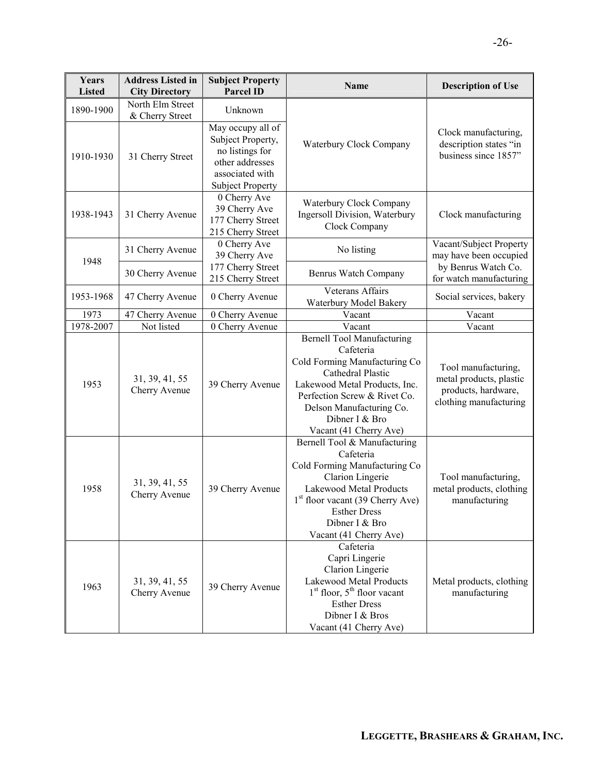| Years<br><b>Listed</b> | <b>Address Listed in</b><br><b>City Directory</b> | <b>Subject Property</b><br><b>Parcel ID</b>                                                                                | Name                                                                                                                                                                                                                                          | <b>Description of Use</b>                                                                       |
|------------------------|---------------------------------------------------|----------------------------------------------------------------------------------------------------------------------------|-----------------------------------------------------------------------------------------------------------------------------------------------------------------------------------------------------------------------------------------------|-------------------------------------------------------------------------------------------------|
| 1890-1900              | North Elm Street<br>& Cherry Street               | Unknown                                                                                                                    |                                                                                                                                                                                                                                               |                                                                                                 |
| 1910-1930              | 31 Cherry Street                                  | May occupy all of<br>Subject Property,<br>no listings for<br>other addresses<br>associated with<br><b>Subject Property</b> | Waterbury Clock Company                                                                                                                                                                                                                       | Clock manufacturing,<br>description states "in<br>business since 1857"                          |
| 1938-1943              | 31 Cherry Avenue                                  | 0 Cherry Ave<br>39 Cherry Ave<br>177 Cherry Street<br>215 Cherry Street                                                    | Waterbury Clock Company<br>Ingersoll Division, Waterbury<br>Clock Company                                                                                                                                                                     | Clock manufacturing                                                                             |
| 1948                   | 31 Cherry Avenue                                  | 0 Cherry Ave<br>39 Cherry Ave                                                                                              | No listing                                                                                                                                                                                                                                    | Vacant/Subject Property<br>may have been occupied                                               |
|                        | 30 Cherry Avenue                                  | 177 Cherry Street<br>215 Cherry Street                                                                                     | Benrus Watch Company                                                                                                                                                                                                                          | by Benrus Watch Co.<br>for watch manufacturing                                                  |
| 1953-1968              | 47 Cherry Avenue                                  | 0 Cherry Avenue                                                                                                            | Veterans Affairs<br>Waterbury Model Bakery                                                                                                                                                                                                    | Social services, bakery                                                                         |
| 1973                   | 47 Cherry Avenue                                  | 0 Cherry Avenue                                                                                                            | Vacant                                                                                                                                                                                                                                        | Vacant                                                                                          |
| 1978-2007              | Not listed                                        | 0 Cherry Avenue                                                                                                            | Vacant                                                                                                                                                                                                                                        | Vacant                                                                                          |
| 1953                   | 31, 39, 41, 55<br>Cherry Avenue                   | 39 Cherry Avenue                                                                                                           | <b>Bernell Tool Manufacturing</b><br>Cafeteria<br>Cold Forming Manufacturing Co<br>Cathedral Plastic<br>Lakewood Metal Products, Inc.<br>Perfection Screw & Rivet Co.<br>Delson Manufacturing Co.<br>Dibner I & Bro<br>Vacant (41 Cherry Ave) | Tool manufacturing,<br>metal products, plastic<br>products, hardware,<br>clothing manufacturing |
| 1958                   | 31, 39, 41, 55<br>Cherry Avenue                   | 39 Cherry Avenue                                                                                                           | Bernell Tool & Manufacturing<br>Cafeteria<br>Cold Forming Manufacturing Co<br>Clarion Lingerie<br>Lakewood Metal Products<br>$1st$ floor vacant (39 Cherry Ave)<br><b>Esther Dress</b><br>Dibner I & Bro<br>Vacant (41 Cherry Ave)            | Tool manufacturing,<br>metal products, clothing<br>manufacturing                                |
| 1963                   | 31, 39, 41, 55<br>Cherry Avenue                   | 39 Cherry Avenue                                                                                                           | Cafeteria<br>Capri Lingerie<br>Clarion Lingerie<br>Lakewood Metal Products<br>$1st$ floor, $5th$ floor vacant<br><b>Esther Dress</b><br>Dibner I & Bros<br>Vacant (41 Cherry Ave)                                                             | Metal products, clothing<br>manufacturing                                                       |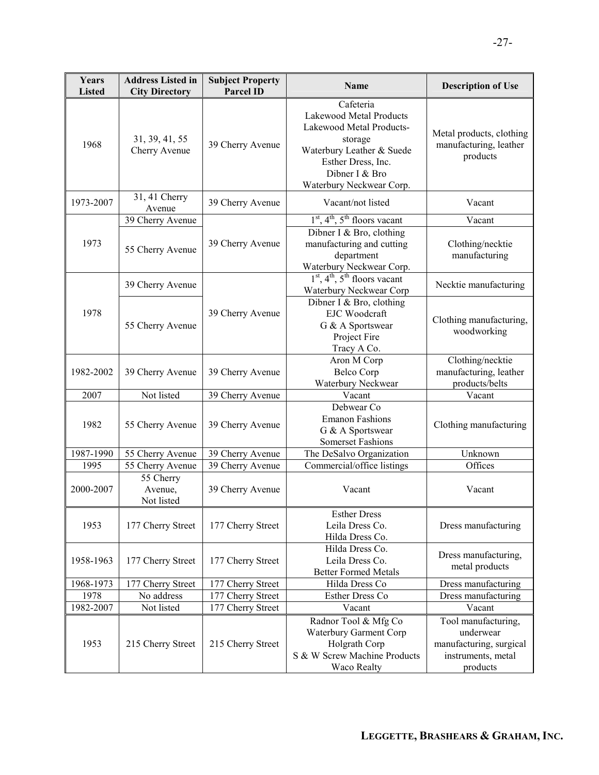| Years<br><b>Listed</b> | <b>Address Listed in</b><br><b>City Directory</b> | <b>Subject Property</b><br><b>Parcel ID</b> | <b>Name</b>                                                                                                                                                                  | <b>Description of Use</b>                                                                     |
|------------------------|---------------------------------------------------|---------------------------------------------|------------------------------------------------------------------------------------------------------------------------------------------------------------------------------|-----------------------------------------------------------------------------------------------|
| 1968                   | 31, 39, 41, 55<br>Cherry Avenue                   | 39 Cherry Avenue                            | Cafeteria<br>Lakewood Metal Products<br>Lakewood Metal Products-<br>storage<br>Waterbury Leather & Suede<br>Esther Dress, Inc.<br>Dibner I & Bro<br>Waterbury Neckwear Corp. | Metal products, clothing<br>manufacturing, leather<br>products                                |
| 1973-2007              | 31, 41 Cherry<br>Avenue                           | 39 Cherry Avenue                            | Vacant/not listed                                                                                                                                                            | Vacant                                                                                        |
|                        | 39 Cherry Avenue                                  |                                             | $1st$ , 4 <sup>th</sup> , 5 <sup>th</sup> floors vacant                                                                                                                      | Vacant                                                                                        |
| 1973                   | 55 Cherry Avenue                                  | 39 Cherry Avenue                            | Dibner I & Bro, clothing<br>manufacturing and cutting<br>department<br>Waterbury Neckwear Corp.                                                                              | Clothing/necktie<br>manufacturing                                                             |
|                        | 39 Cherry Avenue                                  |                                             | $1st$ , 4 <sup>th</sup> , 5 <sup>th</sup> floors vacant<br>Waterbury Neckwear Corp                                                                                           | Necktie manufacturing                                                                         |
| 1978                   | 55 Cherry Avenue                                  | 39 Cherry Avenue                            | Dibner I & Bro, clothing<br><b>EJC</b> Woodcraft<br>G & A Sportswear<br>Project Fire<br>Tracy A Co.                                                                          | Clothing manufacturing,<br>woodworking                                                        |
| 1982-2002              | 39 Cherry Avenue                                  | 39 Cherry Avenue                            | Aron M Corp<br><b>Belco Corp</b><br>Waterbury Neckwear                                                                                                                       | Clothing/necktie<br>manufacturing, leather<br>products/belts                                  |
| 2007                   | Not listed                                        | 39 Cherry Avenue                            | Vacant                                                                                                                                                                       | Vacant                                                                                        |
| 1982                   | 55 Cherry Avenue                                  | 39 Cherry Avenue                            | Debwear Co<br><b>Emanon Fashions</b><br>G & A Sportswear<br><b>Somerset Fashions</b>                                                                                         | Clothing manufacturing                                                                        |
| 1987-1990              | 55 Cherry Avenue                                  | 39 Cherry Avenue                            | The DeSalvo Organization                                                                                                                                                     | Unknown                                                                                       |
| 1995                   | 55 Cherry Avenue                                  | 39 Cherry Avenue                            | Commercial/office listings                                                                                                                                                   | Offices                                                                                       |
| 2000-2007              | 55 Cherry<br>Avenue,<br>Not listed                | 39 Cherry Avenue                            | Vacant                                                                                                                                                                       | Vacant                                                                                        |
| 1953                   | 177 Cherry Street                                 | 177 Cherry Street                           | <b>Esther Dress</b><br>Leila Dress Co.<br>Hilda Dress Co.                                                                                                                    | Dress manufacturing                                                                           |
| 1958-1963              | 177 Cherry Street                                 | 177 Cherry Street                           | Hilda Dress Co.<br>Leila Dress Co.<br><b>Better Formed Metals</b>                                                                                                            | Dress manufacturing,<br>metal products                                                        |
| 1968-1973              | 177 Cherry Street                                 | 177 Cherry Street                           | Hilda Dress Co                                                                                                                                                               | Dress manufacturing                                                                           |
| 1978                   | No address                                        | 177 Cherry Street                           | Esther Dress Co                                                                                                                                                              | Dress manufacturing                                                                           |
| 1982-2007              | Not listed                                        | 177 Cherry Street                           | Vacant                                                                                                                                                                       | Vacant                                                                                        |
| 1953                   | 215 Cherry Street                                 | 215 Cherry Street                           | Radnor Tool & Mfg Co<br>Waterbury Garment Corp<br>Holgrath Corp<br>S & W Screw Machine Products<br>Waco Realty                                                               | Tool manufacturing,<br>underwear<br>manufacturing, surgical<br>instruments, metal<br>products |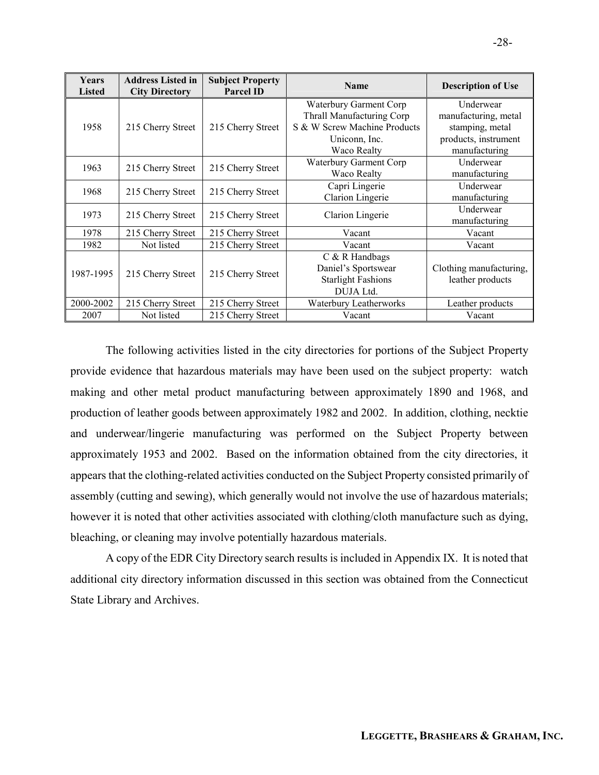| <b>Years</b><br><b>Listed</b> | <b>Address Listed in</b><br><b>City Directory</b> | <b>Subject Property</b><br><b>Parcel ID</b> | <b>Name</b>                  | <b>Description of Use</b> |
|-------------------------------|---------------------------------------------------|---------------------------------------------|------------------------------|---------------------------|
|                               |                                                   |                                             | Waterbury Garment Corp       | Underwear                 |
|                               |                                                   |                                             | Thrall Manufacturing Corp    | manufacturing, metal      |
| 1958                          | 215 Cherry Street                                 | 215 Cherry Street                           | S & W Screw Machine Products | stamping, metal           |
|                               |                                                   |                                             | Uniconn, Inc.                | products, instrument      |
|                               |                                                   |                                             | Waco Realty                  | manufacturing             |
| 1963                          | 215 Cherry Street                                 | 215 Cherry Street                           | Waterbury Garment Corp       | Underwear                 |
|                               |                                                   |                                             | Waco Realty                  | manufacturing             |
| 1968                          | 215 Cherry Street                                 | 215 Cherry Street                           | Capri Lingerie               | Underwear                 |
|                               |                                                   |                                             | Clarion Lingerie             | manufacturing             |
| 1973                          | 215 Cherry Street                                 | 215 Cherry Street                           | Clarion Lingerie             | Underwear                 |
|                               |                                                   |                                             |                              | manufacturing             |
| 1978                          | 215 Cherry Street                                 | 215 Cherry Street                           | Vacant                       | Vacant                    |
| 1982                          | Not listed                                        | 215 Cherry Street                           | Vacant                       | Vacant                    |
|                               |                                                   |                                             | $C$ & R Handbags             |                           |
| 1987-1995                     | 215 Cherry Street                                 | 215 Cherry Street                           | Daniel's Sportswear          | Clothing manufacturing,   |
|                               |                                                   |                                             | <b>Starlight Fashions</b>    | leather products          |
|                               |                                                   |                                             | DUJA Ltd.                    |                           |
| 2000-2002                     | 215 Cherry Street                                 | 215 Cherry Street                           | Waterbury Leatherworks       | Leather products          |
| 2007                          | Not listed                                        | 215 Cherry Street                           | Vacant                       | Vacant                    |

The following activities listed in the city directories for portions of the Subject Property provide evidence that hazardous materials may have been used on the subject property: watch making and other metal product manufacturing between approximately 1890 and 1968, and production of leather goods between approximately 1982 and 2002. In addition, clothing, necktie and underwear/lingerie manufacturing was performed on the Subject Property between approximately 1953 and 2002. Based on the information obtained from the city directories, it appears that the clothing-related activities conducted on the Subject Property consisted primarily of assembly (cutting and sewing), which generally would not involve the use of hazardous materials; however it is noted that other activities associated with clothing/cloth manufacture such as dying, bleaching, or cleaning may involve potentially hazardous materials.

A copy of the EDR City Directory search results is included in Appendix IX. It is noted that additional city directory information discussed in this section was obtained from the Connecticut State Library and Archives.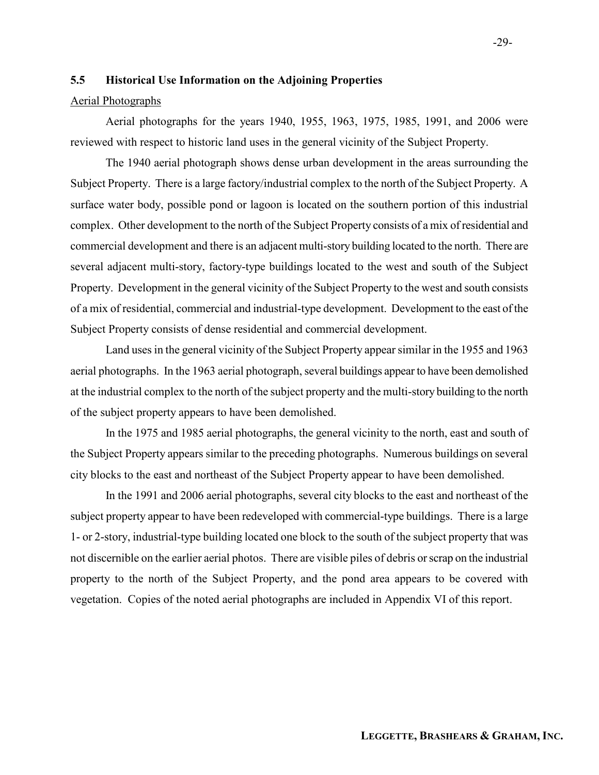#### 5.5 Historical Use Information on the Adjoining Properties

#### Aerial Photographs

Aerial photographs for the years 1940, 1955, 1963, 1975, 1985, 1991, and 2006 were reviewed with respect to historic land uses in the general vicinity of the Subject Property.

The 1940 aerial photograph shows dense urban development in the areas surrounding the Subject Property. There is a large factory/industrial complex to the north of the Subject Property. A surface water body, possible pond or lagoon is located on the southern portion of this industrial complex. Other development to the north of the Subject Property consists of a mix of residential and commercial development and there is an adjacent multi-story building located to the north. There are several adjacent multi-story, factory-type buildings located to the west and south of the Subject Property. Development in the general vicinity of the Subject Property to the west and south consists of a mix of residential, commercial and industrial-type development. Development to the east of the Subject Property consists of dense residential and commercial development.

Land uses in the general vicinity of the Subject Property appear similar in the 1955 and 1963 aerial photographs. In the 1963 aerial photograph, several buildings appear to have been demolished at the industrial complex to the north of the subject property and the multi-story building to the north of the subject property appears to have been demolished.

In the 1975 and 1985 aerial photographs, the general vicinity to the north, east and south of the Subject Property appears similar to the preceding photographs. Numerous buildings on several city blocks to the east and northeast of the Subject Property appear to have been demolished.

In the 1991 and 2006 aerial photographs, several city blocks to the east and northeast of the subject property appear to have been redeveloped with commercial-type buildings. There is a large 1- or 2-story, industrial-type building located one block to the south of the subject property that was not discernible on the earlier aerial photos. There are visible piles of debris or scrap on the industrial property to the north of the Subject Property, and the pond area appears to be covered with vegetation. Copies of the noted aerial photographs are included in Appendix VI of this report.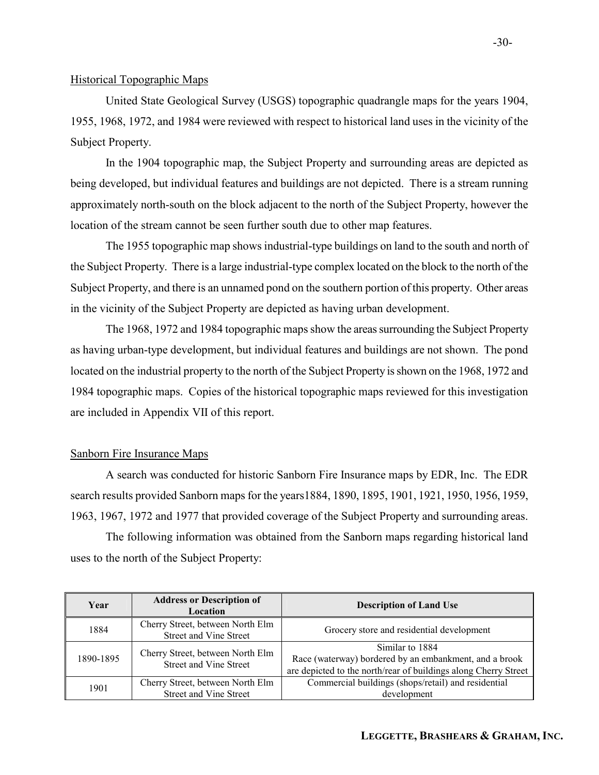#### Historical Topographic Maps

United State Geological Survey (USGS) topographic quadrangle maps for the years 1904, 1955, 1968, 1972, and 1984 were reviewed with respect to historical land uses in the vicinity of the Subject Property.

In the 1904 topographic map, the Subject Property and surrounding areas are depicted as being developed, but individual features and buildings are not depicted. There is a stream running approximately north-south on the block adjacent to the north of the Subject Property, however the location of the stream cannot be seen further south due to other map features.

The 1955 topographic map shows industrial-type buildings on land to the south and north of the Subject Property. There is a large industrial-type complex located on the block to the north of the Subject Property, and there is an unnamed pond on the southern portion of this property. Other areas in the vicinity of the Subject Property are depicted as having urban development.

The 1968, 1972 and 1984 topographic maps show the areas surrounding the Subject Property as having urban-type development, but individual features and buildings are not shown. The pond located on the industrial property to the north of the Subject Property is shown on the 1968, 1972 and 1984 topographic maps. Copies of the historical topographic maps reviewed for this investigation are included in Appendix VII of this report.

#### Sanborn Fire Insurance Maps

A search was conducted for historic Sanborn Fire Insurance maps by EDR, Inc. The EDR search results provided Sanborn maps for the years1884, 1890, 1895, 1901, 1921, 1950, 1956, 1959, 1963, 1967, 1972 and 1977 that provided coverage of the Subject Property and surrounding areas.

The following information was obtained from the Sanborn maps regarding historical land uses to the north of the Subject Property:

| Year      | <b>Address or Description of</b><br>Location                      | <b>Description of Land Use</b>                                                                                                               |
|-----------|-------------------------------------------------------------------|----------------------------------------------------------------------------------------------------------------------------------------------|
| 1884      | Cherry Street, between North Elm<br>Street and Vine Street        | Grocery store and residential development                                                                                                    |
| 1890-1895 | Cherry Street, between North Elm<br><b>Street and Vine Street</b> | Similar to 1884<br>Race (waterway) bordered by an embankment, and a brook<br>are depicted to the north/rear of buildings along Cherry Street |
| 1901      | Cherry Street, between North Elm<br>Street and Vine Street        | Commercial buildings (shops/retail) and residential<br>development                                                                           |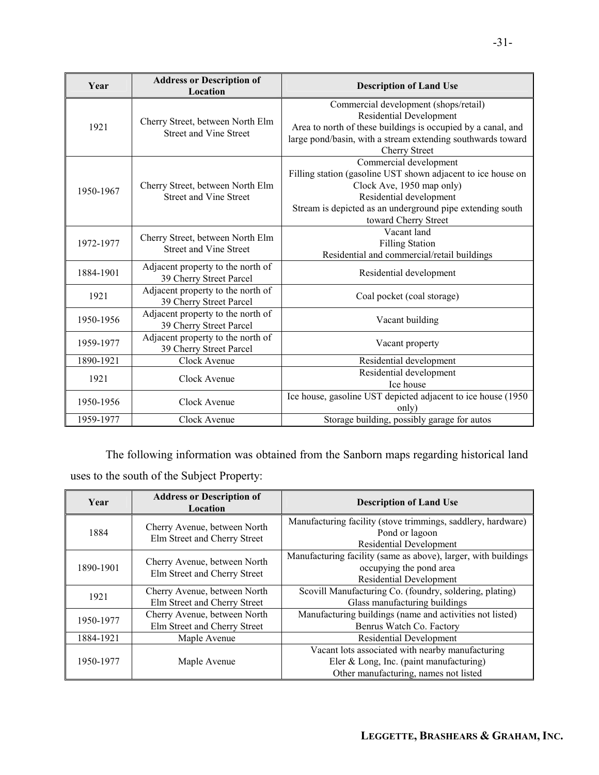| Year      | <b>Address or Description of</b><br><b>Location</b>               | <b>Description of Land Use</b>                                                                                                                                                                                                      |
|-----------|-------------------------------------------------------------------|-------------------------------------------------------------------------------------------------------------------------------------------------------------------------------------------------------------------------------------|
| 1921      | Cherry Street, between North Elm<br><b>Street and Vine Street</b> | Commercial development (shops/retail)<br><b>Residential Development</b><br>Area to north of these buildings is occupied by a canal, and<br>large pond/basin, with a stream extending southwards toward<br><b>Cherry Street</b>      |
| 1950-1967 | Cherry Street, between North Elm<br><b>Street and Vine Street</b> | Commercial development<br>Filling station (gasoline UST shown adjacent to ice house on<br>Clock Ave, 1950 map only)<br>Residential development<br>Stream is depicted as an underground pipe extending south<br>toward Cherry Street |
| 1972-1977 | Cherry Street, between North Elm<br><b>Street and Vine Street</b> | Vacant land<br><b>Filling Station</b><br>Residential and commercial/retail buildings                                                                                                                                                |
| 1884-1901 | Adjacent property to the north of<br>39 Cherry Street Parcel      | Residential development                                                                                                                                                                                                             |
| 1921      | Adjacent property to the north of<br>39 Cherry Street Parcel      | Coal pocket (coal storage)                                                                                                                                                                                                          |
| 1950-1956 | Adjacent property to the north of<br>39 Cherry Street Parcel      | Vacant building                                                                                                                                                                                                                     |
| 1959-1977 | Adjacent property to the north of<br>39 Cherry Street Parcel      | Vacant property                                                                                                                                                                                                                     |
| 1890-1921 | Clock Avenue                                                      | Residential development                                                                                                                                                                                                             |
| 1921      | Clock Avenue                                                      | Residential development<br>Ice house                                                                                                                                                                                                |
| 1950-1956 | Clock Avenue                                                      | Ice house, gasoline UST depicted adjacent to ice house (1950)<br>only)                                                                                                                                                              |
| 1959-1977 | Clock Avenue                                                      | Storage building, possibly garage for autos                                                                                                                                                                                         |

The following information was obtained from the Sanborn maps regarding historical land uses to the south of the Subject Property:

| Year      | <b>Address or Description of</b><br>Location                 | <b>Description of Land Use</b>                                                                                                       |
|-----------|--------------------------------------------------------------|--------------------------------------------------------------------------------------------------------------------------------------|
| 1884      | Cherry Avenue, between North<br>Elm Street and Cherry Street | Manufacturing facility (stove trimmings, saddlery, hardware)<br>Pond or lagoon<br><b>Residential Development</b>                     |
| 1890-1901 | Cherry Avenue, between North<br>Elm Street and Cherry Street | Manufacturing facility (same as above), larger, with buildings<br>occupying the pond area<br><b>Residential Development</b>          |
| 1921      | Cherry Avenue, between North<br>Elm Street and Cherry Street | Scovill Manufacturing Co. (foundry, soldering, plating)<br>Glass manufacturing buildings                                             |
| 1950-1977 | Cherry Avenue, between North<br>Elm Street and Cherry Street | Manufacturing buildings (name and activities not listed)<br>Benrus Watch Co. Factory                                                 |
| 1884-1921 | Maple Avenue                                                 | Residential Development                                                                                                              |
| 1950-1977 | Maple Avenue                                                 | Vacant lots associated with nearby manufacturing<br>Eler & Long, Inc. (paint manufacturing)<br>Other manufacturing, names not listed |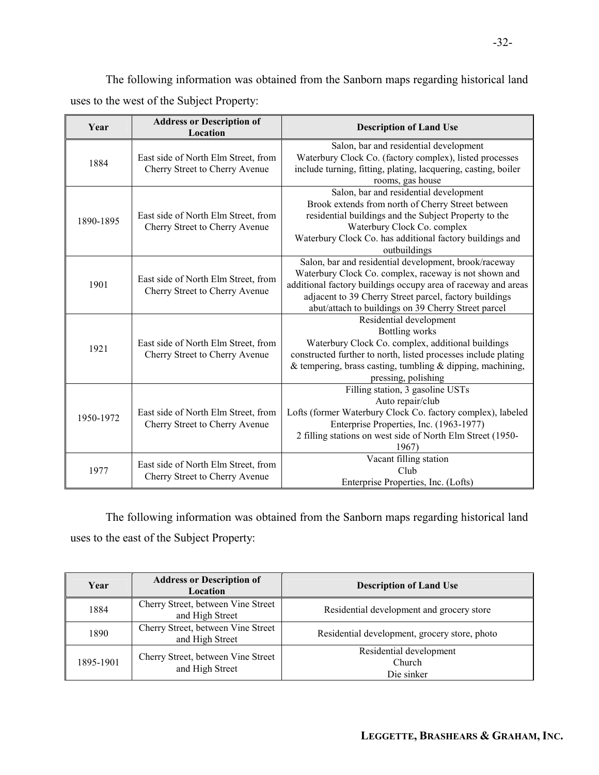The following information was obtained from the Sanborn maps regarding historical land uses to the west of the Subject Property:

| Year      | <b>Address or Description of</b><br>Location                          | <b>Description of Land Use</b>                                                                                                                                                                                                                                                                   |
|-----------|-----------------------------------------------------------------------|--------------------------------------------------------------------------------------------------------------------------------------------------------------------------------------------------------------------------------------------------------------------------------------------------|
| 1884      | East side of North Elm Street, from<br>Cherry Street to Cherry Avenue | Salon, bar and residential development<br>Waterbury Clock Co. (factory complex), listed processes<br>include turning, fitting, plating, lacquering, casting, boiler<br>rooms, gas house                                                                                                          |
| 1890-1895 | East side of North Elm Street, from<br>Cherry Street to Cherry Avenue | Salon, bar and residential development<br>Brook extends from north of Cherry Street between<br>residential buildings and the Subject Property to the<br>Waterbury Clock Co. complex<br>Waterbury Clock Co. has additional factory buildings and<br>outbuildings                                  |
| 1901      | East side of North Elm Street, from<br>Cherry Street to Cherry Avenue | Salon, bar and residential development, brook/raceway<br>Waterbury Clock Co. complex, raceway is not shown and<br>additional factory buildings occupy area of raceway and areas<br>adjacent to 39 Cherry Street parcel, factory buildings<br>abut/attach to buildings on 39 Cherry Street parcel |
| 1921      | East side of North Elm Street, from<br>Cherry Street to Cherry Avenue | Residential development<br><b>Bottling</b> works<br>Waterbury Clock Co. complex, additional buildings<br>constructed further to north, listed processes include plating<br>& tempering, brass casting, tumbling & dipping, machining,<br>pressing, polishing                                     |
| 1950-1972 | East side of North Elm Street, from<br>Cherry Street to Cherry Avenue | Filling station, 3 gasoline USTs<br>Auto repair/club<br>Lofts (former Waterbury Clock Co. factory complex), labeled<br>Enterprise Properties, Inc. (1963-1977)<br>2 filling stations on west side of North Elm Street (1950-<br>1967)                                                            |
| 1977      | East side of North Elm Street, from<br>Cherry Street to Cherry Avenue | Vacant filling station<br>Cl <sub>u</sub><br>Enterprise Properties, Inc. (Lofts)                                                                                                                                                                                                                 |

The following information was obtained from the Sanborn maps regarding historical land uses to the east of the Subject Property:

| Year      | <b>Address or Description of</b><br>Location          | <b>Description of Land Use</b>                  |
|-----------|-------------------------------------------------------|-------------------------------------------------|
| 1884      | Cherry Street, between Vine Street<br>and High Street | Residential development and grocery store       |
| 1890      | Cherry Street, between Vine Street<br>and High Street | Residential development, grocery store, photo   |
| 1895-1901 | Cherry Street, between Vine Street<br>and High Street | Residential development<br>Church<br>Die sinker |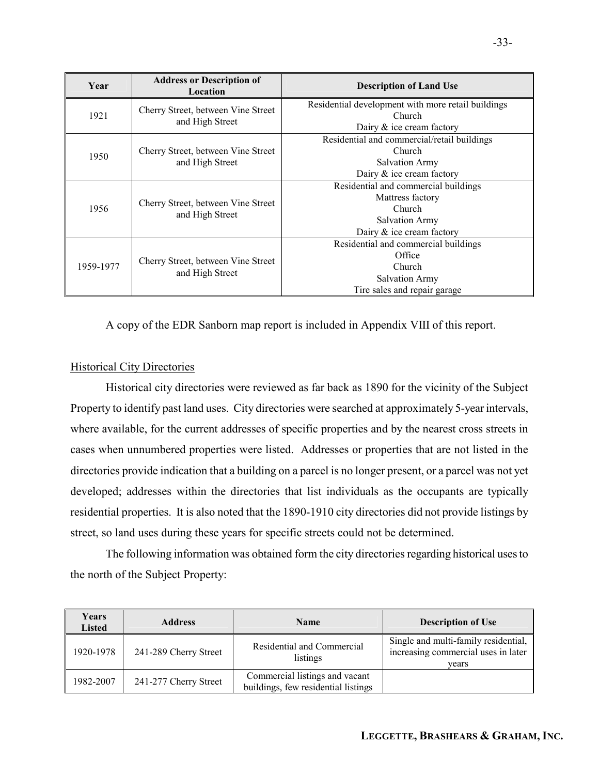| Year      | <b>Address or Description of</b><br>Location          | <b>Description of Land Use</b>                     |  |
|-----------|-------------------------------------------------------|----------------------------------------------------|--|
| 1921      |                                                       | Residential development with more retail buildings |  |
|           | Cherry Street, between Vine Street<br>and High Street | <b>Church</b>                                      |  |
|           |                                                       | Dairy $\&$ ice cream factory                       |  |
|           |                                                       | Residential and commercial/retail buildings        |  |
| 1950      | Cherry Street, between Vine Street                    | Church                                             |  |
|           | and High Street                                       | <b>Salvation Army</b>                              |  |
|           |                                                       | Dairy $&$ ice cream factory                        |  |
|           |                                                       | Residential and commercial buildings               |  |
|           | Cherry Street, between Vine Street<br>and High Street | Mattress factory                                   |  |
| 1956      |                                                       | <b>Church</b>                                      |  |
|           |                                                       | <b>Salvation Army</b>                              |  |
|           |                                                       | Dairy & ice cream factory                          |  |
|           |                                                       | Residential and commercial buildings               |  |
| 1959-1977 |                                                       | Office                                             |  |
|           | Cherry Street, between Vine Street<br>and High Street | Church                                             |  |
|           |                                                       | <b>Salvation Army</b>                              |  |
|           |                                                       | Tire sales and repair garage                       |  |

A copy of the EDR Sanborn map report is included in Appendix VIII of this report.

## Historical City Directories

Historical city directories were reviewed as far back as 1890 for the vicinity of the Subject Property to identify past land uses. City directories were searched at approximately 5-year intervals, where available, for the current addresses of specific properties and by the nearest cross streets in cases when unnumbered properties were listed. Addresses or properties that are not listed in the directories provide indication that a building on a parcel is no longer present, or a parcel was not yet developed; addresses within the directories that list individuals as the occupants are typically residential properties. It is also noted that the 1890-1910 city directories did not provide listings by street, so land uses during these years for specific streets could not be determined.

The following information was obtained form the city directories regarding historical uses to the north of the Subject Property:

| Years<br>Listed | <b>Address</b>        | <b>Name</b>                                                           | <b>Description of Use</b>                                                            |
|-----------------|-----------------------|-----------------------------------------------------------------------|--------------------------------------------------------------------------------------|
| 1920-1978       | 241-289 Cherry Street | Residential and Commercial<br>listings                                | Single and multi-family residential,<br>increasing commercial uses in later<br>years |
| 1982-2007       | 241-277 Cherry Street | Commercial listings and vacant<br>buildings, few residential listings |                                                                                      |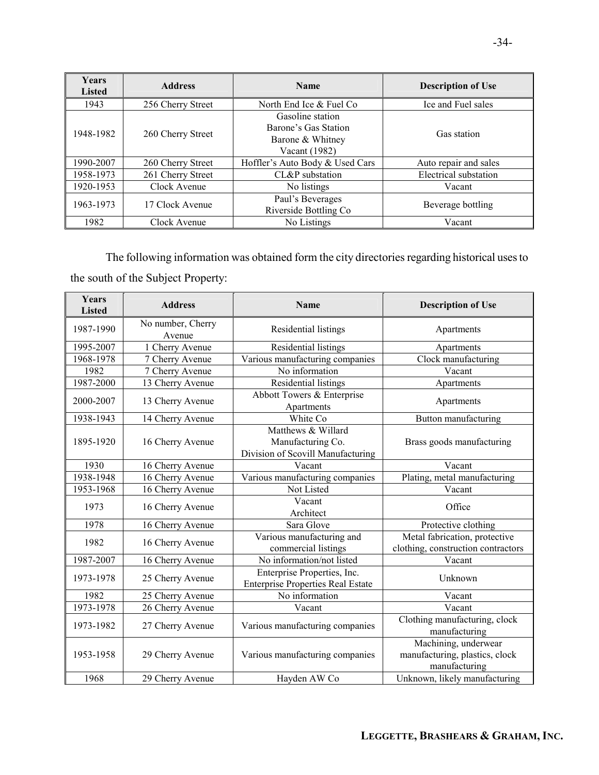| <b>Years</b><br><b>Listed</b> | <b>Address</b>    | <b>Name</b>                                                                   | <b>Description of Use</b> |
|-------------------------------|-------------------|-------------------------------------------------------------------------------|---------------------------|
| 1943                          | 256 Cherry Street | North End Ice & Fuel Co                                                       | Ice and Fuel sales        |
| 1948-1982                     | 260 Cherry Street | Gasoline station<br>Barone's Gas Station<br>Barone & Whitney<br>Vacant (1982) | Gas station               |
| 1990-2007                     | 260 Cherry Street | Hoffler's Auto Body & Used Cars                                               | Auto repair and sales     |
| 1958-1973                     | 261 Cherry Street | CL&P substation                                                               | Electrical substation     |
| 1920-1953                     | Clock Avenue      | No listings                                                                   | Vacant                    |
| 1963-1973                     | 17 Clock Avenue   | Paul's Beverages<br>Riverside Bottling Co                                     | Beverage bottling         |
| 1982                          | Clock Avenue      | No Listings                                                                   | Vacant                    |

The following information was obtained form the city directories regarding historical uses to the south of the Subject Property:

| <b>Years</b><br><b>Listed</b> | <b>Address</b>              | <b>Name</b>                                                                  | <b>Description of Use</b>                                               |
|-------------------------------|-----------------------------|------------------------------------------------------------------------------|-------------------------------------------------------------------------|
| 1987-1990                     | No number, Cherry<br>Avenue | Residential listings                                                         | Apartments                                                              |
| 1995-2007                     | 1 Cherry Avenue             | Residential listings                                                         | Apartments                                                              |
| 1968-1978                     | 7 Cherry Avenue             | Various manufacturing companies                                              | Clock manufacturing                                                     |
| 1982                          | 7 Cherry Avenue             | No information                                                               | Vacant                                                                  |
| 1987-2000                     | 13 Cherry Avenue            | Residential listings                                                         | Apartments                                                              |
| 2000-2007                     | 13 Cherry Avenue            | Abbott Towers & Enterprise<br>Apartments                                     | Apartments                                                              |
| 1938-1943                     | 14 Cherry Avenue            | White Co                                                                     | Button manufacturing                                                    |
| 1895-1920                     | 16 Cherry Avenue            | Matthews & Willard<br>Manufacturing Co.<br>Division of Scovill Manufacturing | Brass goods manufacturing                                               |
| 1930                          | 16 Cherry Avenue            | Vacant                                                                       | Vacant                                                                  |
| 1938-1948                     | 16 Cherry Avenue            | Various manufacturing companies                                              | Plating, metal manufacturing                                            |
| 1953-1968                     | 16 Cherry Avenue            | Not Listed                                                                   | Vacant                                                                  |
| 1973                          | 16 Cherry Avenue            | Vacant<br>Architect                                                          | Office                                                                  |
| 1978                          | 16 Cherry Avenue            | Sara Glove                                                                   | Protective clothing                                                     |
| 1982                          | 16 Cherry Avenue            | Various manufacturing and<br>commercial listings                             | Metal fabrication, protective<br>clothing, construction contractors     |
| 1987-2007                     | 16 Cherry Avenue            | No information/not listed                                                    | Vacant                                                                  |
| 1973-1978                     | 25 Cherry Avenue            | Enterprise Properties, Inc.<br><b>Enterprise Properties Real Estate</b>      | Unknown                                                                 |
| 1982                          | 25 Cherry Avenue            | No information                                                               | Vacant                                                                  |
| 1973-1978                     | 26 Cherry Avenue            | Vacant                                                                       | Vacant                                                                  |
| 1973-1982                     | 27 Cherry Avenue            | Various manufacturing companies                                              | Clothing manufacturing, clock<br>manufacturing                          |
| 1953-1958                     | 29 Cherry Avenue            | Various manufacturing companies                                              | Machining, underwear<br>manufacturing, plastics, clock<br>manufacturing |
| 1968                          | 29 Cherry Avenue            | Hayden AW Co                                                                 | Unknown, likely manufacturing                                           |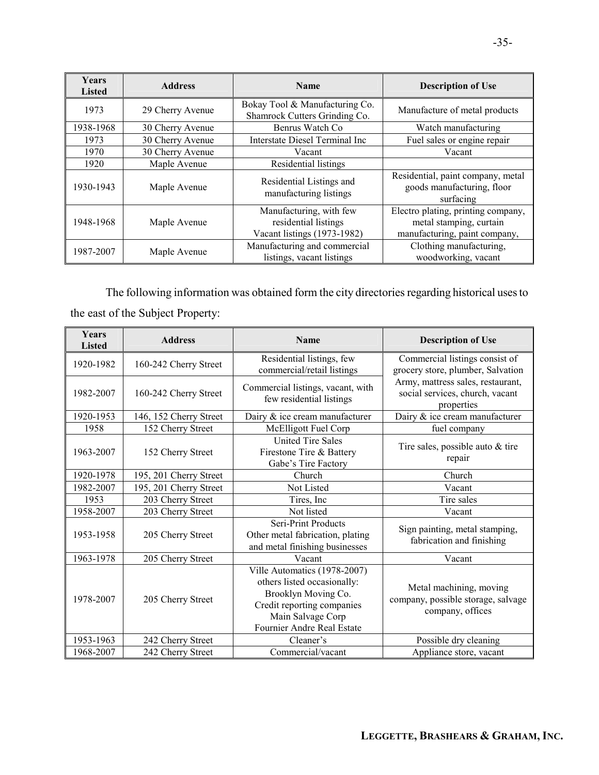| <b>Years</b><br><b>Listed</b> | <b>Address</b>   | <b>Name</b>                                                                    | <b>Description of Use</b>                                                                      |
|-------------------------------|------------------|--------------------------------------------------------------------------------|------------------------------------------------------------------------------------------------|
| 1973                          | 29 Cherry Avenue | Bokay Tool & Manufacturing Co.<br>Shamrock Cutters Grinding Co.                | Manufacture of metal products                                                                  |
| 1938-1968                     | 30 Cherry Avenue | Benrus Watch Co                                                                | Watch manufacturing                                                                            |
| 1973                          | 30 Cherry Avenue | Interstate Diesel Terminal Inc                                                 | Fuel sales or engine repair                                                                    |
| 1970                          | 30 Cherry Avenue | Vacant                                                                         | Vacant                                                                                         |
| 1920                          | Maple Avenue     | Residential listings                                                           |                                                                                                |
| 1930-1943                     | Maple Avenue     | Residential Listings and<br>manufacturing listings                             | Residential, paint company, metal<br>goods manufacturing, floor<br>surfacing                   |
| 1948-1968                     | Maple Avenue     | Manufacturing, with few<br>residential listings<br>Vacant listings (1973-1982) | Electro plating, printing company,<br>metal stamping, curtain<br>manufacturing, paint company, |
| 1987-2007                     | Maple Avenue     | Manufacturing and commercial<br>listings, vacant listings                      | Clothing manufacturing,<br>woodworking, vacant                                                 |

The following information was obtained form the city directories regarding historical uses to the east of the Subject Property:

| <b>Years</b><br><b>Listed</b> | <b>Address</b>         | <b>Name</b>                                                                                                                                                         | <b>Description of Use</b>                                                          |
|-------------------------------|------------------------|---------------------------------------------------------------------------------------------------------------------------------------------------------------------|------------------------------------------------------------------------------------|
| 1920-1982                     | 160-242 Cherry Street  | Residential listings, few<br>commercial/retail listings                                                                                                             | Commercial listings consist of<br>grocery store, plumber, Salvation                |
| 1982-2007                     | 160-242 Cherry Street  | Commercial listings, vacant, with<br>few residential listings                                                                                                       | Army, mattress sales, restaurant,<br>social services, church, vacant<br>properties |
| 1920-1953                     | 146, 152 Cherry Street | Dairy & ice cream manufacturer                                                                                                                                      | Dairy & ice cream manufacturer                                                     |
| 1958                          | 152 Cherry Street      | McElligott Fuel Corp                                                                                                                                                | fuel company                                                                       |
| 1963-2007                     | 152 Cherry Street      | <b>United Tire Sales</b><br>Firestone Tire & Battery<br>Gabe's Tire Factory                                                                                         | Tire sales, possible auto $&$ tire<br>repair                                       |
| 1920-1978                     | 195, 201 Cherry Street | Church                                                                                                                                                              | Church                                                                             |
| 1982-2007                     | 195, 201 Cherry Street | Not Listed                                                                                                                                                          | Vacant                                                                             |
| 1953                          | 203 Cherry Street      | Tires, Inc.                                                                                                                                                         | Tire sales                                                                         |
| 1958-2007                     | 203 Cherry Street      | Not listed                                                                                                                                                          | Vacant                                                                             |
| 1953-1958                     | 205 Cherry Street      | Seri-Print Products<br>Other metal fabrication, plating<br>and metal finishing businesses                                                                           | Sign painting, metal stamping,<br>fabrication and finishing                        |
| 1963-1978                     | 205 Cherry Street      | Vacant                                                                                                                                                              | Vacant                                                                             |
| 1978-2007                     | 205 Cherry Street      | Ville Automatics (1978-2007)<br>others listed occasionally:<br>Brooklyn Moving Co.<br>Credit reporting companies<br>Main Salvage Corp<br>Fournier Andre Real Estate | Metal machining, moving<br>company, possible storage, salvage<br>company, offices  |
| 1953-1963                     | 242 Cherry Street      | Cleaner's                                                                                                                                                           | Possible dry cleaning                                                              |
| 1968-2007                     | 242 Cherry Street      | Commercial/vacant                                                                                                                                                   | Appliance store, vacant                                                            |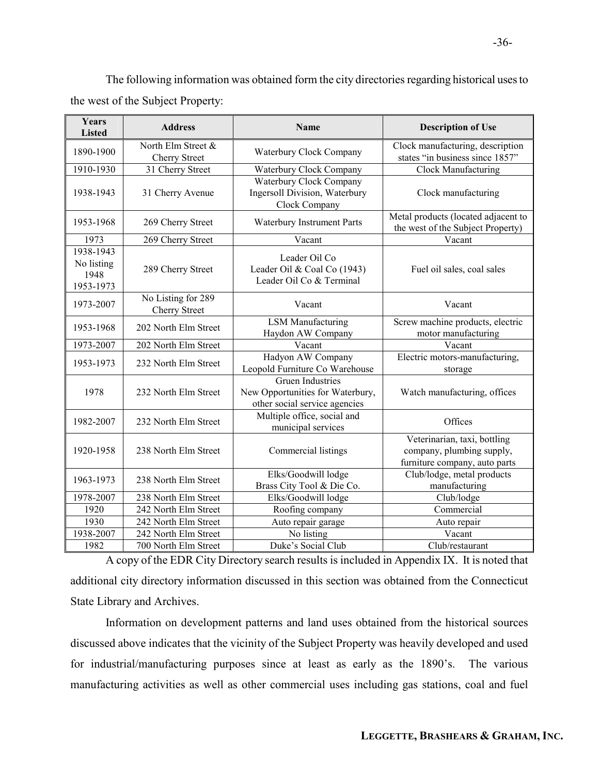The following information was obtained form the city directories regarding historical uses to the west of the Subject Property:

| <b>Years</b><br><b>Listed</b>                | <b>Address</b>                             | Name                                                                                         | <b>Description of Use</b>                                                                  |
|----------------------------------------------|--------------------------------------------|----------------------------------------------------------------------------------------------|--------------------------------------------------------------------------------------------|
| 1890-1900                                    | North Elm Street &<br><b>Cherry Street</b> | Waterbury Clock Company                                                                      | Clock manufacturing, description<br>states "in business since 1857"                        |
| 1910-1930                                    | 31 Cherry Street                           | Waterbury Clock Company                                                                      | Clock Manufacturing                                                                        |
| 1938-1943                                    | 31 Cherry Avenue                           | Waterbury Clock Company<br><b>Ingersoll Division</b> , Waterbury<br>Clock Company            | Clock manufacturing                                                                        |
| 1953-1968                                    | 269 Cherry Street                          | Waterbury Instrument Parts                                                                   | Metal products (located adjacent to<br>the west of the Subject Property)                   |
| 1973                                         | 269 Cherry Street                          | Vacant                                                                                       | Vacant                                                                                     |
| 1938-1943<br>No listing<br>1948<br>1953-1973 | 289 Cherry Street                          | Leader Oil Co<br>Leader Oil & Coal Co (1943)<br>Leader Oil Co & Terminal                     | Fuel oil sales, coal sales                                                                 |
| 1973-2007                                    | No Listing for 289<br><b>Cherry Street</b> | Vacant                                                                                       | Vacant                                                                                     |
| 1953-1968                                    | 202 North Elm Street                       | <b>LSM</b> Manufacturing<br>Haydon AW Company                                                | Screw machine products, electric<br>motor manufacturing                                    |
| 1973-2007                                    | 202 North Elm Street                       | Vacant                                                                                       | Vacant                                                                                     |
| 1953-1973                                    | 232 North Elm Street                       | Hadyon AW Company<br>Leopold Furniture Co Warehouse                                          | Electric motors-manufacturing,<br>storage                                                  |
| 1978                                         | 232 North Elm Street                       | <b>Gruen Industries</b><br>New Opportunities for Waterbury,<br>other social service agencies | Watch manufacturing, offices                                                               |
| 1982-2007                                    | 232 North Elm Street                       | Multiple office, social and<br>municipal services                                            | Offices                                                                                    |
| 1920-1958                                    | 238 North Elm Street                       | Commercial listings                                                                          | Veterinarian, taxi, bottling<br>company, plumbing supply,<br>furniture company, auto parts |
| 1963-1973                                    | 238 North Elm Street                       | Elks/Goodwill lodge<br>Brass City Tool & Die Co.                                             | Club/lodge, metal products<br>manufacturing                                                |
| 1978-2007                                    | 238 North Elm Street                       | Elks/Goodwill lodge                                                                          | Club/lodge                                                                                 |
| 1920                                         | 242 North Elm Street                       | Roofing company                                                                              | Commercial                                                                                 |
| 1930                                         | 242 North Elm Street                       | Auto repair garage                                                                           | Auto repair                                                                                |
| 1938-2007                                    | 242 North Elm Street                       | No listing                                                                                   | Vacant                                                                                     |
| 1982                                         | 700 North Elm Street                       | Duke's Social Club                                                                           | Club/restaurant                                                                            |

A copy of the EDR City Directory search results is included in Appendix IX. It is noted that additional city directory information discussed in this section was obtained from the Connecticut State Library and Archives.

Information on development patterns and land uses obtained from the historical sources discussed above indicates that the vicinity of the Subject Property was heavily developed and used for industrial/manufacturing purposes since at least as early as the 1890's. The various manufacturing activities as well as other commercial uses including gas stations, coal and fuel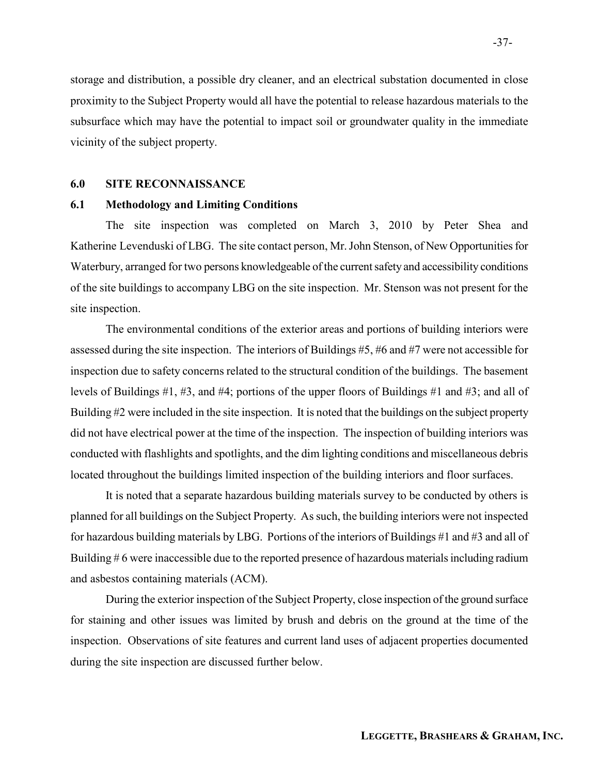storage and distribution, a possible dry cleaner, and an electrical substation documented in close proximity to the Subject Property would all have the potential to release hazardous materials to the subsurface which may have the potential to impact soil or groundwater quality in the immediate vicinity of the subject property.

## 6.0 SITE RECONNAISSANCE

## 6.1 Methodology and Limiting Conditions

The site inspection was completed on March 3, 2010 by Peter Shea and Katherine Levenduski of LBG. The site contact person, Mr. John Stenson, of New Opportunities for Waterbury, arranged for two persons knowledgeable of the current safety and accessibility conditions of the site buildings to accompany LBG on the site inspection. Mr. Stenson was not present for the site inspection.

The environmental conditions of the exterior areas and portions of building interiors were assessed during the site inspection. The interiors of Buildings #5, #6 and #7 were not accessible for inspection due to safety concerns related to the structural condition of the buildings. The basement levels of Buildings #1, #3, and #4; portions of the upper floors of Buildings #1 and #3; and all of Building #2 were included in the site inspection. It is noted that the buildings on the subject property did not have electrical power at the time of the inspection. The inspection of building interiors was conducted with flashlights and spotlights, and the dim lighting conditions and miscellaneous debris located throughout the buildings limited inspection of the building interiors and floor surfaces.

It is noted that a separate hazardous building materials survey to be conducted by others is planned for all buildings on the Subject Property. As such, the building interiors were not inspected for hazardous building materials by LBG. Portions of the interiors of Buildings #1 and #3 and all of Building # 6 were inaccessible due to the reported presence of hazardous materials including radium and asbestos containing materials (ACM).

During the exterior inspection of the Subject Property, close inspection of the ground surface for staining and other issues was limited by brush and debris on the ground at the time of the inspection. Observations of site features and current land uses of adjacent properties documented during the site inspection are discussed further below.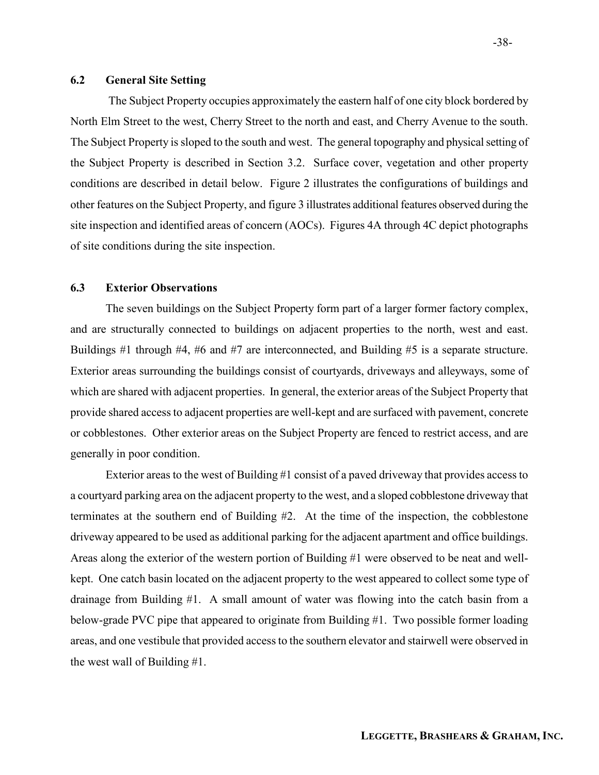## 6.2 General Site Setting

 The Subject Property occupies approximately the eastern half of one city block bordered by North Elm Street to the west, Cherry Street to the north and east, and Cherry Avenue to the south. The Subject Property is sloped to the south and west. The general topography and physical setting of the Subject Property is described in Section 3.2. Surface cover, vegetation and other property conditions are described in detail below. Figure 2 illustrates the configurations of buildings and other features on the Subject Property, and figure 3 illustrates additional features observed during the site inspection and identified areas of concern (AOCs). Figures 4A through 4C depict photographs of site conditions during the site inspection.

## 6.3 Exterior Observations

The seven buildings on the Subject Property form part of a larger former factory complex, and are structurally connected to buildings on adjacent properties to the north, west and east. Buildings #1 through #4, #6 and #7 are interconnected, and Building #5 is a separate structure. Exterior areas surrounding the buildings consist of courtyards, driveways and alleyways, some of which are shared with adjacent properties. In general, the exterior areas of the Subject Property that provide shared access to adjacent properties are well-kept and are surfaced with pavement, concrete or cobblestones. Other exterior areas on the Subject Property are fenced to restrict access, and are generally in poor condition.

 Exterior areas to the west of Building #1 consist of a paved driveway that provides access to a courtyard parking area on the adjacent property to the west, and a sloped cobblestone driveway that terminates at the southern end of Building #2. At the time of the inspection, the cobblestone driveway appeared to be used as additional parking for the adjacent apartment and office buildings. Areas along the exterior of the western portion of Building #1 were observed to be neat and wellkept. One catch basin located on the adjacent property to the west appeared to collect some type of drainage from Building #1. A small amount of water was flowing into the catch basin from a below-grade PVC pipe that appeared to originate from Building #1. Two possible former loading areas, and one vestibule that provided access to the southern elevator and stairwell were observed in the west wall of Building #1.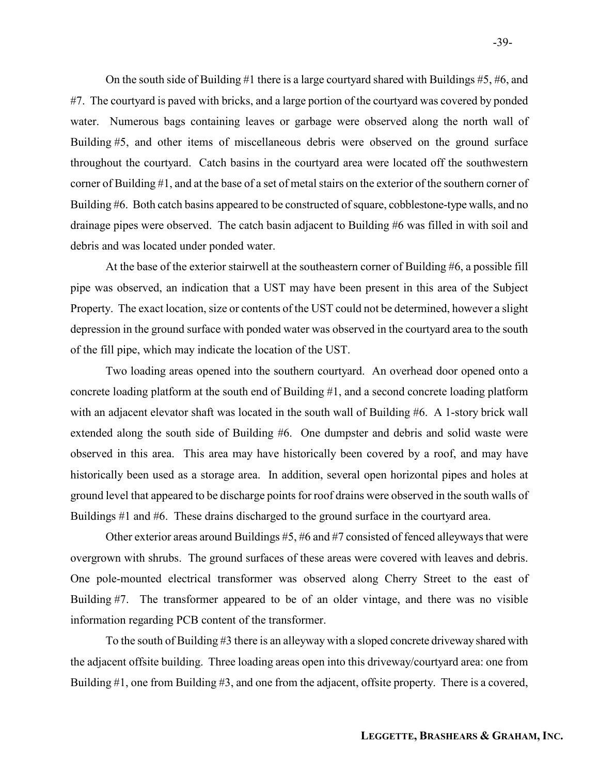On the south side of Building #1 there is a large courtyard shared with Buildings #5, #6, and #7. The courtyard is paved with bricks, and a large portion of the courtyard was covered by ponded water. Numerous bags containing leaves or garbage were observed along the north wall of Building #5, and other items of miscellaneous debris were observed on the ground surface throughout the courtyard. Catch basins in the courtyard area were located off the southwestern corner of Building #1, and at the base of a set of metal stairs on the exterior of the southern corner of Building #6. Both catch basins appeared to be constructed of square, cobblestone-type walls, and no drainage pipes were observed. The catch basin adjacent to Building #6 was filled in with soil and debris and was located under ponded water.

 At the base of the exterior stairwell at the southeastern corner of Building #6, a possible fill pipe was observed, an indication that a UST may have been present in this area of the Subject Property. The exact location, size or contents of the UST could not be determined, however a slight depression in the ground surface with ponded water was observed in the courtyard area to the south of the fill pipe, which may indicate the location of the UST.

 Two loading areas opened into the southern courtyard. An overhead door opened onto a concrete loading platform at the south end of Building #1, and a second concrete loading platform with an adjacent elevator shaft was located in the south wall of Building #6. A 1-story brick wall extended along the south side of Building #6. One dumpster and debris and solid waste were observed in this area. This area may have historically been covered by a roof, and may have historically been used as a storage area. In addition, several open horizontal pipes and holes at ground level that appeared to be discharge points for roof drains were observed in the south walls of Buildings #1 and #6. These drains discharged to the ground surface in the courtyard area.

 Other exterior areas around Buildings #5, #6 and #7 consisted of fenced alleyways that were overgrown with shrubs. The ground surfaces of these areas were covered with leaves and debris. One pole-mounted electrical transformer was observed along Cherry Street to the east of Building #7. The transformer appeared to be of an older vintage, and there was no visible information regarding PCB content of the transformer.

 To the south of Building #3 there is an alleyway with a sloped concrete driveway shared with the adjacent offsite building. Three loading areas open into this driveway/courtyard area: one from Building #1, one from Building #3, and one from the adjacent, offsite property. There is a covered,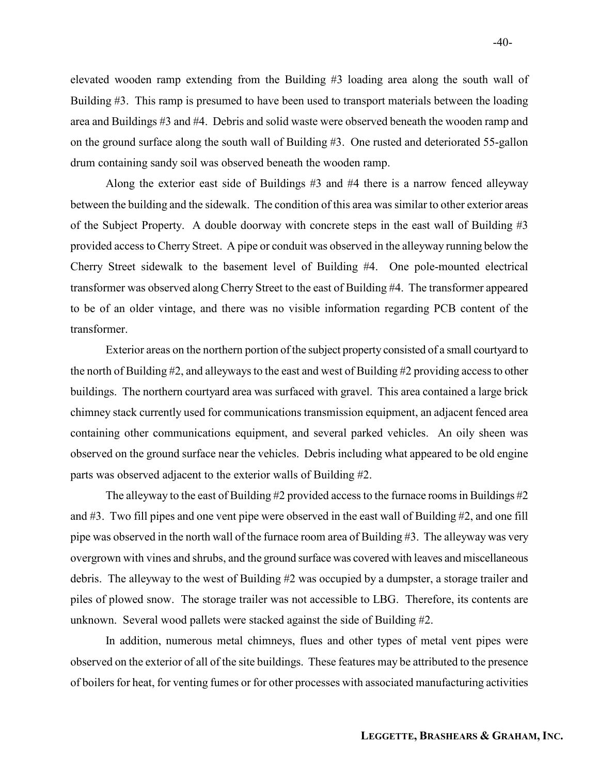elevated wooden ramp extending from the Building #3 loading area along the south wall of Building #3. This ramp is presumed to have been used to transport materials between the loading area and Buildings #3 and #4. Debris and solid waste were observed beneath the wooden ramp and on the ground surface along the south wall of Building #3. One rusted and deteriorated 55-gallon drum containing sandy soil was observed beneath the wooden ramp.

 Along the exterior east side of Buildings #3 and #4 there is a narrow fenced alleyway between the building and the sidewalk. The condition of this area was similar to other exterior areas of the Subject Property. A double doorway with concrete steps in the east wall of Building #3 provided access to Cherry Street. A pipe or conduit was observed in the alleyway running below the Cherry Street sidewalk to the basement level of Building #4. One pole-mounted electrical transformer was observed along Cherry Street to the east of Building #4. The transformer appeared to be of an older vintage, and there was no visible information regarding PCB content of the transformer.

 Exterior areas on the northern portion of the subject property consisted of a small courtyard to the north of Building #2, and alleyways to the east and west of Building #2 providing access to other buildings. The northern courtyard area was surfaced with gravel. This area contained a large brick chimney stack currently used for communications transmission equipment, an adjacent fenced area containing other communications equipment, and several parked vehicles. An oily sheen was observed on the ground surface near the vehicles. Debris including what appeared to be old engine parts was observed adjacent to the exterior walls of Building #2.

The alleyway to the east of Building  $\#2$  provided access to the furnace rooms in Buildings  $\#2$ and #3. Two fill pipes and one vent pipe were observed in the east wall of Building #2, and one fill pipe was observed in the north wall of the furnace room area of Building #3. The alleyway was very overgrown with vines and shrubs, and the ground surface was covered with leaves and miscellaneous debris. The alleyway to the west of Building #2 was occupied by a dumpster, a storage trailer and piles of plowed snow. The storage trailer was not accessible to LBG. Therefore, its contents are unknown. Several wood pallets were stacked against the side of Building #2.

 In addition, numerous metal chimneys, flues and other types of metal vent pipes were observed on the exterior of all of the site buildings. These features may be attributed to the presence of boilers for heat, for venting fumes or for other processes with associated manufacturing activities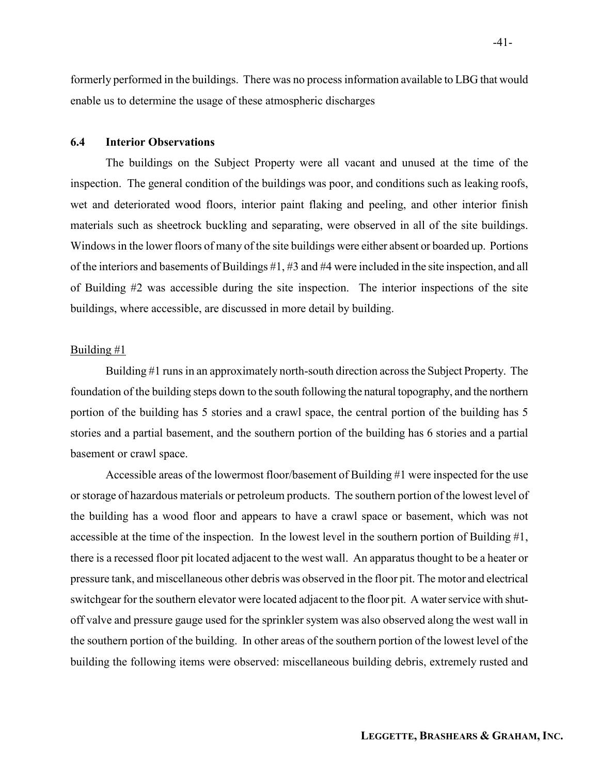formerly performed in the buildings. There was no process information available to LBG that would enable us to determine the usage of these atmospheric discharges

## 6.4 Interior Observations

 The buildings on the Subject Property were all vacant and unused at the time of the inspection. The general condition of the buildings was poor, and conditions such as leaking roofs, wet and deteriorated wood floors, interior paint flaking and peeling, and other interior finish materials such as sheetrock buckling and separating, were observed in all of the site buildings. Windows in the lower floors of many of the site buildings were either absent or boarded up. Portions of the interiors and basements of Buildings #1, #3 and #4 were included in the site inspection, and all of Building #2 was accessible during the site inspection. The interior inspections of the site buildings, where accessible, are discussed in more detail by building.

#### Building #1

Building #1 runs in an approximately north-south direction across the Subject Property. The foundation of the building steps down to the south following the natural topography, and the northern portion of the building has 5 stories and a crawl space, the central portion of the building has 5 stories and a partial basement, and the southern portion of the building has 6 stories and a partial basement or crawl space.

Accessible areas of the lowermost floor/basement of Building #1 were inspected for the use or storage of hazardous materials or petroleum products. The southern portion of the lowest level of the building has a wood floor and appears to have a crawl space or basement, which was not accessible at the time of the inspection. In the lowest level in the southern portion of Building #1, there is a recessed floor pit located adjacent to the west wall. An apparatus thought to be a heater or pressure tank, and miscellaneous other debris was observed in the floor pit. The motor and electrical switchgear for the southern elevator were located adjacent to the floor pit. A water service with shutoff valve and pressure gauge used for the sprinkler system was also observed along the west wall in the southern portion of the building. In other areas of the southern portion of the lowest level of the building the following items were observed: miscellaneous building debris, extremely rusted and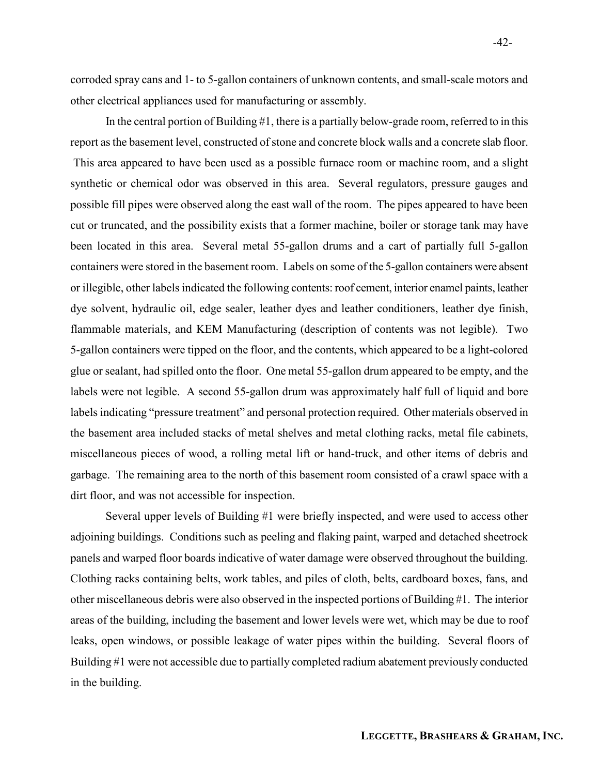corroded spray cans and 1- to 5-gallon containers of unknown contents, and small-scale motors and other electrical appliances used for manufacturing or assembly.

In the central portion of Building #1, there is a partially below-grade room, referred to in this report as the basement level, constructed of stone and concrete block walls and a concrete slab floor. This area appeared to have been used as a possible furnace room or machine room, and a slight synthetic or chemical odor was observed in this area. Several regulators, pressure gauges and possible fill pipes were observed along the east wall of the room. The pipes appeared to have been cut or truncated, and the possibility exists that a former machine, boiler or storage tank may have been located in this area. Several metal 55-gallon drums and a cart of partially full 5-gallon containers were stored in the basement room. Labels on some of the 5-gallon containers were absent or illegible, other labels indicated the following contents: roof cement, interior enamel paints, leather dye solvent, hydraulic oil, edge sealer, leather dyes and leather conditioners, leather dye finish, flammable materials, and KEM Manufacturing (description of contents was not legible). Two 5-gallon containers were tipped on the floor, and the contents, which appeared to be a light-colored glue or sealant, had spilled onto the floor. One metal 55-gallon drum appeared to be empty, and the labels were not legible. A second 55-gallon drum was approximately half full of liquid and bore labels indicating "pressure treatment" and personal protection required. Other materials observed in the basement area included stacks of metal shelves and metal clothing racks, metal file cabinets, miscellaneous pieces of wood, a rolling metal lift or hand-truck, and other items of debris and garbage. The remaining area to the north of this basement room consisted of a crawl space with a dirt floor, and was not accessible for inspection.

Several upper levels of Building #1 were briefly inspected, and were used to access other adjoining buildings. Conditions such as peeling and flaking paint, warped and detached sheetrock panels and warped floor boards indicative of water damage were observed throughout the building. Clothing racks containing belts, work tables, and piles of cloth, belts, cardboard boxes, fans, and other miscellaneous debris were also observed in the inspected portions of Building #1. The interior areas of the building, including the basement and lower levels were wet, which may be due to roof leaks, open windows, or possible leakage of water pipes within the building. Several floors of Building #1 were not accessible due to partially completed radium abatement previously conducted in the building.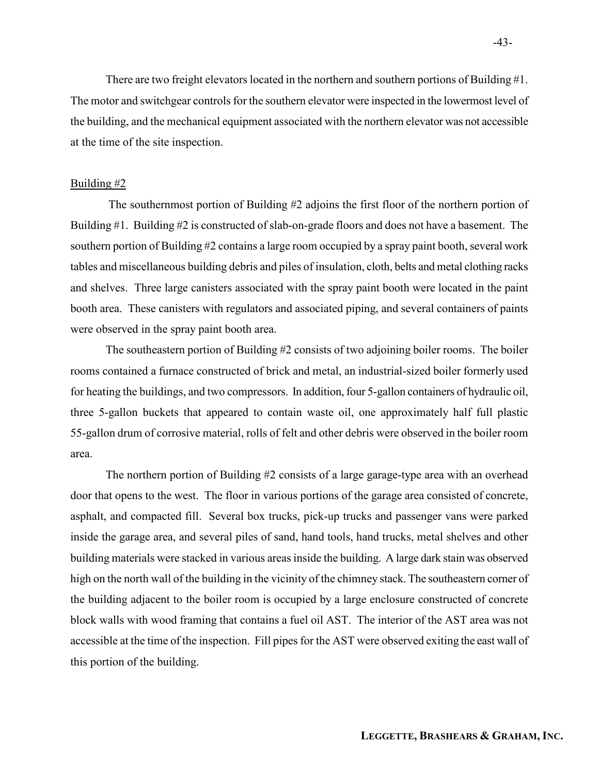There are two freight elevators located in the northern and southern portions of Building #1. The motor and switchgear controls for the southern elevator were inspected in the lowermost level of the building, and the mechanical equipment associated with the northern elevator was not accessible at the time of the site inspection.

#### Building #2

 The southernmost portion of Building #2 adjoins the first floor of the northern portion of Building #1. Building #2 is constructed of slab-on-grade floors and does not have a basement. The southern portion of Building #2 contains a large room occupied by a spray paint booth, several work tables and miscellaneous building debris and piles of insulation, cloth, belts and metal clothing racks and shelves. Three large canisters associated with the spray paint booth were located in the paint booth area. These canisters with regulators and associated piping, and several containers of paints were observed in the spray paint booth area.

The southeastern portion of Building #2 consists of two adjoining boiler rooms. The boiler rooms contained a furnace constructed of brick and metal, an industrial-sized boiler formerly used for heating the buildings, and two compressors. In addition, four 5-gallon containers of hydraulic oil, three 5-gallon buckets that appeared to contain waste oil, one approximately half full plastic 55-gallon drum of corrosive material, rolls of felt and other debris were observed in the boiler room area.

The northern portion of Building  $#2$  consists of a large garage-type area with an overhead door that opens to the west. The floor in various portions of the garage area consisted of concrete, asphalt, and compacted fill. Several box trucks, pick-up trucks and passenger vans were parked inside the garage area, and several piles of sand, hand tools, hand trucks, metal shelves and other building materials were stacked in various areas inside the building. A large dark stain was observed high on the north wall of the building in the vicinity of the chimney stack. The southeastern corner of the building adjacent to the boiler room is occupied by a large enclosure constructed of concrete block walls with wood framing that contains a fuel oil AST. The interior of the AST area was not accessible at the time of the inspection. Fill pipes for the AST were observed exiting the east wall of this portion of the building.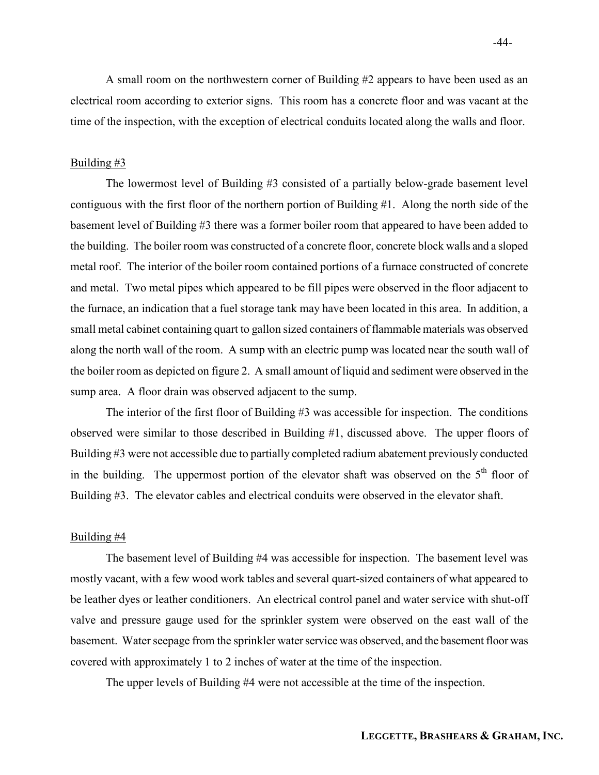A small room on the northwestern corner of Building #2 appears to have been used as an electrical room according to exterior signs. This room has a concrete floor and was vacant at the time of the inspection, with the exception of electrical conduits located along the walls and floor.

#### Building #3

The lowermost level of Building #3 consisted of a partially below-grade basement level contiguous with the first floor of the northern portion of Building #1. Along the north side of the basement level of Building #3 there was a former boiler room that appeared to have been added to the building. The boiler room was constructed of a concrete floor, concrete block walls and a sloped metal roof. The interior of the boiler room contained portions of a furnace constructed of concrete and metal. Two metal pipes which appeared to be fill pipes were observed in the floor adjacent to the furnace, an indication that a fuel storage tank may have been located in this area. In addition, a small metal cabinet containing quart to gallon sized containers of flammable materials was observed along the north wall of the room. A sump with an electric pump was located near the south wall of the boiler room as depicted on figure 2. A small amount of liquid and sediment were observed in the sump area. A floor drain was observed adjacent to the sump.

The interior of the first floor of Building #3 was accessible for inspection. The conditions observed were similar to those described in Building #1, discussed above. The upper floors of Building #3 were not accessible due to partially completed radium abatement previously conducted in the building. The uppermost portion of the elevator shaft was observed on the  $5<sup>th</sup>$  floor of Building #3. The elevator cables and electrical conduits were observed in the elevator shaft.

#### Building #4

 The basement level of Building #4 was accessible for inspection. The basement level was mostly vacant, with a few wood work tables and several quart-sized containers of what appeared to be leather dyes or leather conditioners. An electrical control panel and water service with shut-off valve and pressure gauge used for the sprinkler system were observed on the east wall of the basement. Water seepage from the sprinkler water service was observed, and the basement floor was covered with approximately 1 to 2 inches of water at the time of the inspection.

The upper levels of Building #4 were not accessible at the time of the inspection.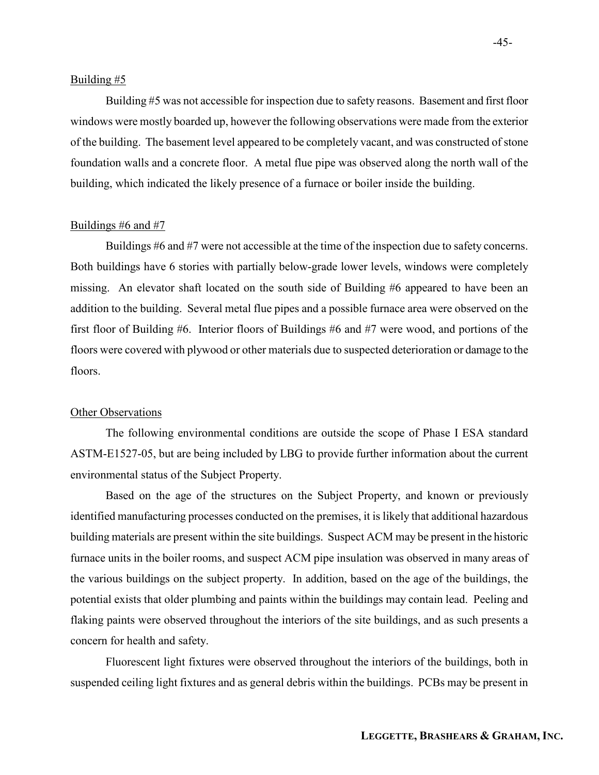#### Building #5

 Building #5 was not accessible for inspection due to safety reasons. Basement and first floor windows were mostly boarded up, however the following observations were made from the exterior of the building. The basement level appeared to be completely vacant, and was constructed of stone foundation walls and a concrete floor. A metal flue pipe was observed along the north wall of the building, which indicated the likely presence of a furnace or boiler inside the building.

#### Buildings #6 and #7

 Buildings #6 and #7 were not accessible at the time of the inspection due to safety concerns. Both buildings have 6 stories with partially below-grade lower levels, windows were completely missing. An elevator shaft located on the south side of Building #6 appeared to have been an addition to the building. Several metal flue pipes and a possible furnace area were observed on the first floor of Building #6. Interior floors of Buildings #6 and #7 were wood, and portions of the floors were covered with plywood or other materials due to suspected deterioration or damage to the floors.

#### **Other Observations**

The following environmental conditions are outside the scope of Phase I ESA standard ASTM-E1527-05, but are being included by LBG to provide further information about the current environmental status of the Subject Property.

Based on the age of the structures on the Subject Property, and known or previously identified manufacturing processes conducted on the premises, it is likely that additional hazardous building materials are present within the site buildings. Suspect ACM may be present in the historic furnace units in the boiler rooms, and suspect ACM pipe insulation was observed in many areas of the various buildings on the subject property. In addition, based on the age of the buildings, the potential exists that older plumbing and paints within the buildings may contain lead. Peeling and flaking paints were observed throughout the interiors of the site buildings, and as such presents a concern for health and safety.

Fluorescent light fixtures were observed throughout the interiors of the buildings, both in suspended ceiling light fixtures and as general debris within the buildings. PCBs may be present in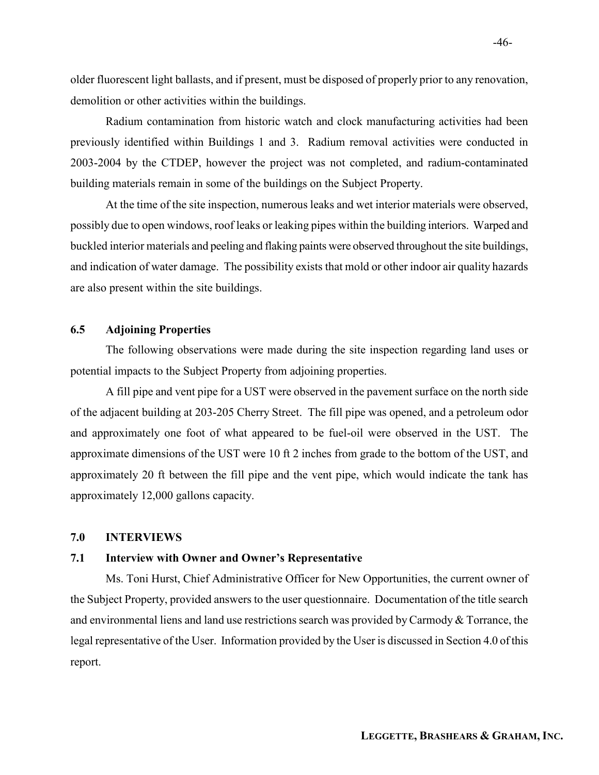older fluorescent light ballasts, and if present, must be disposed of properly prior to any renovation, demolition or other activities within the buildings.

Radium contamination from historic watch and clock manufacturing activities had been previously identified within Buildings 1 and 3. Radium removal activities were conducted in 2003-2004 by the CTDEP, however the project was not completed, and radium-contaminated building materials remain in some of the buildings on the Subject Property.

At the time of the site inspection, numerous leaks and wet interior materials were observed, possibly due to open windows, roof leaks or leaking pipes within the building interiors. Warped and buckled interior materials and peeling and flaking paints were observed throughout the site buildings, and indication of water damage. The possibility exists that mold or other indoor air quality hazards are also present within the site buildings.

## 6.5 Adjoining Properties

 The following observations were made during the site inspection regarding land uses or potential impacts to the Subject Property from adjoining properties.

A fill pipe and vent pipe for a UST were observed in the pavement surface on the north side of the adjacent building at 203-205 Cherry Street. The fill pipe was opened, and a petroleum odor and approximately one foot of what appeared to be fuel-oil were observed in the UST. The approximate dimensions of the UST were 10 ft 2 inches from grade to the bottom of the UST, and approximately 20 ft between the fill pipe and the vent pipe, which would indicate the tank has approximately 12,000 gallons capacity.

#### 7.0 INTERVIEWS

#### 7.1 Interview with Owner and Owner's Representative

Ms. Toni Hurst, Chief Administrative Officer for New Opportunities, the current owner of the Subject Property, provided answers to the user questionnaire. Documentation of the title search and environmental liens and land use restrictions search was provided by Carmody & Torrance, the legal representative of the User. Information provided by the User is discussed in Section 4.0 of this report.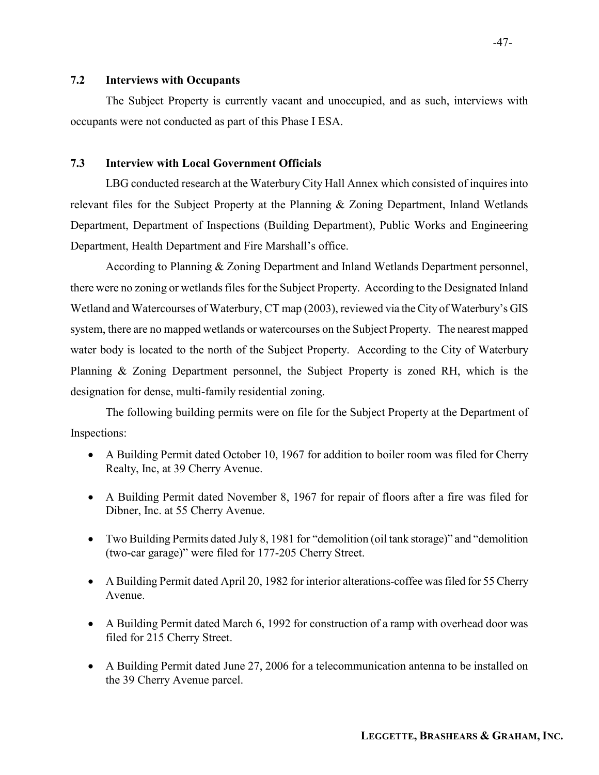## 7.2 Interviews with Occupants

The Subject Property is currently vacant and unoccupied, and as such, interviews with occupants were not conducted as part of this Phase I ESA.

## 7.3 Interview with Local Government Officials

LBG conducted research at the Waterbury City Hall Annex which consisted of inquires into relevant files for the Subject Property at the Planning & Zoning Department, Inland Wetlands Department, Department of Inspections (Building Department), Public Works and Engineering Department, Health Department and Fire Marshall's office.

 According to Planning & Zoning Department and Inland Wetlands Department personnel, there were no zoning or wetlands files for the Subject Property. According to the Designated Inland Wetland and Watercourses of Waterbury, CT map (2003), reviewed via the City of Waterbury's GIS system, there are no mapped wetlands or watercourses on the Subject Property. The nearest mapped water body is located to the north of the Subject Property. According to the City of Waterbury Planning & Zoning Department personnel, the Subject Property is zoned RH, which is the designation for dense, multi-family residential zoning.

 The following building permits were on file for the Subject Property at the Department of Inspections:

- A Building Permit dated October 10, 1967 for addition to boiler room was filed for Cherry Realty, Inc, at 39 Cherry Avenue.
- A Building Permit dated November 8, 1967 for repair of floors after a fire was filed for Dibner, Inc. at 55 Cherry Avenue.
- Two Building Permits dated July 8, 1981 for "demolition (oil tank storage)" and "demolition (two-car garage)" were filed for 177-205 Cherry Street.
- A Building Permit dated April 20, 1982 for interior alterations-coffee was filed for 55 Cherry Avenue.
- A Building Permit dated March 6, 1992 for construction of a ramp with overhead door was filed for 215 Cherry Street.
- A Building Permit dated June 27, 2006 for a telecommunication antenna to be installed on the 39 Cherry Avenue parcel.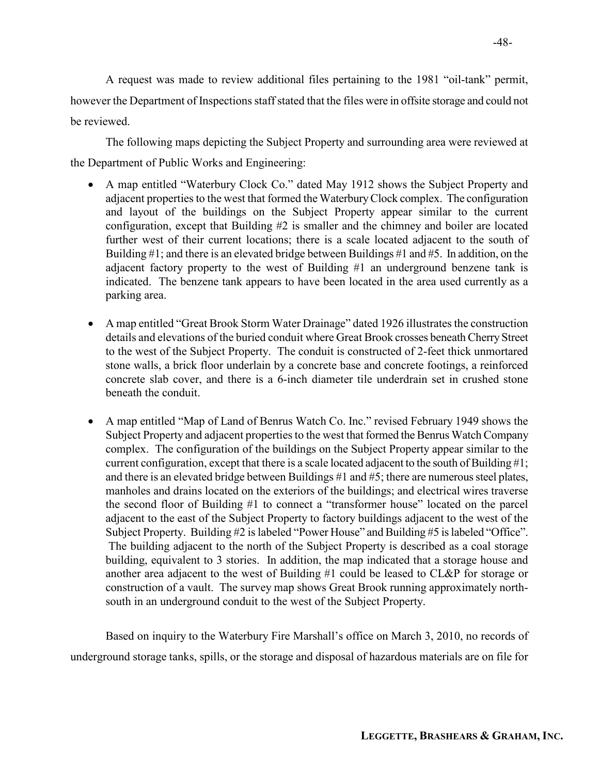A request was made to review additional files pertaining to the 1981 "oil-tank" permit, however the Department of Inspections staff stated that the files were in offsite storage and could not be reviewed.

 The following maps depicting the Subject Property and surrounding area were reviewed at the Department of Public Works and Engineering:

- A map entitled "Waterbury Clock Co." dated May 1912 shows the Subject Property and adjacent properties to the west that formed the Waterbury Clock complex. The configuration and layout of the buildings on the Subject Property appear similar to the current configuration, except that Building #2 is smaller and the chimney and boiler are located further west of their current locations; there is a scale located adjacent to the south of Building #1; and there is an elevated bridge between Buildings #1 and #5. In addition, on the adjacent factory property to the west of Building #1 an underground benzene tank is indicated. The benzene tank appears to have been located in the area used currently as a parking area.
- A map entitled "Great Brook Storm Water Drainage" dated 1926 illustrates the construction details and elevations of the buried conduit where Great Brook crosses beneath Cherry Street to the west of the Subject Property. The conduit is constructed of 2-feet thick unmortared stone walls, a brick floor underlain by a concrete base and concrete footings, a reinforced concrete slab cover, and there is a 6-inch diameter tile underdrain set in crushed stone beneath the conduit.
- A map entitled "Map of Land of Benrus Watch Co. Inc." revised February 1949 shows the Subject Property and adjacent properties to the west that formed the Benrus Watch Company complex. The configuration of the buildings on the Subject Property appear similar to the current configuration, except that there is a scale located adjacent to the south of Building #1; and there is an elevated bridge between Buildings #1 and #5; there are numerous steel plates, manholes and drains located on the exteriors of the buildings; and electrical wires traverse the second floor of Building #1 to connect a "transformer house" located on the parcel adjacent to the east of the Subject Property to factory buildings adjacent to the west of the Subject Property. Building #2 is labeled "Power House" and Building #5 is labeled "Office". The building adjacent to the north of the Subject Property is described as a coal storage building, equivalent to 3 stories. In addition, the map indicated that a storage house and another area adjacent to the west of Building #1 could be leased to CL&P for storage or construction of a vault. The survey map shows Great Brook running approximately northsouth in an underground conduit to the west of the Subject Property.

 Based on inquiry to the Waterbury Fire Marshall's office on March 3, 2010, no records of underground storage tanks, spills, or the storage and disposal of hazardous materials are on file for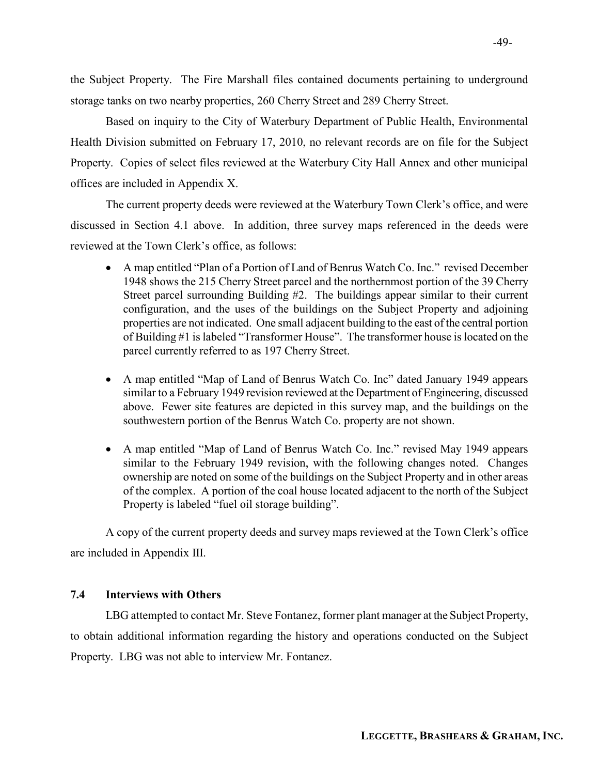the Subject Property. The Fire Marshall files contained documents pertaining to underground storage tanks on two nearby properties, 260 Cherry Street and 289 Cherry Street.

 Based on inquiry to the City of Waterbury Department of Public Health, Environmental Health Division submitted on February 17, 2010, no relevant records are on file for the Subject Property. Copies of select files reviewed at the Waterbury City Hall Annex and other municipal offices are included in Appendix X.

The current property deeds were reviewed at the Waterbury Town Clerk's office, and were discussed in Section 4.1 above. In addition, three survey maps referenced in the deeds were reviewed at the Town Clerk's office, as follows:

- A map entitled "Plan of a Portion of Land of Benrus Watch Co. Inc." revised December 1948 shows the 215 Cherry Street parcel and the northernmost portion of the 39 Cherry Street parcel surrounding Building #2. The buildings appear similar to their current configuration, and the uses of the buildings on the Subject Property and adjoining properties are not indicated. One small adjacent building to the east of the central portion of Building #1 is labeled "Transformer House". The transformer house is located on the parcel currently referred to as 197 Cherry Street.
- A map entitled "Map of Land of Benrus Watch Co. Inc" dated January 1949 appears similar to a February 1949 revision reviewed at the Department of Engineering, discussed above. Fewer site features are depicted in this survey map, and the buildings on the southwestern portion of the Benrus Watch Co. property are not shown.
- A map entitled "Map of Land of Benrus Watch Co. Inc." revised May 1949 appears similar to the February 1949 revision, with the following changes noted. Changes ownership are noted on some of the buildings on the Subject Property and in other areas of the complex. A portion of the coal house located adjacent to the north of the Subject Property is labeled "fuel oil storage building".

A copy of the current property deeds and survey maps reviewed at the Town Clerk's office are included in Appendix III.

## 7.4 Interviews with Others

LBG attempted to contact Mr. Steve Fontanez, former plant manager at the Subject Property, to obtain additional information regarding the history and operations conducted on the Subject Property. LBG was not able to interview Mr. Fontanez.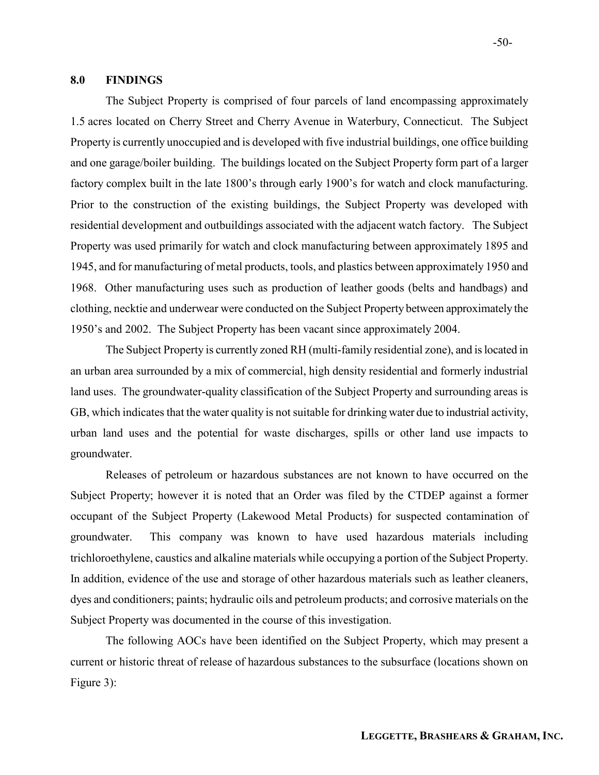#### 8.0 FINDINGS

The Subject Property is comprised of four parcels of land encompassing approximately 1.5 acres located on Cherry Street and Cherry Avenue in Waterbury, Connecticut. The Subject Property is currently unoccupied and is developed with five industrial buildings, one office building and one garage/boiler building. The buildings located on the Subject Property form part of a larger factory complex built in the late 1800's through early 1900's for watch and clock manufacturing. Prior to the construction of the existing buildings, the Subject Property was developed with residential development and outbuildings associated with the adjacent watch factory. The Subject Property was used primarily for watch and clock manufacturing between approximately 1895 and 1945, and for manufacturing of metal products, tools, and plastics between approximately 1950 and 1968. Other manufacturing uses such as production of leather goods (belts and handbags) and clothing, necktie and underwear were conducted on the Subject Property between approximately the 1950's and 2002. The Subject Property has been vacant since approximately 2004.

The Subject Property is currently zoned RH (multi-family residential zone), and is located in an urban area surrounded by a mix of commercial, high density residential and formerly industrial land uses. The groundwater-quality classification of the Subject Property and surrounding areas is GB, which indicates that the water quality is not suitable for drinking water due to industrial activity, urban land uses and the potential for waste discharges, spills or other land use impacts to groundwater.

Releases of petroleum or hazardous substances are not known to have occurred on the Subject Property; however it is noted that an Order was filed by the CTDEP against a former occupant of the Subject Property (Lakewood Metal Products) for suspected contamination of groundwater. This company was known to have used hazardous materials including trichloroethylene, caustics and alkaline materials while occupying a portion of the Subject Property. In addition, evidence of the use and storage of other hazardous materials such as leather cleaners, dyes and conditioners; paints; hydraulic oils and petroleum products; and corrosive materials on the Subject Property was documented in the course of this investigation.

The following AOCs have been identified on the Subject Property, which may present a current or historic threat of release of hazardous substances to the subsurface (locations shown on Figure 3):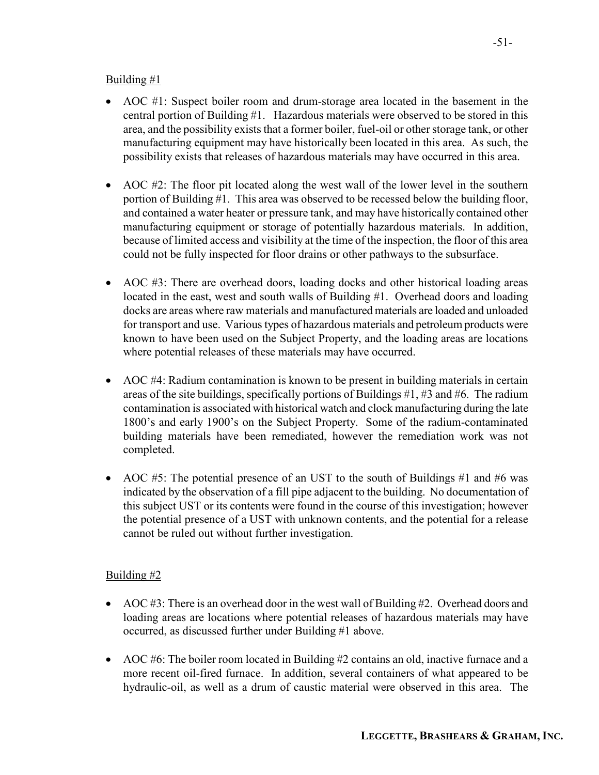## Building  $#1$

- AOC #1: Suspect boiler room and drum-storage area located in the basement in the central portion of Building #1. Hazardous materials were observed to be stored in this area, and the possibility exists that a former boiler, fuel-oil or other storage tank, or other manufacturing equipment may have historically been located in this area. As such, the possibility exists that releases of hazardous materials may have occurred in this area.
- AOC #2: The floor pit located along the west wall of the lower level in the southern portion of Building #1. This area was observed to be recessed below the building floor, and contained a water heater or pressure tank, and may have historically contained other manufacturing equipment or storage of potentially hazardous materials. In addition, because of limited access and visibility at the time of the inspection, the floor of this area could not be fully inspected for floor drains or other pathways to the subsurface.
- AOC #3: There are overhead doors, loading docks and other historical loading areas located in the east, west and south walls of Building #1. Overhead doors and loading docks are areas where raw materials and manufactured materials are loaded and unloaded for transport and use. Various types of hazardous materials and petroleum products were known to have been used on the Subject Property, and the loading areas are locations where potential releases of these materials may have occurred.
- AOC #4: Radium contamination is known to be present in building materials in certain areas of the site buildings, specifically portions of Buildings #1, #3 and #6. The radium contamination is associated with historical watch and clock manufacturing during the late 1800's and early 1900's on the Subject Property. Some of the radium-contaminated building materials have been remediated, however the remediation work was not completed.
- AOC  $#5$ : The potential presence of an UST to the south of Buildings  $#1$  and  $#6$  was indicated by the observation of a fill pipe adjacent to the building. No documentation of this subject UST or its contents were found in the course of this investigation; however the potential presence of a UST with unknown contents, and the potential for a release cannot be ruled out without further investigation.

## Building #2

- AOC #3: There is an overhead door in the west wall of Building #2. Overhead doors and loading areas are locations where potential releases of hazardous materials may have occurred, as discussed further under Building #1 above.
- AOC #6: The boiler room located in Building #2 contains an old, inactive furnace and a more recent oil-fired furnace. In addition, several containers of what appeared to be hydraulic-oil, as well as a drum of caustic material were observed in this area. The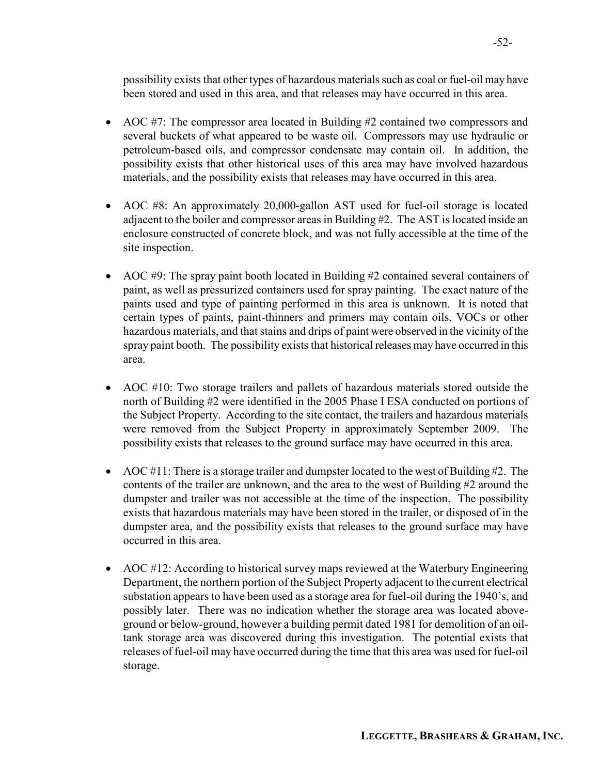possibility exists that other types of hazardous materials such as coal or fuel-oil may have been stored and used in this area, and that releases may have occurred in this area.

- AOC #7: The compressor area located in Building #2 contained two compressors and several buckets of what appeared to be waste oil. Compressors may use hydraulic or petroleum-based oils, and compressor condensate may contain oil. In addition, the possibility exists that other historical uses of this area may have involved hazardous materials, and the possibility exists that releases may have occurred in this area.
- AOC #8: An approximately 20,000-gallon AST used for fuel-oil storage is located adjacent to the boiler and compressor areas in Building #2. The AST is located inside an enclosure constructed of concrete block, and was not fully accessible at the time of the site inspection.
- AOC #9: The spray paint booth located in Building #2 contained several containers of paint, as well as pressurized containers used for spray painting. The exact nature of the paints used and type of painting performed in this area is unknown. It is noted that certain types of paints, paint-thinners and primers may contain oils, VOCs or other hazardous materials, and that stains and drips of paint were observed in the vicinity of the spray paint booth. The possibility exists that historical releases may have occurred in this area.
- AOC #10: Two storage trailers and pallets of hazardous materials stored outside the north of Building #2 were identified in the 2005 Phase I ESA conducted on portions of the Subject Property. According to the site contact, the trailers and hazardous materials were removed from the Subject Property in approximately September 2009. The possibility exists that releases to the ground surface may have occurred in this area.
- AOC  $\#11$ : There is a storage trailer and dumpster located to the west of Building  $\#2$ . The contents of the trailer are unknown, and the area to the west of Building #2 around the dumpster and trailer was not accessible at the time of the inspection. The possibility exists that hazardous materials may have been stored in the trailer, or disposed of in the dumpster area, and the possibility exists that releases to the ground surface may have occurred in this area.
- AOC #12: According to historical survey maps reviewed at the Waterbury Engineering Department, the northern portion of the Subject Property adjacent to the current electrical substation appears to have been used as a storage area for fuel-oil during the 1940's, and possibly later. There was no indication whether the storage area was located aboveground or below-ground, however a building permit dated 1981 for demolition of an oiltank storage area was discovered during this investigation. The potential exists that releases of fuel-oil may have occurred during the time that this area was used for fuel-oil storage.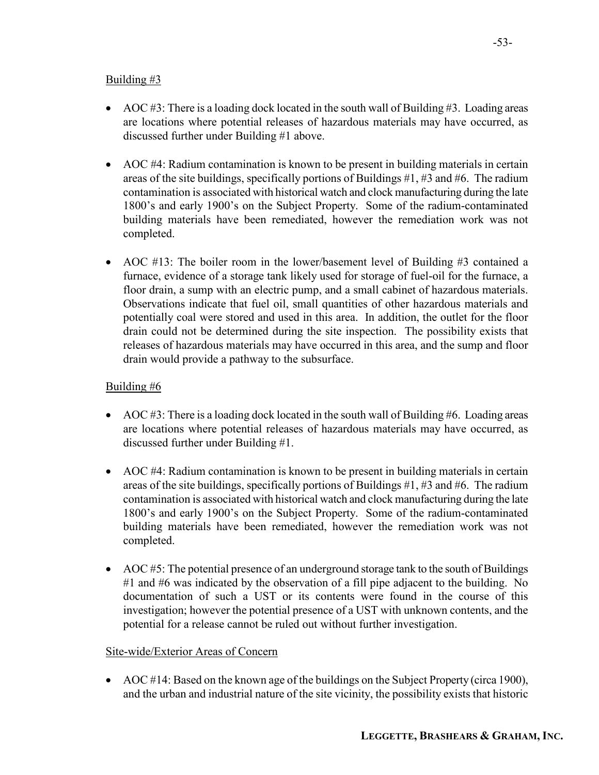## Building  $#3$

- AOC  $#3$ : There is a loading dock located in the south wall of Building  $#3$ . Loading areas are locations where potential releases of hazardous materials may have occurred, as discussed further under Building #1 above.
- AOC #4: Radium contamination is known to be present in building materials in certain areas of the site buildings, specifically portions of Buildings #1, #3 and #6. The radium contamination is associated with historical watch and clock manufacturing during the late 1800's and early 1900's on the Subject Property. Some of the radium-contaminated building materials have been remediated, however the remediation work was not completed.
- AOC #13: The boiler room in the lower/basement level of Building #3 contained a furnace, evidence of a storage tank likely used for storage of fuel-oil for the furnace, a floor drain, a sump with an electric pump, and a small cabinet of hazardous materials. Observations indicate that fuel oil, small quantities of other hazardous materials and potentially coal were stored and used in this area. In addition, the outlet for the floor drain could not be determined during the site inspection. The possibility exists that releases of hazardous materials may have occurred in this area, and the sump and floor drain would provide a pathway to the subsurface.

## Building #6

- AOC #3: There is a loading dock located in the south wall of Building #6. Loading areas are locations where potential releases of hazardous materials may have occurred, as discussed further under Building #1.
- AOC #4: Radium contamination is known to be present in building materials in certain areas of the site buildings, specifically portions of Buildings #1, #3 and #6. The radium contamination is associated with historical watch and clock manufacturing during the late 1800's and early 1900's on the Subject Property. Some of the radium-contaminated building materials have been remediated, however the remediation work was not completed.
- AOC #5: The potential presence of an underground storage tank to the south of Buildings #1 and #6 was indicated by the observation of a fill pipe adjacent to the building. No documentation of such a UST or its contents were found in the course of this investigation; however the potential presence of a UST with unknown contents, and the potential for a release cannot be ruled out without further investigation.

## Site-wide/Exterior Areas of Concern

• AOC #14: Based on the known age of the buildings on the Subject Property (circa 1900), and the urban and industrial nature of the site vicinity, the possibility exists that historic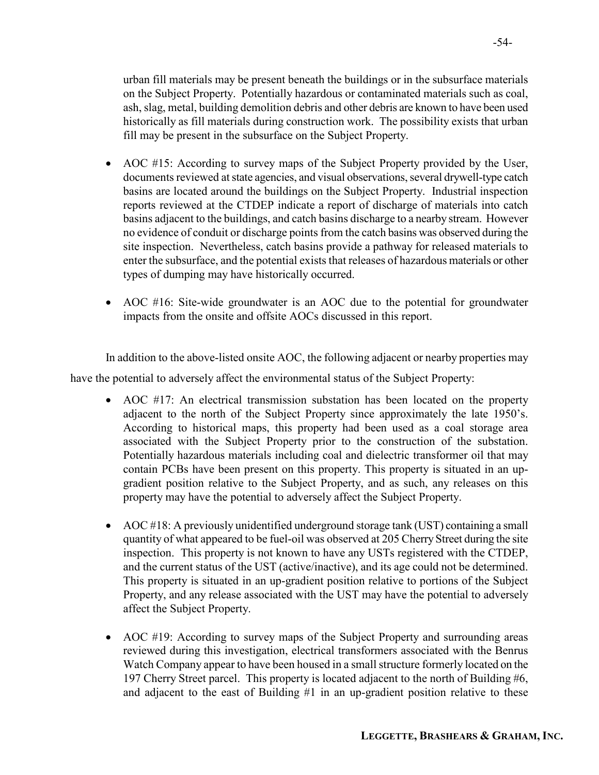urban fill materials may be present beneath the buildings or in the subsurface materials on the Subject Property. Potentially hazardous or contaminated materials such as coal, ash, slag, metal, building demolition debris and other debris are known to have been used historically as fill materials during construction work. The possibility exists that urban fill may be present in the subsurface on the Subject Property.

- AOC #15: According to survey maps of the Subject Property provided by the User, documents reviewed at state agencies, and visual observations, several drywell-type catch basins are located around the buildings on the Subject Property. Industrial inspection reports reviewed at the CTDEP indicate a report of discharge of materials into catch basins adjacent to the buildings, and catch basins discharge to a nearby stream. However no evidence of conduit or discharge points from the catch basins was observed during the site inspection. Nevertheless, catch basins provide a pathway for released materials to enter the subsurface, and the potential exists that releases of hazardous materials or other types of dumping may have historically occurred.
- AOC #16: Site-wide groundwater is an AOC due to the potential for groundwater impacts from the onsite and offsite AOCs discussed in this report.

In addition to the above-listed onsite AOC, the following adjacent or nearby properties may

have the potential to adversely affect the environmental status of the Subject Property:

- AOC #17: An electrical transmission substation has been located on the property adjacent to the north of the Subject Property since approximately the late 1950's. According to historical maps, this property had been used as a coal storage area associated with the Subject Property prior to the construction of the substation. Potentially hazardous materials including coal and dielectric transformer oil that may contain PCBs have been present on this property. This property is situated in an upgradient position relative to the Subject Property, and as such, any releases on this property may have the potential to adversely affect the Subject Property.
- AOC #18: A previously unidentified underground storage tank (UST) containing a small quantity of what appeared to be fuel-oil was observed at 205 Cherry Street during the site inspection. This property is not known to have any USTs registered with the CTDEP, and the current status of the UST (active/inactive), and its age could not be determined. This property is situated in an up-gradient position relative to portions of the Subject Property, and any release associated with the UST may have the potential to adversely affect the Subject Property.
- AOC #19: According to survey maps of the Subject Property and surrounding areas reviewed during this investigation, electrical transformers associated with the Benrus Watch Company appear to have been housed in a small structure formerly located on the 197 Cherry Street parcel. This property is located adjacent to the north of Building #6, and adjacent to the east of Building #1 in an up-gradient position relative to these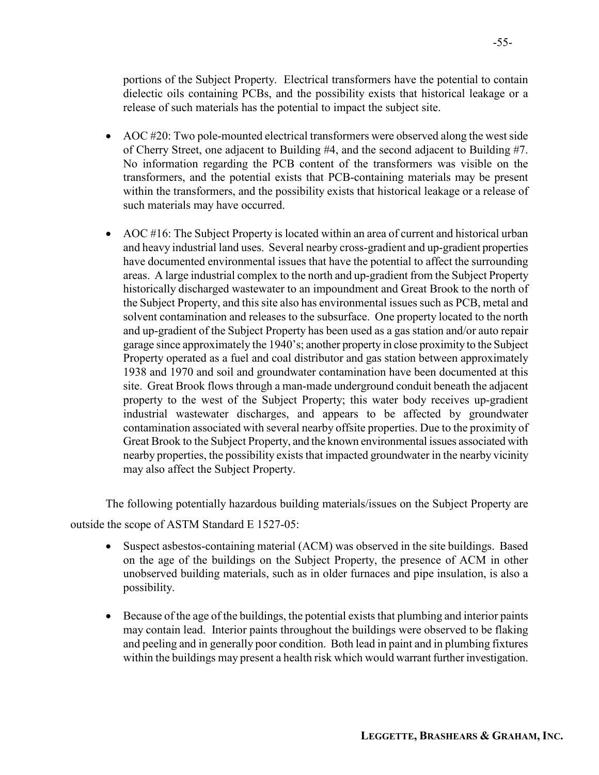portions of the Subject Property. Electrical transformers have the potential to contain dielectic oils containing PCBs, and the possibility exists that historical leakage or a release of such materials has the potential to impact the subject site.

- AOC  $\#20$ : Two pole-mounted electrical transformers were observed along the west side of Cherry Street, one adjacent to Building #4, and the second adjacent to Building #7. No information regarding the PCB content of the transformers was visible on the transformers, and the potential exists that PCB-containing materials may be present within the transformers, and the possibility exists that historical leakage or a release of such materials may have occurred.
- AOC #16: The Subject Property is located within an area of current and historical urban and heavy industrial land uses. Several nearby cross-gradient and up-gradient properties have documented environmental issues that have the potential to affect the surrounding areas. A large industrial complex to the north and up-gradient from the Subject Property historically discharged wastewater to an impoundment and Great Brook to the north of the Subject Property, and this site also has environmental issues such as PCB, metal and solvent contamination and releases to the subsurface. One property located to the north and up-gradient of the Subject Property has been used as a gas station and/or auto repair garage since approximately the 1940's; another property in close proximity to the Subject Property operated as a fuel and coal distributor and gas station between approximately 1938 and 1970 and soil and groundwater contamination have been documented at this site. Great Brook flows through a man-made underground conduit beneath the adjacent property to the west of the Subject Property; this water body receives up-gradient industrial wastewater discharges, and appears to be affected by groundwater contamination associated with several nearby offsite properties. Due to the proximity of Great Brook to the Subject Property, and the known environmental issues associated with nearby properties, the possibility exists that impacted groundwater in the nearby vicinity may also affect the Subject Property.

The following potentially hazardous building materials/issues on the Subject Property are

outside the scope of ASTM Standard E 1527-05:

- Suspect asbestos-containing material (ACM) was observed in the site buildings. Based on the age of the buildings on the Subject Property, the presence of ACM in other unobserved building materials, such as in older furnaces and pipe insulation, is also a possibility.
- Because of the age of the buildings, the potential exists that plumbing and interior paints may contain lead. Interior paints throughout the buildings were observed to be flaking and peeling and in generally poor condition. Both lead in paint and in plumbing fixtures within the buildings may present a health risk which would warrant further investigation.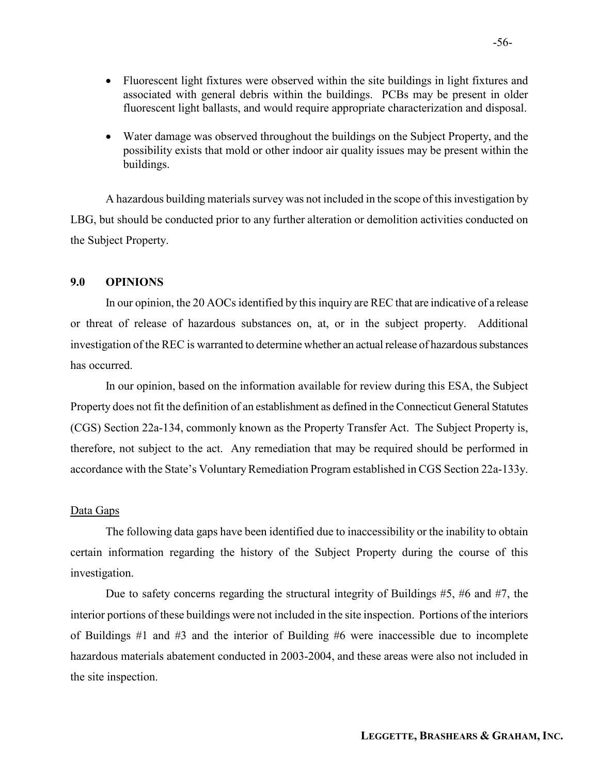- Fluorescent light fixtures were observed within the site buildings in light fixtures and associated with general debris within the buildings. PCBs may be present in older fluorescent light ballasts, and would require appropriate characterization and disposal.
- Water damage was observed throughout the buildings on the Subject Property, and the possibility exists that mold or other indoor air quality issues may be present within the buildings.

A hazardous building materials survey was not included in the scope of this investigation by LBG, but should be conducted prior to any further alteration or demolition activities conducted on the Subject Property.

## 9.0 OPINIONS

In our opinion, the 20 AOCs identified by this inquiry are REC that are indicative of a release or threat of release of hazardous substances on, at, or in the subject property. Additional investigation of the REC is warranted to determine whether an actual release of hazardous substances has occurred.

In our opinion, based on the information available for review during this ESA, the Subject Property does not fit the definition of an establishment as defined in the Connecticut General Statutes (CGS) Section 22a-134, commonly known as the Property Transfer Act. The Subject Property is, therefore, not subject to the act. Any remediation that may be required should be performed in accordance with the State's Voluntary Remediation Program established in CGS Section 22a-133y.

## Data Gaps

 The following data gaps have been identified due to inaccessibility or the inability to obtain certain information regarding the history of the Subject Property during the course of this investigation.

Due to safety concerns regarding the structural integrity of Buildings #5, #6 and #7, the interior portions of these buildings were not included in the site inspection. Portions of the interiors of Buildings #1 and #3 and the interior of Building #6 were inaccessible due to incomplete hazardous materials abatement conducted in 2003-2004, and these areas were also not included in the site inspection.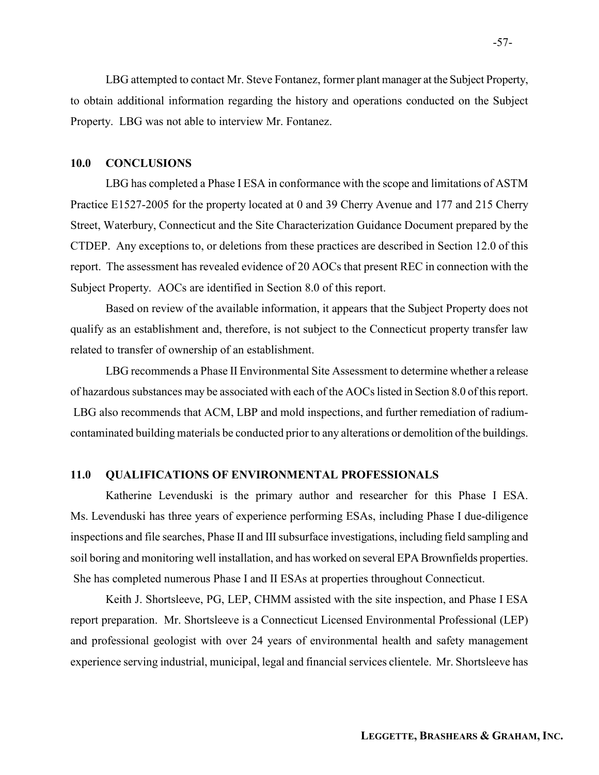LBG attempted to contact Mr. Steve Fontanez, former plant manager at the Subject Property, to obtain additional information regarding the history and operations conducted on the Subject Property. LBG was not able to interview Mr. Fontanez.

## 10.0 CONCLUSIONS

LBG has completed a Phase I ESA in conformance with the scope and limitations of ASTM Practice E1527-2005 for the property located at 0 and 39 Cherry Avenue and 177 and 215 Cherry Street, Waterbury, Connecticut and the Site Characterization Guidance Document prepared by the CTDEP. Any exceptions to, or deletions from these practices are described in Section 12.0 of this report. The assessment has revealed evidence of 20 AOCs that present REC in connection with the Subject Property. AOCs are identified in Section 8.0 of this report.

 Based on review of the available information, it appears that the Subject Property does not qualify as an establishment and, therefore, is not subject to the Connecticut property transfer law related to transfer of ownership of an establishment.

 LBG recommends a Phase II Environmental Site Assessment to determine whether a release of hazardous substances may be associated with each of the AOCs listed in Section 8.0 of this report. LBG also recommends that ACM, LBP and mold inspections, and further remediation of radiumcontaminated building materials be conducted prior to any alterations or demolition of the buildings.

## 11.0 QUALIFICATIONS OF ENVIRONMENTAL PROFESSIONALS

Katherine Levenduski is the primary author and researcher for this Phase I ESA. Ms. Levenduski has three years of experience performing ESAs, including Phase I due-diligence inspections and file searches, Phase II and III subsurface investigations, including field sampling and soil boring and monitoring well installation, and has worked on several EPA Brownfields properties. She has completed numerous Phase I and II ESAs at properties throughout Connecticut.

 Keith J. Shortsleeve, PG, LEP, CHMM assisted with the site inspection, and Phase I ESA report preparation. Mr. Shortsleeve is a Connecticut Licensed Environmental Professional (LEP) and professional geologist with over 24 years of environmental health and safety management experience serving industrial, municipal, legal and financial services clientele. Mr. Shortsleeve has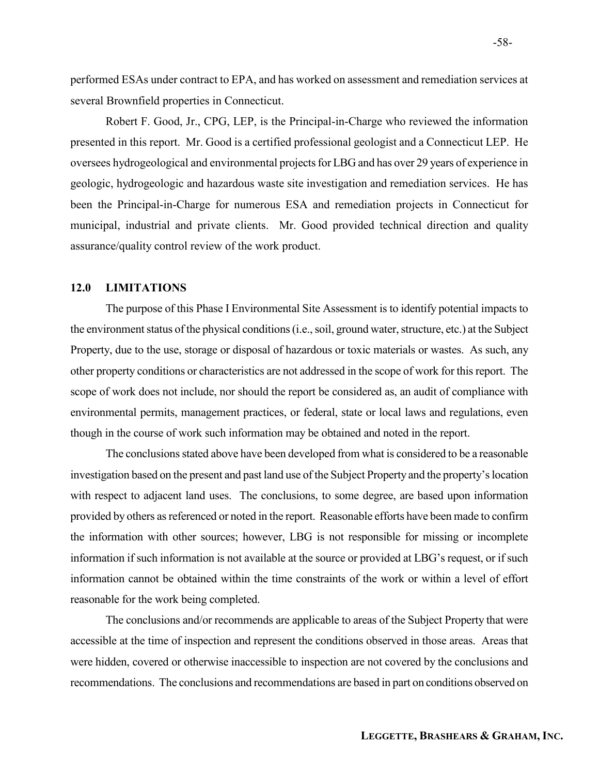performed ESAs under contract to EPA, and has worked on assessment and remediation services at several Brownfield properties in Connecticut.

Robert F. Good, Jr., CPG, LEP, is the Principal-in-Charge who reviewed the information presented in this report. Mr. Good is a certified professional geologist and a Connecticut LEP. He oversees hydrogeological and environmental projects for LBG and has over 29 years of experience in geologic, hydrogeologic and hazardous waste site investigation and remediation services. He has been the Principal-in-Charge for numerous ESA and remediation projects in Connecticut for municipal, industrial and private clients. Mr. Good provided technical direction and quality assurance/quality control review of the work product.

## 12.0 LIMITATIONS

The purpose of this Phase I Environmental Site Assessment is to identify potential impacts to the environment status of the physical conditions (i.e., soil, ground water, structure, etc.) at the Subject Property, due to the use, storage or disposal of hazardous or toxic materials or wastes. As such, any other property conditions or characteristics are not addressed in the scope of work for this report. The scope of work does not include, nor should the report be considered as, an audit of compliance with environmental permits, management practices, or federal, state or local laws and regulations, even though in the course of work such information may be obtained and noted in the report.

 The conclusions stated above have been developed from what is considered to be a reasonable investigation based on the present and past land use of the Subject Property and the property's location with respect to adjacent land uses. The conclusions, to some degree, are based upon information provided by others as referenced or noted in the report. Reasonable efforts have been made to confirm the information with other sources; however, LBG is not responsible for missing or incomplete information if such information is not available at the source or provided at LBG's request, or if such information cannot be obtained within the time constraints of the work or within a level of effort reasonable for the work being completed.

The conclusions and/or recommends are applicable to areas of the Subject Property that were accessible at the time of inspection and represent the conditions observed in those areas. Areas that were hidden, covered or otherwise inaccessible to inspection are not covered by the conclusions and recommendations. The conclusions and recommendations are based in part on conditions observed on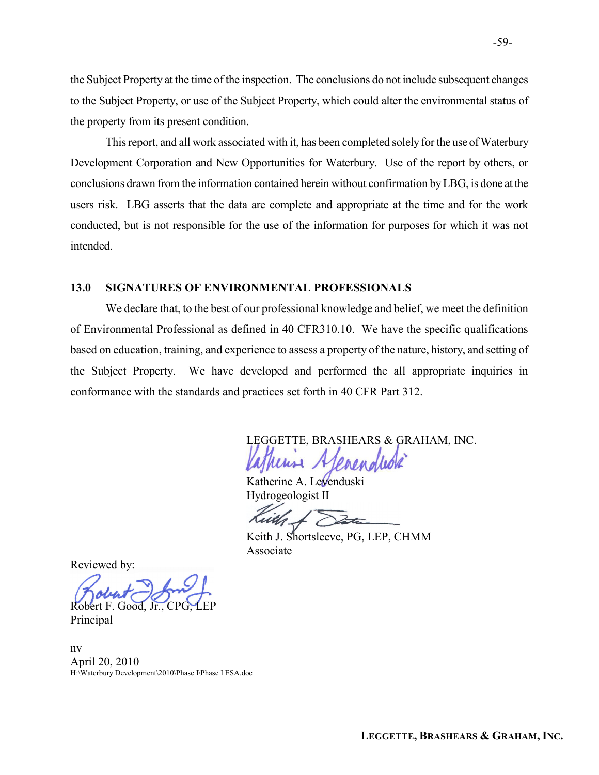the Subject Property at the time of the inspection. The conclusions do not include subsequent changes to the Subject Property, or use of the Subject Property, which could alter the environmental status of the property from its present condition.

This report, and all work associated with it, has been completed solely for the use of Waterbury Development Corporation and New Opportunities for Waterbury. Use of the report by others, or conclusions drawn from the information contained herein without confirmation by LBG, is done at the users risk. LBG asserts that the data are complete and appropriate at the time and for the work conducted, but is not responsible for the use of the information for purposes for which it was not intended.

## 13.0 SIGNATURES OF ENVIRONMENTAL PROFESSIONALS

We declare that, to the best of our professional knowledge and belief, we meet the definition of Environmental Professional as defined in 40 CFR310.10. We have the specific qualifications based on education, training, and experience to assess a property of the nature, history, and setting of the Subject Property. We have developed and performed the all appropriate inquiries in conformance with the standards and practices set forth in 40 CFR Part 312.

LEGGETTE, BRASHEARS & GRAHAM, INC.

Katherine A. Levenduski Hydrogeologist II

Keith J. Shortsleeve, PG, LEP, CHMM Associate

Reviewed by:

Robert F. Good, Jr., CPG, LEP

Principal

nv April 20, 2010 H:\Waterbury Development\2010\Phase I\Phase I ESA.doc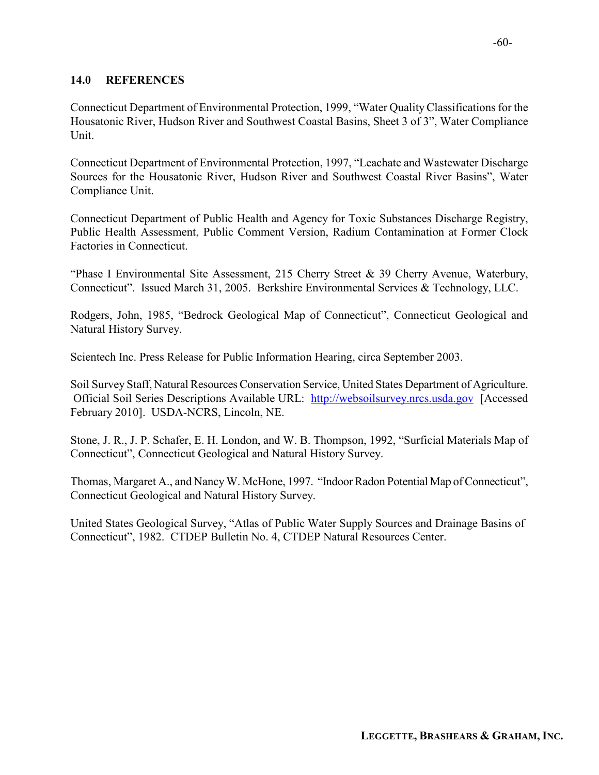## 14.0 REFERENCES

Connecticut Department of Environmental Protection, 1999, "Water Quality Classifications for the Housatonic River, Hudson River and Southwest Coastal Basins, Sheet 3 of 3", Water Compliance Unit.

Connecticut Department of Environmental Protection, 1997, "Leachate and Wastewater Discharge Sources for the Housatonic River, Hudson River and Southwest Coastal River Basins", Water Compliance Unit.

Connecticut Department of Public Health and Agency for Toxic Substances Discharge Registry, Public Health Assessment, Public Comment Version, Radium Contamination at Former Clock Factories in Connecticut.

"Phase I Environmental Site Assessment, 215 Cherry Street & 39 Cherry Avenue, Waterbury, Connecticut". Issued March 31, 2005. Berkshire Environmental Services & Technology, LLC.

Rodgers, John, 1985, "Bedrock Geological Map of Connecticut", Connecticut Geological and Natural History Survey.

Scientech Inc. Press Release for Public Information Hearing, circa September 2003.

Soil Survey Staff, Natural Resources Conservation Service, United States Department of Agriculture. Official Soil Series Descriptions Available URL: http://websoilsurvey.nrcs.usda.gov [Accessed February 2010]. USDA-NCRS, Lincoln, NE.

Stone, J. R., J. P. Schafer, E. H. London, and W. B. Thompson, 1992, "Surficial Materials Map of Connecticut", Connecticut Geological and Natural History Survey.

Thomas, Margaret A., and Nancy W. McHone, 1997. "Indoor Radon Potential Map of Connecticut", Connecticut Geological and Natural History Survey.

United States Geological Survey, "Atlas of Public Water Supply Sources and Drainage Basins of Connecticut", 1982. CTDEP Bulletin No. 4, CTDEP Natural Resources Center.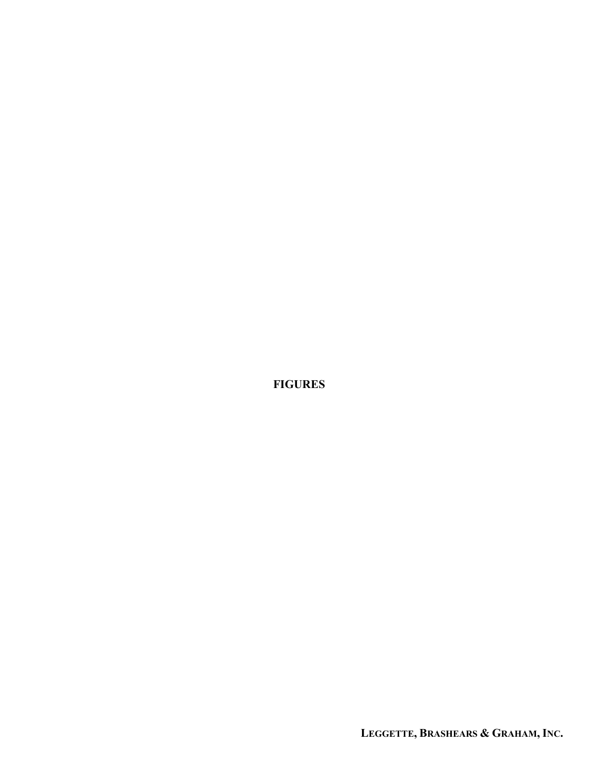FIGURES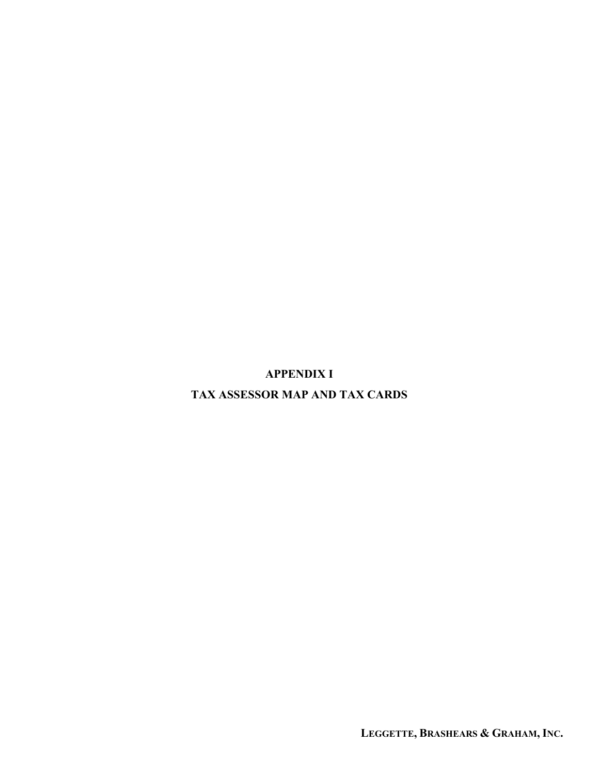APPENDIX I

TAX ASSESSOR MAP AND TAX CARDS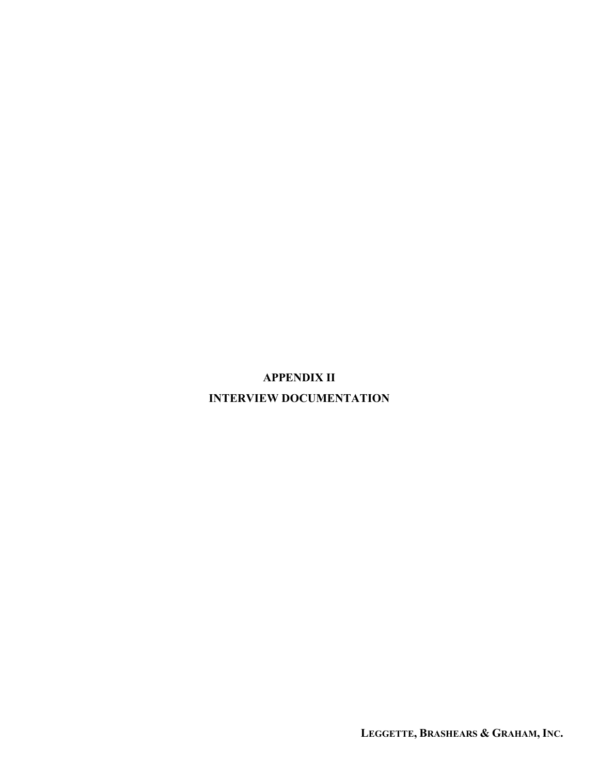# APPENDIX II INTERVIEW DOCUMENTATION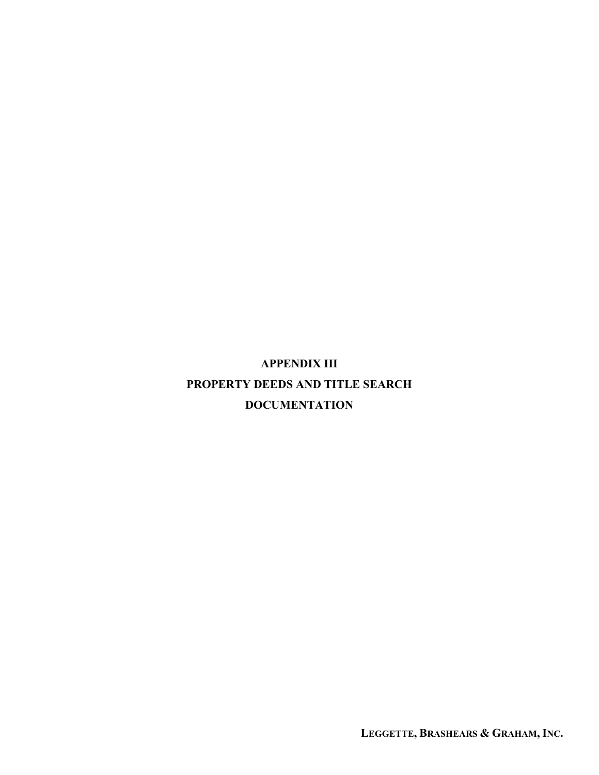APPENDIX III PROPERTY DEEDS AND TITLE SEARCH DOCUMENTATION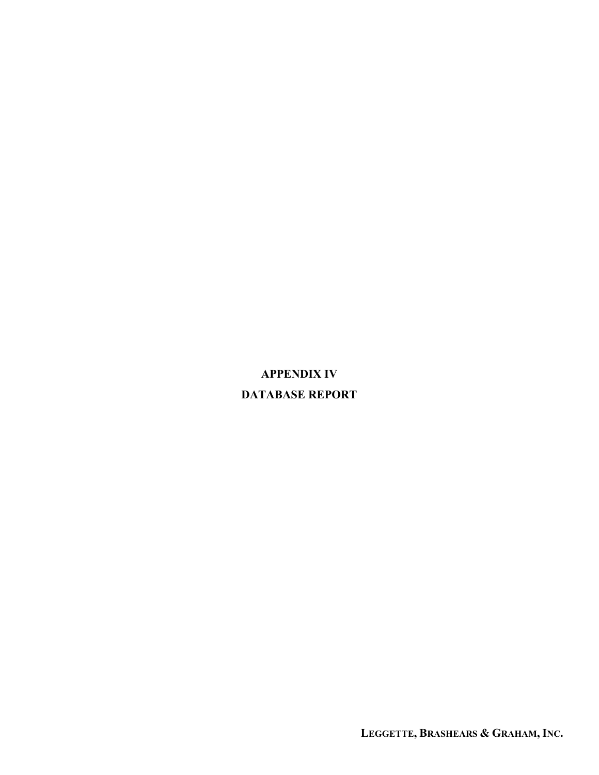# APPENDIX IV DATABASE REPORT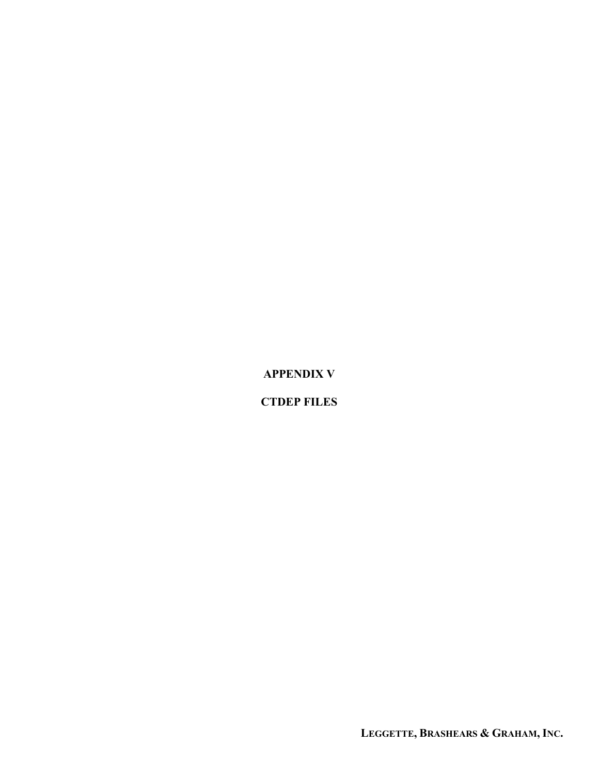APPENDIX V

CTDEP FILES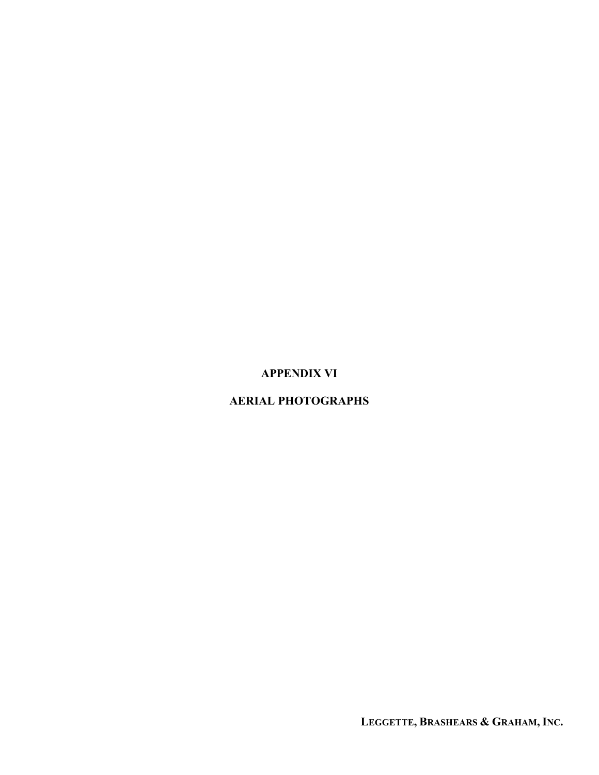## APPENDIX VI

## AERIAL PHOTOGRAPHS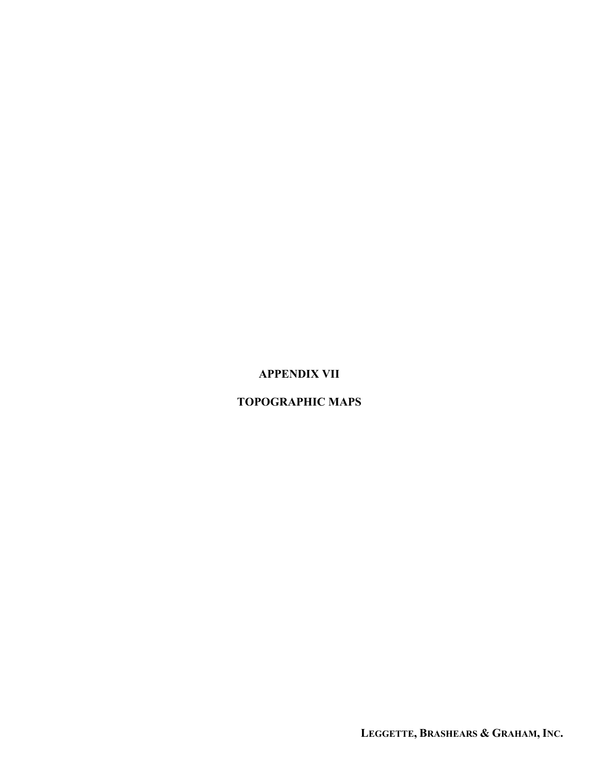# APPENDIX VII

## TOPOGRAPHIC MAPS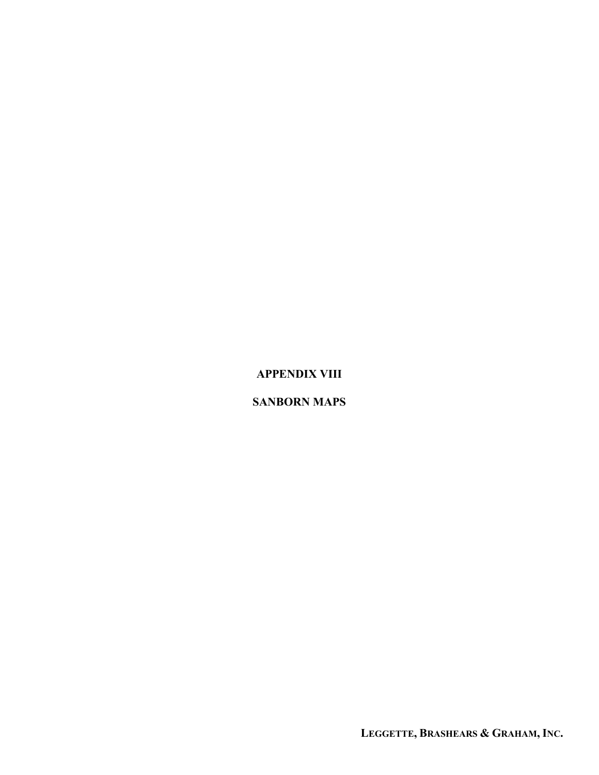# APPENDIX VIII

#### SANBORN MAPS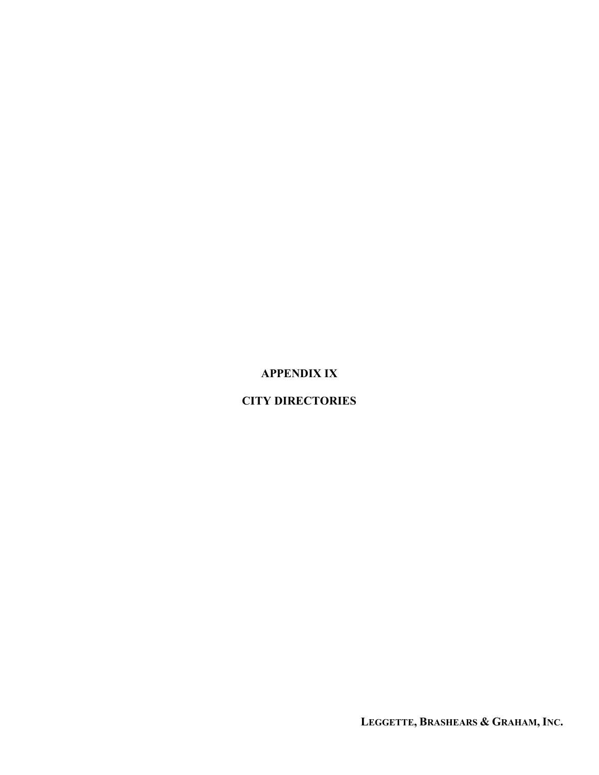# APPENDIX IX

# CITY DIRECTORIES

LEGGETTE, BRASHEARS & GRAHAM, INC.